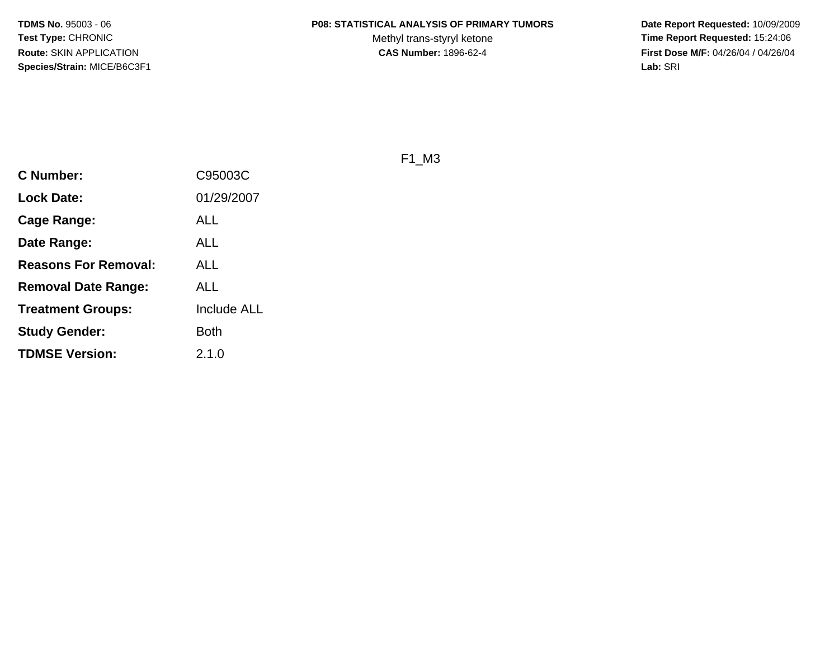#### **P08: STATISTICAL ANALYSIS OF PRIMARY TUMORS**

Methyl trans-styryl ketone<br>CAS Number: 1896-62-4

 **Date Report Requested:** 10/09/2009 **Time Report Requested:** 15:24:06 **First Dose M/F:** 04/26/04 / 04/26/04 Lab: SRI **Lab:** SRI

F1\_M3

| <b>C Number:</b>            | C95003C            |
|-----------------------------|--------------------|
| <b>Lock Date:</b>           | 01/29/2007         |
| <b>Cage Range:</b>          | ALL                |
| Date Range:                 | ALL                |
| <b>Reasons For Removal:</b> | ALL                |
| Removal Date Range:         | ALL                |
| <b>Treatment Groups:</b>    | <b>Include ALL</b> |
| <b>Study Gender:</b>        | <b>Both</b>        |
| <b>TDMSE Version:</b>       | 2.1.0              |
|                             |                    |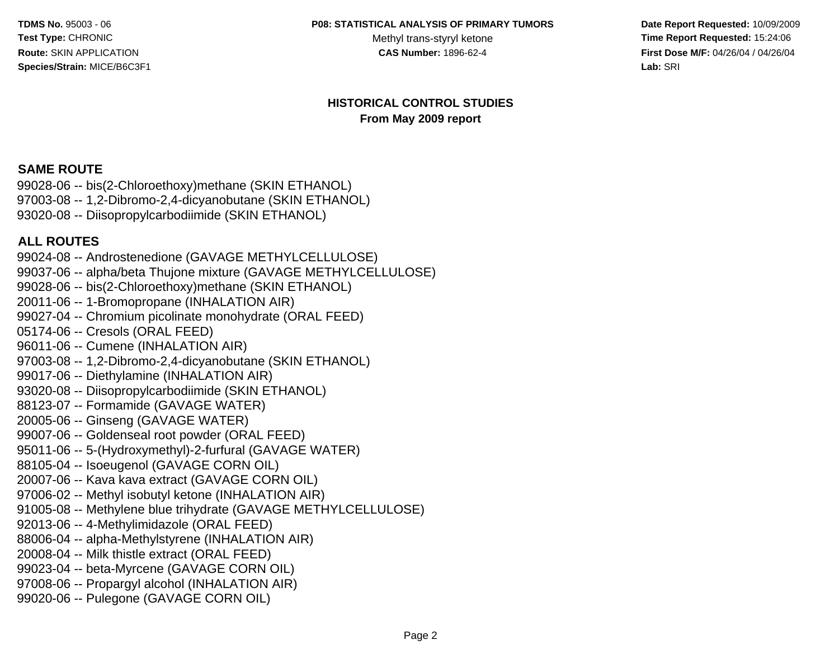#### **P08: STATISTICAL ANALYSIS OF PRIMARY TUMORS**

Methyl trans-styryl ketone<br>CAS Number: 1896-62-4

 **Date Report Requested:** 10/09/2009 **Time Report Requested:** 15:24:06 **First Dose M/F:** 04/26/04 / 04/26/04 Lab: SRI **Lab:** SRI

#### **HISTORICAL CONTROL STUDIESFrom May 2009 report**

#### **SAME ROUTE**

 99028-06 -- bis(2-Chloroethoxy)methane (SKIN ETHANOL) 97003-08 -- 1,2-Dibromo-2,4-dicyanobutane (SKIN ETHANOL)93020-08 -- Diisopropylcarbodiimide (SKIN ETHANOL)

#### **ALL ROUTES**

 99024-08 -- Androstenedione (GAVAGE METHYLCELLULOSE) 99037-06 -- alpha/beta Thujone mixture (GAVAGE METHYLCELLULOSE)99028-06 -- bis(2-Chloroethoxy)methane (SKIN ETHANOL)20011-06 -- 1-Bromopropane (INHALATION AIR) 99027-04 -- Chromium picolinate monohydrate (ORAL FEED)05174-06 -- Cresols (ORAL FEED) 96011-06 -- Cumene (INHALATION AIR) 97003-08 -- 1,2-Dibromo-2,4-dicyanobutane (SKIN ETHANOL)99017-06 -- Diethylamine (INHALATION AIR) 93020-08 -- Diisopropylcarbodiimide (SKIN ETHANOL)88123-07 -- Formamide (GAVAGE WATER)20005-06 -- Ginseng (GAVAGE WATER) 99007-06 -- Goldenseal root powder (ORAL FEED) 95011-06 -- 5-(Hydroxymethyl)-2-furfural (GAVAGE WATER)88105-04 -- Isoeugenol (GAVAGE CORN OIL) 20007-06 -- Kava kava extract (GAVAGE CORN OIL) 97006-02 -- Methyl isobutyl ketone (INHALATION AIR) 91005-08 -- Methylene blue trihydrate (GAVAGE METHYLCELLULOSE)92013-06 -- 4-Methylimidazole (ORAL FEED) 88006-04 -- alpha-Methylstyrene (INHALATION AIR)20008-04 -- Milk thistle extract (ORAL FEED) 99023-04 -- beta-Myrcene (GAVAGE CORN OIL) 97008-06 -- Propargyl alcohol (INHALATION AIR)99020-06 -- Pulegone (GAVAGE CORN OIL)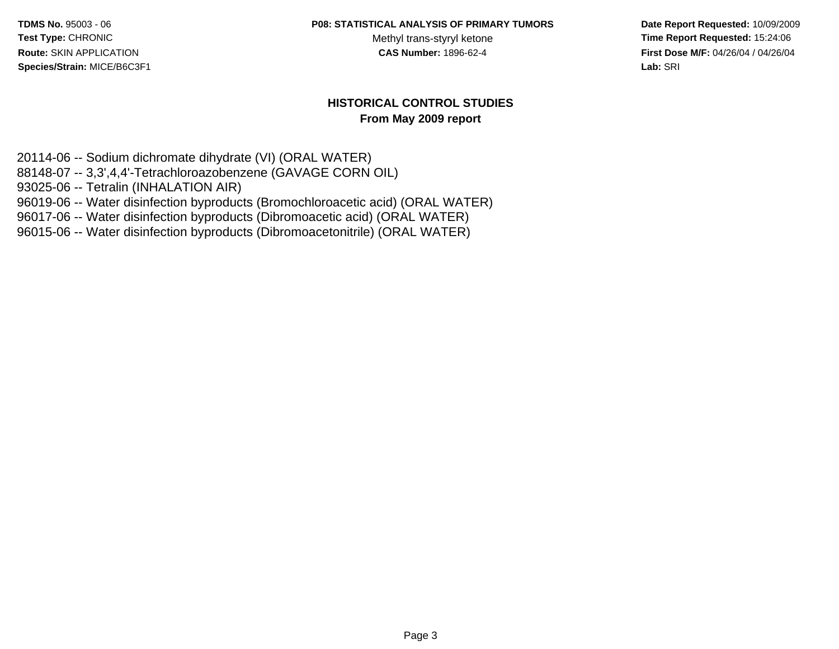#### **P08: STATISTICAL ANALYSIS OF PRIMARY TUMORS**

Methyl trans-styryl ketone<br>CAS Number: 1896-62-4

 **Date Report Requested:** 10/09/2009 **Time Report Requested:** 15:24:06 **First Dose M/F:** 04/26/04 / 04/26/04 Lab: SRI **Lab:** SRI

#### **HISTORICAL CONTROL STUDIESFrom May 2009 report**

20114-06 -- Sodium dichromate dihydrate (VI) (ORAL WATER) 88148-07 -- 3,3',4,4'-Tetrachloroazobenzene (GAVAGE CORN OIL)93025-06 -- Tetralin (INHALATION AIR) 96019-06 -- Water disinfection byproducts (Bromochloroacetic acid) (ORAL WATER)96017-06 -- Water disinfection byproducts (Dibromoacetic acid) (ORAL WATER)

96015-06 -- Water disinfection byproducts (Dibromoacetonitrile) (ORAL WATER)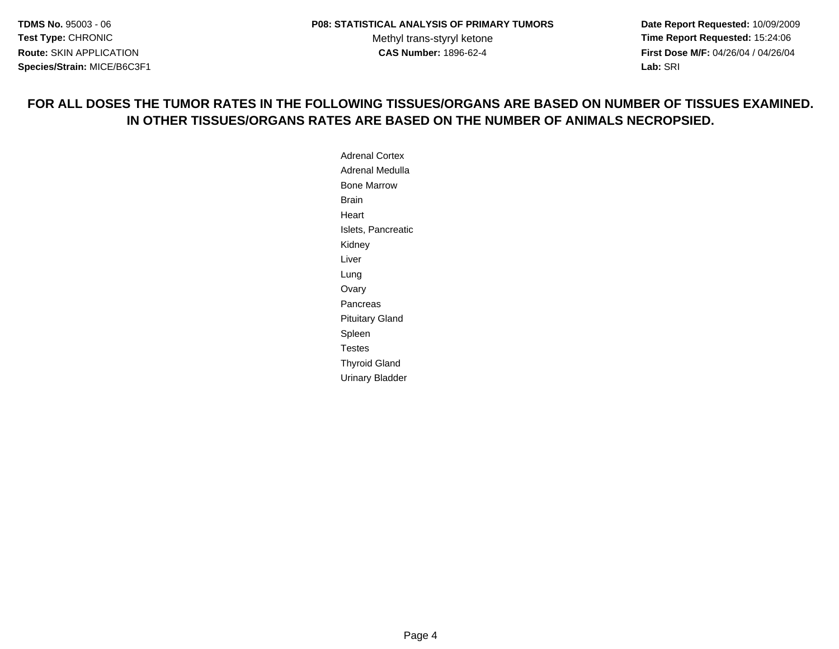**Date Report Requested:** 10/09/2009 **Time Report Requested:** 15:24:06 **First Dose M/F:** 04/26/04 / 04/26/04 **Lab:** SRI **Lab:** SRI

#### **FOR ALL DOSES THE TUMOR RATES IN THE FOLLOWING TISSUES/ORGANS ARE BASED ON NUMBER OF TISSUES EXAMINED.IN OTHER TISSUES/ORGANS RATES ARE BASED ON THE NUMBER OF ANIMALS NECROPSIED.**

Adrenal Cortex Adrenal MedullaBone MarrowBrainHeartIslets, PancreaticKidneyLiverLung OvaryPancreasPituitary GlandSpleenTestes Thyroid GlandUrinary Bladder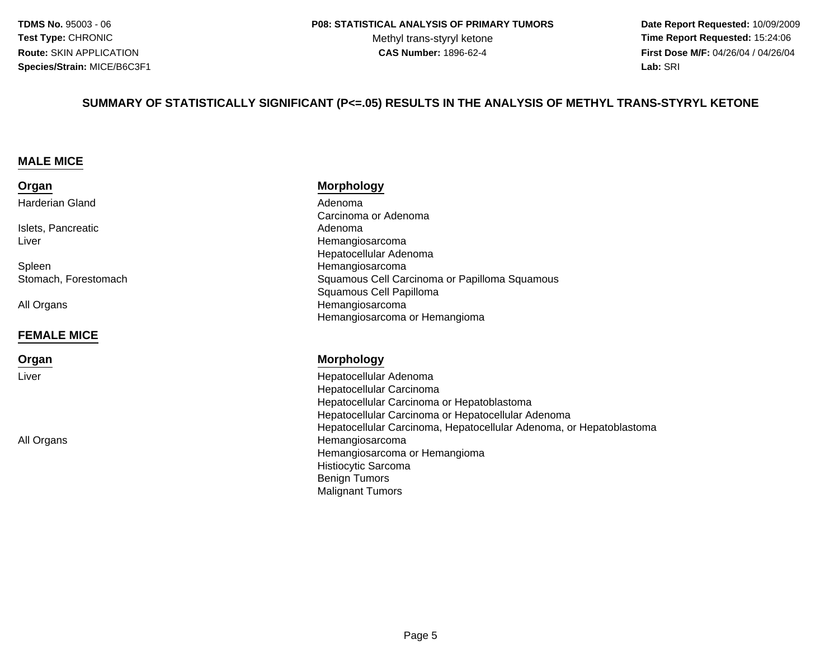Methyl trans-styryl ketone<br>CAS Number: 1896-62-4

 **Date Report Requested:** 10/09/2009 **Time Report Requested:** 15:24:06 **First Dose M/F:** 04/26/04 / 04/26/04 Lab: SRI **Lab:** SRI

#### **SUMMARY OF STATISTICALLY SIGNIFICANT (P<=.05) RESULTS IN THE ANALYSIS OF METHYL TRANS-STYRYL KETONE**

#### **MALE MICE**

| Organ           |  |
|-----------------|--|
| Harderian Gland |  |

Islets, PancreaticLiver

SpleenStomach, Forestomach

All Organs

#### **FEMALE MICE**

**Organ**

Liver

All Organs

#### **Morphology**

d Adenoma<br>Adenoma Carcinoma or Adenoma Adenomar **Exercía e Estado Estado e Estado Estado Estado Entre o Estado Estado Entre o Estado Estado Estado Entre o Est**  Hepatocellular Adenoma Hemangiosarcoma Squamous Cell Carcinoma or Papilloma Squamous Squamous Cell Papilloma HemangiosarcomaHemangiosarcoma or Hemangioma

#### **Morphology**

 Hepatocellular Adenoma Hepatocellular Carcinoma Hepatocellular Carcinoma or Hepatoblastoma Hepatocellular Carcinoma or Hepatocellular Adenoma Hepatocellular Carcinoma, Hepatocellular Adenoma, or Hepatoblastoma Hemangiosarcoma Hemangiosarcoma or HemangiomaHistiocytic SarcomaBenign TumorsMalignant Tumors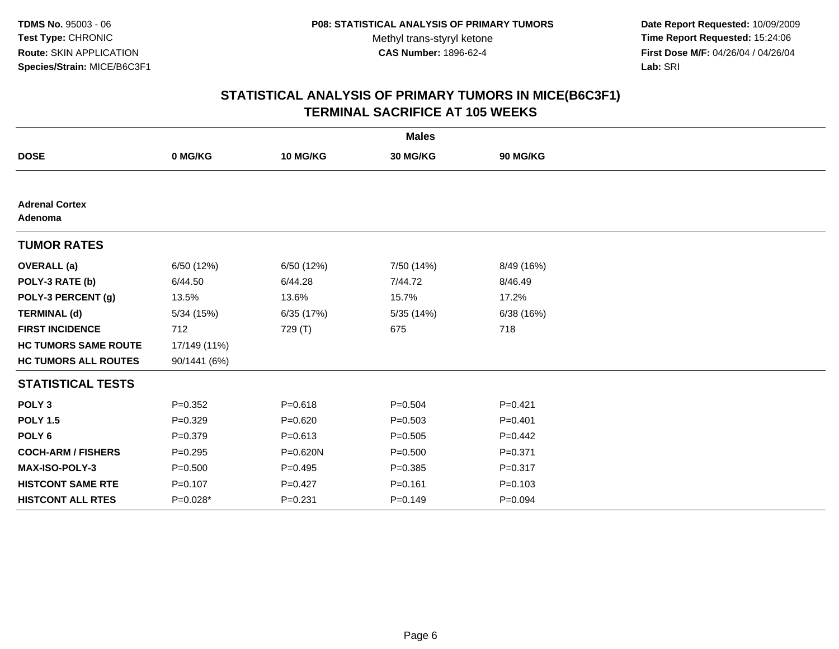**Date Report Requested:** 10/09/2009 **Time Report Requested:** 15:24:06 **First Dose M/F:** 04/26/04 / 04/26/04 Lab: SRI **Lab:** SRI

|                                  |              |              | <b>Males</b> |             |  |
|----------------------------------|--------------|--------------|--------------|-------------|--|
| <b>DOSE</b>                      | 0 MG/KG      | 10 MG/KG     | 30 MG/KG     | 90 MG/KG    |  |
|                                  |              |              |              |             |  |
| <b>Adrenal Cortex</b><br>Adenoma |              |              |              |             |  |
| <b>TUMOR RATES</b>               |              |              |              |             |  |
| <b>OVERALL</b> (a)               | 6/50 (12%)   | 6/50 (12%)   | 7/50 (14%)   | 8/49 (16%)  |  |
| POLY-3 RATE (b)                  | 6/44.50      | 6/44.28      | 7/44.72      | 8/46.49     |  |
| POLY-3 PERCENT (g)               | 13.5%        | 13.6%        | 15.7%        | 17.2%       |  |
| <b>TERMINAL (d)</b>              | 5/34(15%)    | 6/35 (17%)   | 5/35 (14%)   | 6/38(16%)   |  |
| <b>FIRST INCIDENCE</b>           | 712          | 729 (T)      | 675          | 718         |  |
| <b>HC TUMORS SAME ROUTE</b>      | 17/149 (11%) |              |              |             |  |
| <b>HC TUMORS ALL ROUTES</b>      | 90/1441 (6%) |              |              |             |  |
| <b>STATISTICAL TESTS</b>         |              |              |              |             |  |
| POLY <sub>3</sub>                | $P = 0.352$  | $P = 0.618$  | $P = 0.504$  | $P = 0.421$ |  |
| <b>POLY 1.5</b>                  | $P = 0.329$  | $P = 0.620$  | $P = 0.503$  | $P = 0.401$ |  |
| POLY <sub>6</sub>                | $P = 0.379$  | $P = 0.613$  | $P = 0.505$  | $P=0.442$   |  |
| <b>COCH-ARM / FISHERS</b>        | $P=0.295$    | $P = 0.620N$ | $P = 0.500$  | $P = 0.371$ |  |
| <b>MAX-ISO-POLY-3</b>            | $P = 0.500$  | $P=0.495$    | $P = 0.385$  | $P = 0.317$ |  |
| <b>HISTCONT SAME RTE</b>         | $P = 0.107$  | $P=0.427$    | $P = 0.161$  | $P = 0.103$ |  |
| <b>HISTCONT ALL RTES</b>         | $P=0.028*$   | $P = 0.231$  | $P = 0.149$  | $P = 0.094$ |  |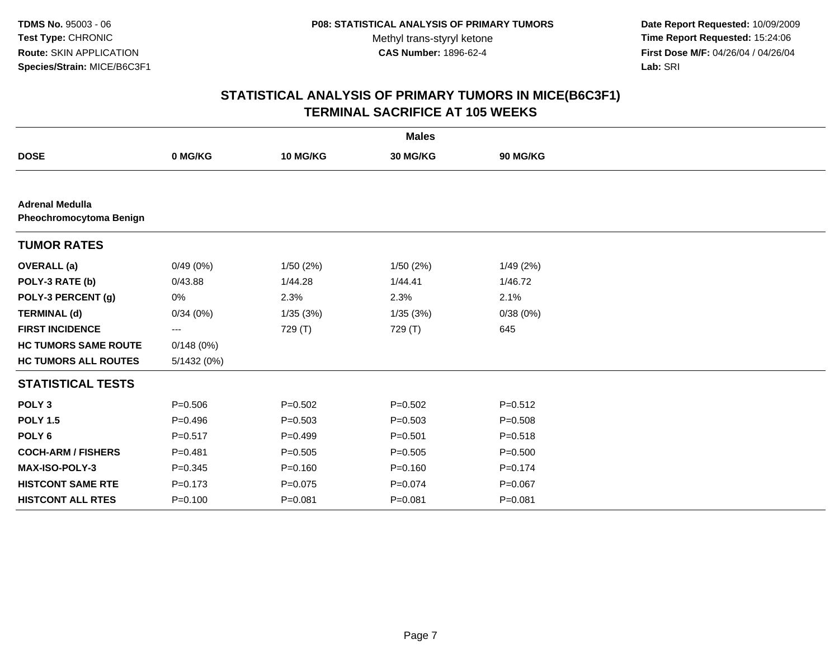**Date Report Requested:** 10/09/2009 **Time Report Requested:** 15:24:06 **First Dose M/F:** 04/26/04 / 04/26/04 Lab: SRI **Lab:** SRI

|                                                   |             |             | <b>Males</b> |             |  |
|---------------------------------------------------|-------------|-------------|--------------|-------------|--|
| <b>DOSE</b>                                       | 0 MG/KG     | 10 MG/KG    | 30 MG/KG     | 90 MG/KG    |  |
|                                                   |             |             |              |             |  |
| <b>Adrenal Medulla</b><br>Pheochromocytoma Benign |             |             |              |             |  |
| <b>TUMOR RATES</b>                                |             |             |              |             |  |
| <b>OVERALL</b> (a)                                | 0/49(0%)    | 1/50(2%)    | 1/50(2%)     | 1/49(2%)    |  |
| POLY-3 RATE (b)                                   | 0/43.88     | 1/44.28     | 1/44.41      | 1/46.72     |  |
| POLY-3 PERCENT (g)                                | 0%          | 2.3%        | 2.3%         | 2.1%        |  |
| <b>TERMINAL (d)</b>                               | 0/34(0%)    | 1/35(3%)    | 1/35(3%)     | 0/38(0%)    |  |
| <b>FIRST INCIDENCE</b>                            | ---         | 729 (T)     | 729 (T)      | 645         |  |
| <b>HC TUMORS SAME ROUTE</b>                       | 0/148(0%)   |             |              |             |  |
| <b>HC TUMORS ALL ROUTES</b>                       | 5/1432 (0%) |             |              |             |  |
| <b>STATISTICAL TESTS</b>                          |             |             |              |             |  |
| POLY <sub>3</sub>                                 | $P = 0.506$ | $P=0.502$   | $P=0.502$    | $P = 0.512$ |  |
| <b>POLY 1.5</b>                                   | $P=0.496$   | $P = 0.503$ | $P = 0.503$  | $P = 0.508$ |  |
| POLY <sub>6</sub>                                 | $P = 0.517$ | $P=0.499$   | $P = 0.501$  | $P = 0.518$ |  |
| <b>COCH-ARM / FISHERS</b>                         | $P = 0.481$ | $P = 0.505$ | $P = 0.505$  | $P = 0.500$ |  |
| MAX-ISO-POLY-3                                    | $P = 0.345$ | $P = 0.160$ | $P = 0.160$  | $P = 0.174$ |  |
| <b>HISTCONT SAME RTE</b>                          | $P = 0.173$ | $P = 0.075$ | $P = 0.074$  | $P = 0.067$ |  |
| <b>HISTCONT ALL RTES</b>                          | $P = 0.100$ | $P = 0.081$ | $P = 0.081$  | $P = 0.081$ |  |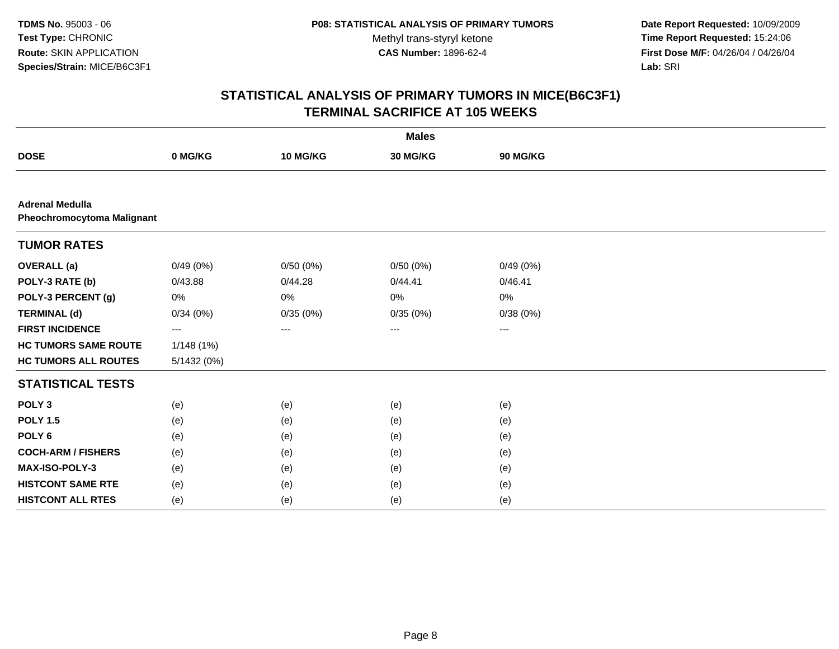**Date Report Requested:** 10/09/2009 **Time Report Requested:** 15:24:06 **First Dose M/F:** 04/26/04 / 04/26/04 Lab: SRI **Lab:** SRI

|                                                      |             |          | <b>Males</b> |          |  |
|------------------------------------------------------|-------------|----------|--------------|----------|--|
| <b>DOSE</b>                                          | 0 MG/KG     | 10 MG/KG | 30 MG/KG     | 90 MG/KG |  |
|                                                      |             |          |              |          |  |
| <b>Adrenal Medulla</b><br>Pheochromocytoma Malignant |             |          |              |          |  |
| <b>TUMOR RATES</b>                                   |             |          |              |          |  |
| <b>OVERALL</b> (a)                                   | 0/49(0%)    | 0/50(0%) | 0/50(0%)     | 0/49(0%) |  |
| POLY-3 RATE (b)                                      | 0/43.88     | 0/44.28  | 0/44.41      | 0/46.41  |  |
| POLY-3 PERCENT (g)                                   | 0%          | 0%       | 0%           | 0%       |  |
| <b>TERMINAL (d)</b>                                  | 0/34(0%)    | 0/35(0%) | 0/35(0%)     | 0/38(0%) |  |
| <b>FIRST INCIDENCE</b>                               | $\cdots$    | ---      | $---$        | $\cdots$ |  |
| <b>HC TUMORS SAME ROUTE</b>                          | 1/148(1%)   |          |              |          |  |
| <b>HC TUMORS ALL ROUTES</b>                          | 5/1432 (0%) |          |              |          |  |
| <b>STATISTICAL TESTS</b>                             |             |          |              |          |  |
| POLY <sub>3</sub>                                    | (e)         | (e)      | (e)          | (e)      |  |
| <b>POLY 1.5</b>                                      | (e)         | (e)      | (e)          | (e)      |  |
| POLY <sub>6</sub>                                    | (e)         | (e)      | (e)          | (e)      |  |
| <b>COCH-ARM / FISHERS</b>                            | (e)         | (e)      | (e)          | (e)      |  |
| MAX-ISO-POLY-3                                       | (e)         | (e)      | (e)          | (e)      |  |
| <b>HISTCONT SAME RTE</b>                             | (e)         | (e)      | (e)          | (e)      |  |
| <b>HISTCONT ALL RTES</b>                             | (e)         | (e)      | (e)          | (e)      |  |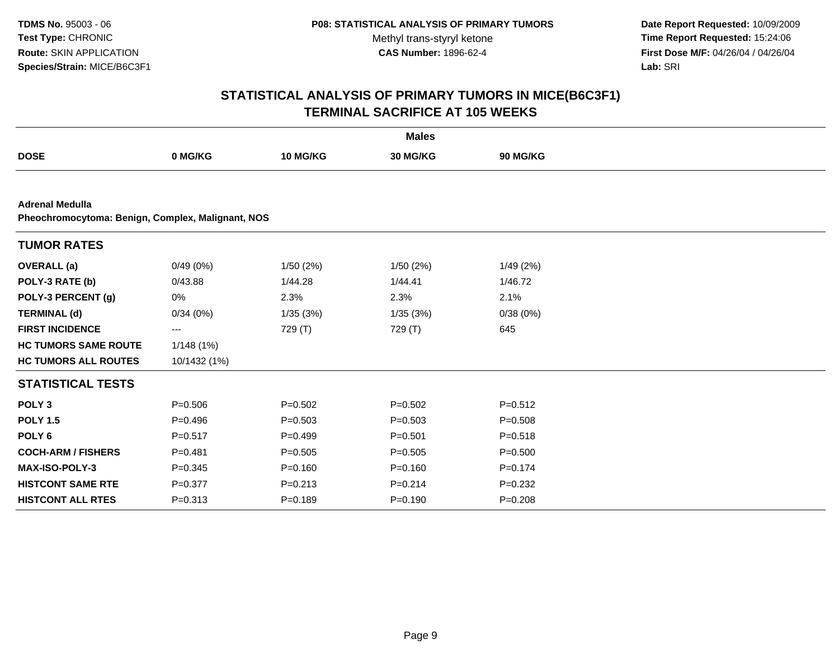**Date Report Requested:** 10/09/2009 **Time Report Requested:** 15:24:06 **First Dose M/F:** 04/26/04 / 04/26/04 Lab: SRI **Lab:** SRI

|                                                                             |              |             | <b>Males</b> |             |  |
|-----------------------------------------------------------------------------|--------------|-------------|--------------|-------------|--|
| <b>DOSE</b>                                                                 | 0 MG/KG      | 10 MG/KG    | 30 MG/KG     | 90 MG/KG    |  |
|                                                                             |              |             |              |             |  |
| <b>Adrenal Medulla</b><br>Pheochromocytoma: Benign, Complex, Malignant, NOS |              |             |              |             |  |
| <b>TUMOR RATES</b>                                                          |              |             |              |             |  |
| <b>OVERALL</b> (a)                                                          | 0/49(0%)     | 1/50(2%)    | 1/50(2%)     | 1/49 (2%)   |  |
| POLY-3 RATE (b)                                                             | 0/43.88      | 1/44.28     | 1/44.41      | 1/46.72     |  |
| POLY-3 PERCENT (g)                                                          | 0%           | 2.3%        | 2.3%         | 2.1%        |  |
| <b>TERMINAL (d)</b>                                                         | 0/34(0%)     | 1/35(3%)    | 1/35(3%)     | 0/38(0%)    |  |
| <b>FIRST INCIDENCE</b>                                                      | ---          | 729 (T)     | 729 (T)      | 645         |  |
| <b>HC TUMORS SAME ROUTE</b>                                                 | 1/148 (1%)   |             |              |             |  |
| <b>HC TUMORS ALL ROUTES</b>                                                 | 10/1432 (1%) |             |              |             |  |
| <b>STATISTICAL TESTS</b>                                                    |              |             |              |             |  |
| POLY <sub>3</sub>                                                           | $P = 0.506$  | $P = 0.502$ | $P=0.502$    | $P = 0.512$ |  |
| <b>POLY 1.5</b>                                                             | $P=0.496$    | $P = 0.503$ | $P = 0.503$  | $P = 0.508$ |  |
| POLY <sub>6</sub>                                                           | $P = 0.517$  | $P=0.499$   | $P = 0.501$  | $P = 0.518$ |  |
| <b>COCH-ARM / FISHERS</b>                                                   | $P = 0.481$  | $P = 0.505$ | $P = 0.505$  | $P = 0.500$ |  |
| <b>MAX-ISO-POLY-3</b>                                                       | $P = 0.345$  | $P = 0.160$ | $P = 0.160$  | $P=0.174$   |  |
| <b>HISTCONT SAME RTE</b>                                                    | $P = 0.377$  | $P = 0.213$ | $P = 0.214$  | $P = 0.232$ |  |
| <b>HISTCONT ALL RTES</b>                                                    | $P = 0.313$  | $P = 0.189$ | $P = 0.190$  | $P = 0.208$ |  |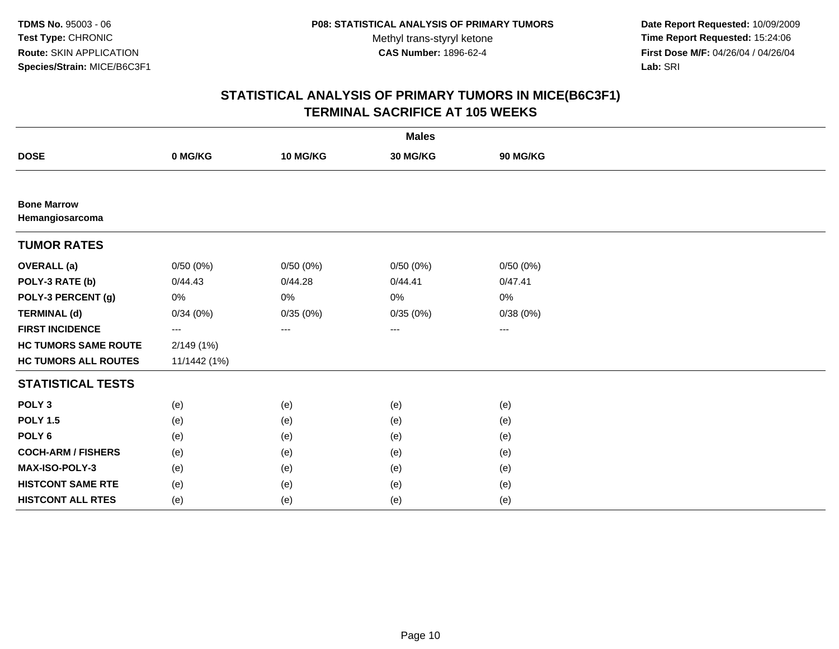**Date Report Requested:** 10/09/2009 **Time Report Requested:** 15:24:06 **First Dose M/F:** 04/26/04 / 04/26/04 Lab: SRI **Lab:** SRI

|                                       |              |          | <b>Males</b> |          |  |
|---------------------------------------|--------------|----------|--------------|----------|--|
| <b>DOSE</b>                           | 0 MG/KG      | 10 MG/KG | 30 MG/KG     | 90 MG/KG |  |
|                                       |              |          |              |          |  |
| <b>Bone Marrow</b><br>Hemangiosarcoma |              |          |              |          |  |
| <b>TUMOR RATES</b>                    |              |          |              |          |  |
| <b>OVERALL</b> (a)                    | 0/50(0%)     | 0/50(0%) | 0/50(0%)     | 0/50(0%) |  |
| POLY-3 RATE (b)                       | 0/44.43      | 0/44.28  | 0/44.41      | 0/47.41  |  |
| POLY-3 PERCENT (g)                    | $0\%$        | 0%       | 0%           | 0%       |  |
| <b>TERMINAL (d)</b>                   | 0/34(0%)     | 0/35(0%) | 0/35(0%)     | 0/38(0%) |  |
| <b>FIRST INCIDENCE</b>                | $---$        | ---      | ---          | ---      |  |
| <b>HC TUMORS SAME ROUTE</b>           | 2/149(1%)    |          |              |          |  |
| <b>HC TUMORS ALL ROUTES</b>           | 11/1442 (1%) |          |              |          |  |
| <b>STATISTICAL TESTS</b>              |              |          |              |          |  |
| POLY <sub>3</sub>                     | (e)          | (e)      | (e)          | (e)      |  |
| <b>POLY 1.5</b>                       | (e)          | (e)      | (e)          | (e)      |  |
| POLY <sub>6</sub>                     | (e)          | (e)      | (e)          | (e)      |  |
| <b>COCH-ARM / FISHERS</b>             | (e)          | (e)      | (e)          | (e)      |  |
| <b>MAX-ISO-POLY-3</b>                 | (e)          | (e)      | (e)          | (e)      |  |
| <b>HISTCONT SAME RTE</b>              | (e)          | (e)      | (e)          | (e)      |  |
| <b>HISTCONT ALL RTES</b>              | (e)          | (e)      | (e)          | (e)      |  |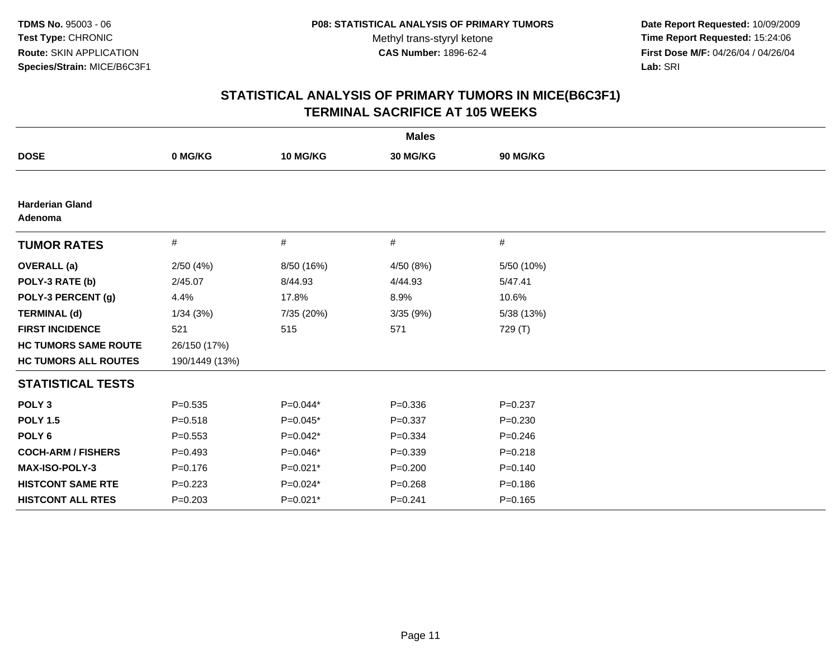**Date Report Requested:** 10/09/2009 **Time Report Requested:** 15:24:06 **First Dose M/F:** 04/26/04 / 04/26/04 Lab: SRI **Lab:** SRI

| <b>Males</b>                      |                |            |             |             |  |
|-----------------------------------|----------------|------------|-------------|-------------|--|
| <b>DOSE</b>                       | 0 MG/KG        | 10 MG/KG   | 30 MG/KG    | 90 MG/KG    |  |
|                                   |                |            |             |             |  |
| <b>Harderian Gland</b><br>Adenoma |                |            |             |             |  |
| <b>TUMOR RATES</b>                | $\#$           | $\#$       | #           | #           |  |
| <b>OVERALL</b> (a)                | 2/50(4%)       | 8/50 (16%) | 4/50 (8%)   | 5/50 (10%)  |  |
| POLY-3 RATE (b)                   | 2/45.07        | 8/44.93    | 4/44.93     | 5/47.41     |  |
| POLY-3 PERCENT (g)                | 4.4%           | 17.8%      | 8.9%        | 10.6%       |  |
| <b>TERMINAL (d)</b>               | 1/34(3%)       | 7/35 (20%) | 3/35 (9%)   | 5/38 (13%)  |  |
| <b>FIRST INCIDENCE</b>            | 521            | 515        | 571         | 729 (T)     |  |
| <b>HC TUMORS SAME ROUTE</b>       | 26/150 (17%)   |            |             |             |  |
| <b>HC TUMORS ALL ROUTES</b>       | 190/1449 (13%) |            |             |             |  |
| <b>STATISTICAL TESTS</b>          |                |            |             |             |  |
| POLY <sub>3</sub>                 | $P = 0.535$    | $P=0.044*$ | $P = 0.336$ | $P=0.237$   |  |
| <b>POLY 1.5</b>                   | $P = 0.518$    | $P=0.045*$ | $P = 0.337$ | $P = 0.230$ |  |
| POLY <sub>6</sub>                 | $P = 0.553$    | $P=0.042*$ | $P = 0.334$ | $P = 0.246$ |  |
| <b>COCH-ARM / FISHERS</b>         | $P=0.493$      | $P=0.046*$ | $P = 0.339$ | $P = 0.218$ |  |
| <b>MAX-ISO-POLY-3</b>             | $P = 0.176$    | $P=0.021*$ | $P = 0.200$ | $P = 0.140$ |  |
| <b>HISTCONT SAME RTE</b>          | $P=0.223$      | $P=0.024*$ | $P = 0.268$ | $P = 0.186$ |  |
| <b>HISTCONT ALL RTES</b>          | $P = 0.203$    | $P=0.021*$ | $P = 0.241$ | $P=0.165$   |  |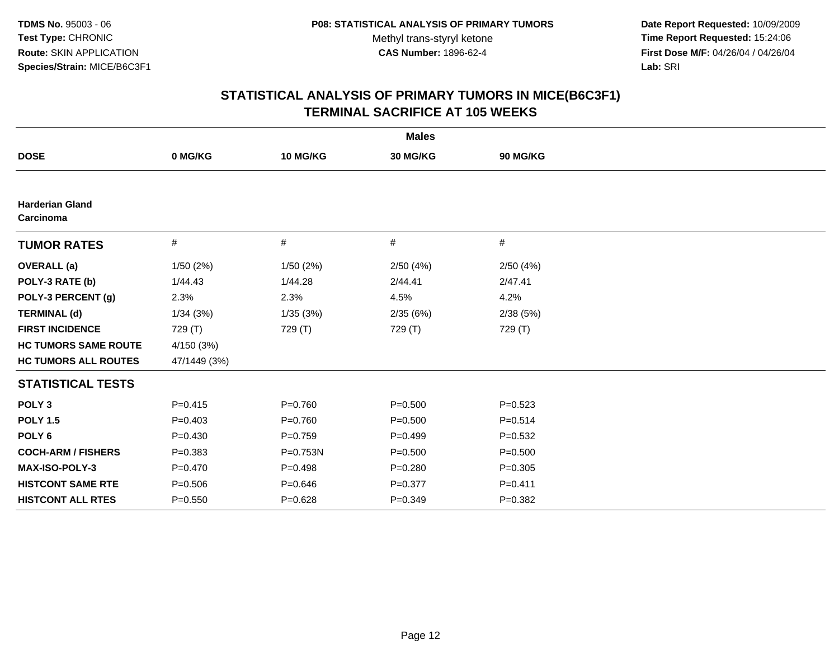**Date Report Requested:** 10/09/2009 **Time Report Requested:** 15:24:06 **First Dose M/F:** 04/26/04 / 04/26/04 Lab: SRI **Lab:** SRI

|                                     |              |             | <b>Males</b> |             |  |
|-------------------------------------|--------------|-------------|--------------|-------------|--|
| <b>DOSE</b>                         | 0 MG/KG      | 10 MG/KG    | 30 MG/KG     | 90 MG/KG    |  |
|                                     |              |             |              |             |  |
| <b>Harderian Gland</b><br>Carcinoma |              |             |              |             |  |
| <b>TUMOR RATES</b>                  | #            | #           | #            | #           |  |
| <b>OVERALL</b> (a)                  | 1/50(2%)     | 1/50(2%)    | 2/50(4%)     | 2/50(4%)    |  |
| POLY-3 RATE (b)                     | 1/44.43      | 1/44.28     | 2/44.41      | 2/47.41     |  |
| POLY-3 PERCENT (g)                  | 2.3%         | 2.3%        | 4.5%         | 4.2%        |  |
| <b>TERMINAL (d)</b>                 | 1/34(3%)     | 1/35(3%)    | 2/35(6%)     | 2/38(5%)    |  |
| <b>FIRST INCIDENCE</b>              | 729 (T)      | 729 (T)     | 729 (T)      | 729 (T)     |  |
| <b>HC TUMORS SAME ROUTE</b>         | 4/150 (3%)   |             |              |             |  |
| <b>HC TUMORS ALL ROUTES</b>         | 47/1449 (3%) |             |              |             |  |
| <b>STATISTICAL TESTS</b>            |              |             |              |             |  |
| POLY <sub>3</sub>                   | $P=0.415$    | $P=0.760$   | $P = 0.500$  | $P=0.523$   |  |
| <b>POLY 1.5</b>                     | $P=0.403$    | $P=0.760$   | $P = 0.500$  | $P = 0.514$ |  |
| POLY <sub>6</sub>                   | $P=0.430$    | $P=0.759$   | $P=0.499$    | $P=0.532$   |  |
| <b>COCH-ARM / FISHERS</b>           | $P = 0.383$  | P=0.753N    | $P = 0.500$  | $P = 0.500$ |  |
| <b>MAX-ISO-POLY-3</b>               | $P = 0.470$  | $P = 0.498$ | $P = 0.280$  | $P = 0.305$ |  |
| <b>HISTCONT SAME RTE</b>            | $P = 0.506$  | $P = 0.646$ | $P = 0.377$  | $P=0.411$   |  |
| <b>HISTCONT ALL RTES</b>            | $P = 0.550$  | $P = 0.628$ | $P=0.349$    | $P=0.382$   |  |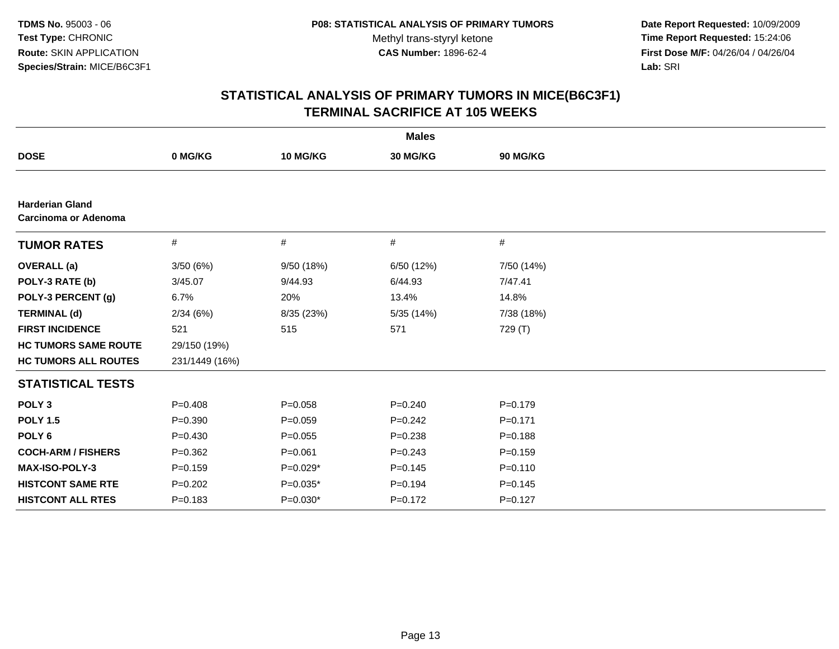**Date Report Requested:** 10/09/2009 **Time Report Requested:** 15:24:06 **First Dose M/F:** 04/26/04 / 04/26/04 Lab: SRI **Lab:** SRI

|                                                       |                |             | <b>Males</b> |             |  |
|-------------------------------------------------------|----------------|-------------|--------------|-------------|--|
| <b>DOSE</b>                                           | 0 MG/KG        | 10 MG/KG    | 30 MG/KG     | 90 MG/KG    |  |
|                                                       |                |             |              |             |  |
| <b>Harderian Gland</b><br><b>Carcinoma or Adenoma</b> |                |             |              |             |  |
| <b>TUMOR RATES</b>                                    | #              | #           | #            | #           |  |
| <b>OVERALL</b> (a)                                    | 3/50(6%)       | 9/50 (18%)  | 6/50 (12%)   | 7/50 (14%)  |  |
| POLY-3 RATE (b)                                       | 3/45.07        | 9/44.93     | 6/44.93      | 7/47.41     |  |
| POLY-3 PERCENT (g)                                    | 6.7%           | 20%         | 13.4%        | 14.8%       |  |
| <b>TERMINAL (d)</b>                                   | 2/34(6%)       | 8/35 (23%)  | 5/35 (14%)   | 7/38 (18%)  |  |
| <b>FIRST INCIDENCE</b>                                | 521            | 515         | 571          | 729 (T)     |  |
| <b>HC TUMORS SAME ROUTE</b>                           | 29/150 (19%)   |             |              |             |  |
| <b>HC TUMORS ALL ROUTES</b>                           | 231/1449 (16%) |             |              |             |  |
| <b>STATISTICAL TESTS</b>                              |                |             |              |             |  |
| POLY <sub>3</sub>                                     | $P = 0.408$    | $P = 0.058$ | $P = 0.240$  | $P = 0.179$ |  |
| <b>POLY 1.5</b>                                       | $P=0.390$      | $P=0.059$   | $P=0.242$    | $P = 0.171$ |  |
| POLY <sub>6</sub>                                     | $P=0.430$      | $P=0.055$   | $P = 0.238$  | $P = 0.188$ |  |
| <b>COCH-ARM / FISHERS</b>                             | $P = 0.362$    | $P = 0.061$ | $P = 0.243$  | $P = 0.159$ |  |
| MAX-ISO-POLY-3                                        | $P = 0.159$    | P=0.029*    | $P = 0.145$  | $P = 0.110$ |  |
| <b>HISTCONT SAME RTE</b>                              | $P=0.202$      | $P=0.035*$  | $P = 0.194$  | $P = 0.145$ |  |
| <b>HISTCONT ALL RTES</b>                              | $P = 0.183$    | $P=0.030*$  | $P=0.172$    | $P=0.127$   |  |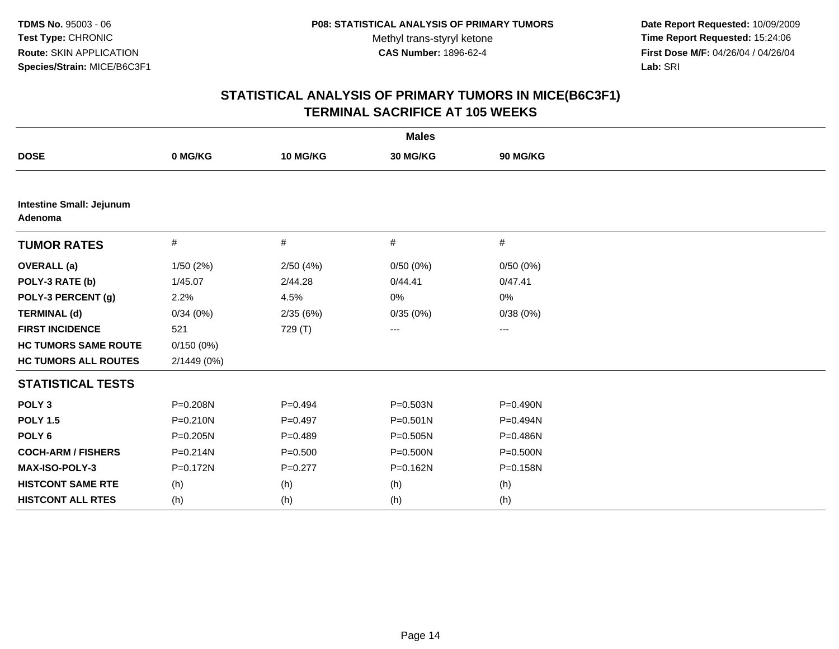**Date Report Requested:** 10/09/2009 **Time Report Requested:** 15:24:06 **First Dose M/F:** 04/26/04 / 04/26/04 Lab: SRI **Lab:** SRI

|                                            |              |             | <b>Males</b> |          |
|--------------------------------------------|--------------|-------------|--------------|----------|
| <b>DOSE</b>                                | 0 MG/KG      | 10 MG/KG    | 30 MG/KG     | 90 MG/KG |
|                                            |              |             |              |          |
| <b>Intestine Small: Jejunum</b><br>Adenoma |              |             |              |          |
| <b>TUMOR RATES</b>                         | $\#$         | #           | #            | #        |
| <b>OVERALL</b> (a)                         | 1/50(2%)     | 2/50(4%)    | 0/50(0%)     | 0/50(0%) |
| POLY-3 RATE (b)                            | 1/45.07      | 2/44.28     | 0/44.41      | 0/47.41  |
| POLY-3 PERCENT (g)                         | 2.2%         | 4.5%        | 0%           | 0%       |
| <b>TERMINAL (d)</b>                        | 0/34(0%)     | 2/35(6%)    | 0/35(0%)     | 0/38(0%) |
| <b>FIRST INCIDENCE</b>                     | 521          | 729 (T)     | $--$         | ---      |
| <b>HC TUMORS SAME ROUTE</b>                | 0/150(0%)    |             |              |          |
| <b>HC TUMORS ALL ROUTES</b>                | 2/1449 (0%)  |             |              |          |
| <b>STATISTICAL TESTS</b>                   |              |             |              |          |
| POLY <sub>3</sub>                          | P=0.208N     | $P=0.494$   | P=0.503N     | P=0.490N |
| <b>POLY 1.5</b>                            | $P = 0.210N$ | $P=0.497$   | $P = 0.501N$ | P=0.494N |
| POLY <sub>6</sub>                          | $P = 0.205N$ | $P=0.489$   | $P = 0.505N$ | P=0.486N |
| <b>COCH-ARM / FISHERS</b>                  | $P = 0.214N$ | $P = 0.500$ | $P = 0.500N$ | P=0.500N |
| <b>MAX-ISO-POLY-3</b>                      | $P = 0.172N$ | $P=0.277$   | $P = 0.162N$ | P=0.158N |
| <b>HISTCONT SAME RTE</b>                   | (h)          | (h)         | (h)          | (h)      |
| <b>HISTCONT ALL RTES</b>                   | (h)          | (h)         | (h)          | (h)      |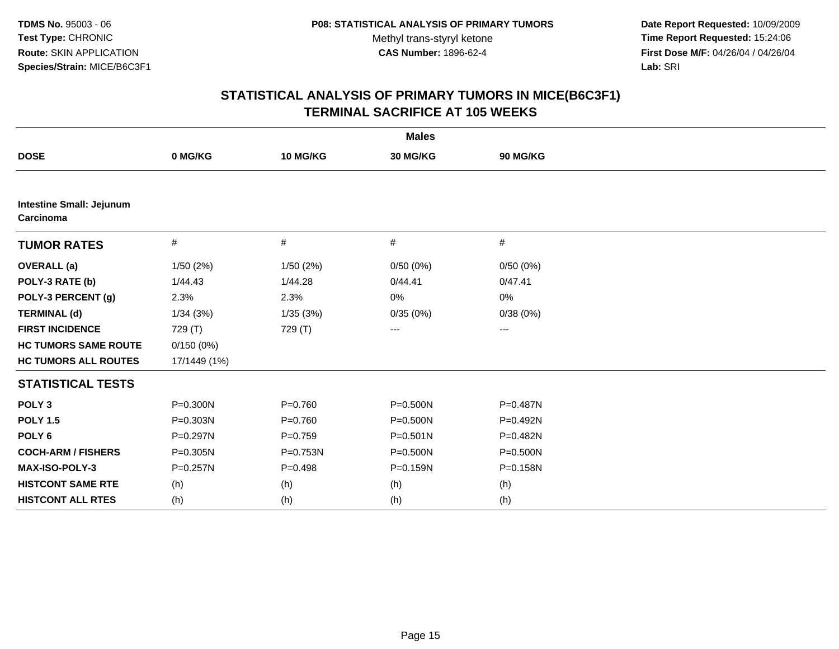**Date Report Requested:** 10/09/2009 **Time Report Requested:** 15:24:06 **First Dose M/F:** 04/26/04 / 04/26/04 Lab: SRI **Lab:** SRI

| <b>Males</b>                                 |              |             |              |                   |  |
|----------------------------------------------|--------------|-------------|--------------|-------------------|--|
| <b>DOSE</b>                                  | 0 MG/KG      | 10 MG/KG    | 30 MG/KG     | 90 MG/KG          |  |
|                                              |              |             |              |                   |  |
| <b>Intestine Small: Jejunum</b><br>Carcinoma |              |             |              |                   |  |
| <b>TUMOR RATES</b>                           | $\#$         | #           | #            | #                 |  |
| <b>OVERALL</b> (a)                           | 1/50(2%)     | 1/50(2%)    | 0/50(0%)     | 0/50(0%)          |  |
| POLY-3 RATE (b)                              | 1/44.43      | 1/44.28     | 0/44.41      | 0/47.41           |  |
| POLY-3 PERCENT (g)                           | 2.3%         | 2.3%        | 0%           | 0%                |  |
| <b>TERMINAL (d)</b>                          | 1/34(3%)     | 1/35(3%)    | 0/35(0%)     | 0/38(0%)          |  |
| <b>FIRST INCIDENCE</b>                       | 729 (T)      | 729 (T)     | ---          | $\qquad \qquad -$ |  |
| <b>HC TUMORS SAME ROUTE</b>                  | 0/150(0%)    |             |              |                   |  |
| <b>HC TUMORS ALL ROUTES</b>                  | 17/1449 (1%) |             |              |                   |  |
| <b>STATISTICAL TESTS</b>                     |              |             |              |                   |  |
| POLY <sub>3</sub>                            | P=0.300N     | $P = 0.760$ | $P = 0.500N$ | P=0.487N          |  |
| <b>POLY 1.5</b>                              | $P = 0.303N$ | $P = 0.760$ | $P = 0.500N$ | $P = 0.492N$      |  |
| POLY <sub>6</sub>                            | P=0.297N     | $P=0.759$   | $P = 0.501N$ | P=0.482N          |  |
| <b>COCH-ARM / FISHERS</b>                    | $P = 0.305N$ | P=0.753N    | $P = 0.500N$ | P=0.500N          |  |
| <b>MAX-ISO-POLY-3</b>                        | P=0.257N     | $P = 0.498$ | $P = 0.159N$ | P=0.158N          |  |
| <b>HISTCONT SAME RTE</b>                     | (h)          | (h)         | (h)          | (h)               |  |
| <b>HISTCONT ALL RTES</b>                     | (h)          | (h)         | (h)          | (h)               |  |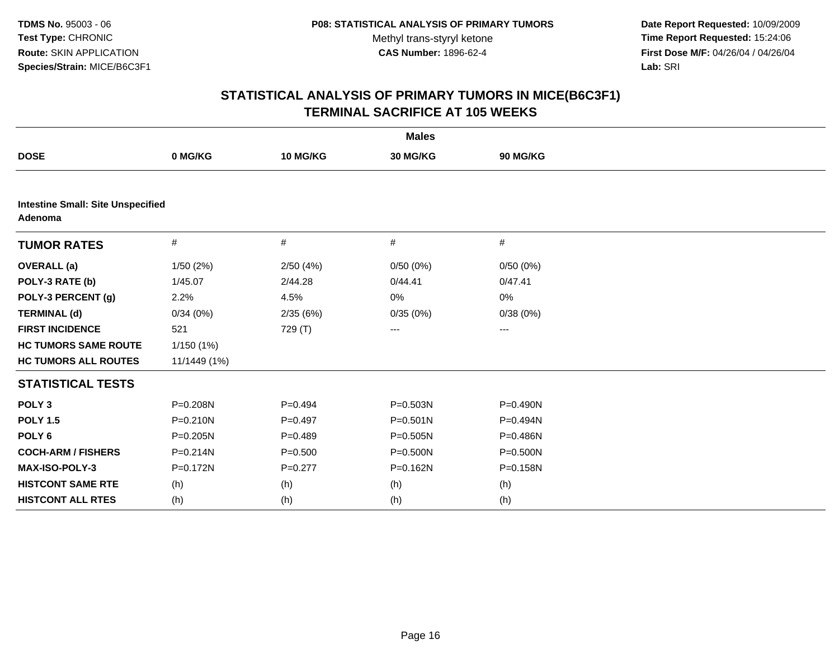**Date Report Requested:** 10/09/2009 **Time Report Requested:** 15:24:06 **First Dose M/F:** 04/26/04 / 04/26/04 Lab: SRI **Lab:** SRI

|                                                     |              |             | <b>Males</b> |          |  |  |  |
|-----------------------------------------------------|--------------|-------------|--------------|----------|--|--|--|
| <b>DOSE</b>                                         | 0 MG/KG      | 10 MG/KG    | 30 MG/KG     | 90 MG/KG |  |  |  |
|                                                     |              |             |              |          |  |  |  |
| <b>Intestine Small: Site Unspecified</b><br>Adenoma |              |             |              |          |  |  |  |
| <b>TUMOR RATES</b>                                  | #            | #           | #            | #        |  |  |  |
| <b>OVERALL</b> (a)                                  | 1/50(2%)     | 2/50(4%)    | 0/50(0%)     | 0/50(0%) |  |  |  |
| POLY-3 RATE (b)                                     | 1/45.07      | 2/44.28     | 0/44.41      | 0/47.41  |  |  |  |
| POLY-3 PERCENT (g)                                  | 2.2%         | 4.5%        | 0%           | 0%       |  |  |  |
| <b>TERMINAL (d)</b>                                 | 0/34(0%)     | 2/35(6%)    | 0/35(0%)     | 0/38(0%) |  |  |  |
| <b>FIRST INCIDENCE</b>                              | 521          | 729 (T)     | ---          | ---      |  |  |  |
| <b>HC TUMORS SAME ROUTE</b>                         | 1/150(1%)    |             |              |          |  |  |  |
| <b>HC TUMORS ALL ROUTES</b>                         | 11/1449 (1%) |             |              |          |  |  |  |
| <b>STATISTICAL TESTS</b>                            |              |             |              |          |  |  |  |
| POLY <sub>3</sub>                                   | P=0.208N     | $P=0.494$   | P=0.503N     | P=0.490N |  |  |  |
| <b>POLY 1.5</b>                                     | $P = 0.210N$ | $P=0.497$   | $P = 0.501N$ | P=0.494N |  |  |  |
| POLY <sub>6</sub>                                   | $P = 0.205N$ | $P=0.489$   | $P = 0.505N$ | P=0.486N |  |  |  |
| <b>COCH-ARM / FISHERS</b>                           | P=0.214N     | $P = 0.500$ | P=0.500N     | P=0.500N |  |  |  |
| MAX-ISO-POLY-3                                      | $P = 0.172N$ | $P=0.277$   | $P = 0.162N$ | P=0.158N |  |  |  |
| <b>HISTCONT SAME RTE</b>                            | (h)          | (h)         | (h)          | (h)      |  |  |  |
| <b>HISTCONT ALL RTES</b>                            | (h)          | (h)         | (h)          | (h)      |  |  |  |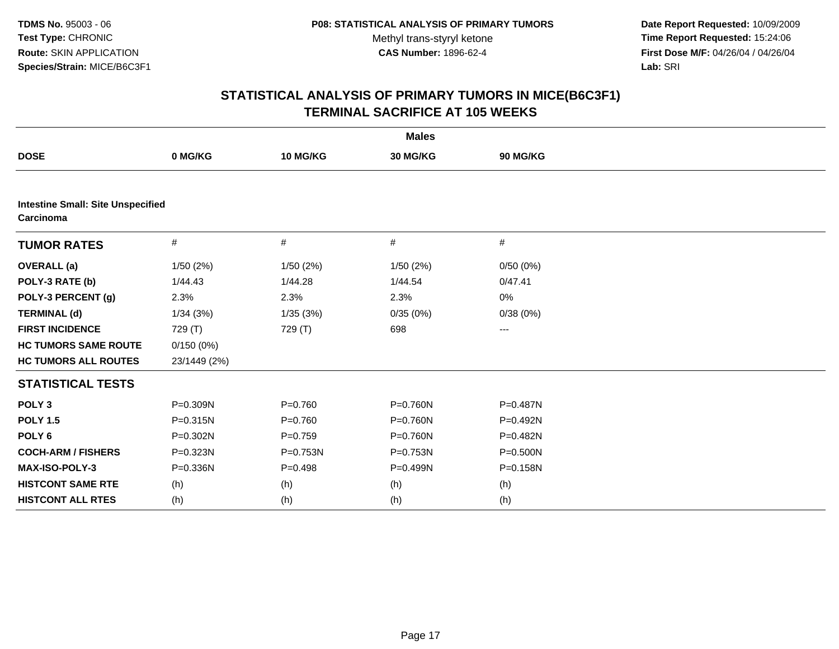**Date Report Requested:** 10/09/2009 **Time Report Requested:** 15:24:06 **First Dose M/F:** 04/26/04 / 04/26/04 Lab: SRI **Lab:** SRI

|                                                       |              |             | <b>Males</b> |          |  |
|-------------------------------------------------------|--------------|-------------|--------------|----------|--|
| <b>DOSE</b>                                           | 0 MG/KG      | 10 MG/KG    | 30 MG/KG     | 90 MG/KG |  |
|                                                       |              |             |              |          |  |
| <b>Intestine Small: Site Unspecified</b><br>Carcinoma |              |             |              |          |  |
| <b>TUMOR RATES</b>                                    | #            | #           | #            | #        |  |
| <b>OVERALL</b> (a)                                    | 1/50(2%)     | 1/50(2%)    | 1/50(2%)     | 0/50(0%) |  |
| POLY-3 RATE (b)                                       | 1/44.43      | 1/44.28     | 1/44.54      | 0/47.41  |  |
| POLY-3 PERCENT (g)                                    | 2.3%         | 2.3%        | 2.3%         | 0%       |  |
| <b>TERMINAL (d)</b>                                   | 1/34(3%)     | 1/35(3%)    | 0/35(0%)     | 0/38(0%) |  |
| <b>FIRST INCIDENCE</b>                                | 729 (T)      | 729 (T)     | 698          | ---      |  |
| <b>HC TUMORS SAME ROUTE</b>                           | 0/150(0%)    |             |              |          |  |
| <b>HC TUMORS ALL ROUTES</b>                           | 23/1449 (2%) |             |              |          |  |
| <b>STATISTICAL TESTS</b>                              |              |             |              |          |  |
| POLY <sub>3</sub>                                     | P=0.309N     | $P = 0.760$ | P=0.760N     | P=0.487N |  |
| <b>POLY 1.5</b>                                       | $P = 0.315N$ | $P = 0.760$ | P=0.760N     | P=0.492N |  |
| POLY <sub>6</sub>                                     | P=0.302N     | $P=0.759$   | $P = 0.760N$ | P=0.482N |  |
| <b>COCH-ARM / FISHERS</b>                             | P=0.323N     | P=0.753N    | $P = 0.753N$ | P=0.500N |  |
| MAX-ISO-POLY-3                                        | P=0.336N     | $P = 0.498$ | P=0.499N     | P=0.158N |  |
| <b>HISTCONT SAME RTE</b>                              | (h)          | (h)         | (h)          | (h)      |  |
| <b>HISTCONT ALL RTES</b>                              | (h)          | (h)         | (h)          | (h)      |  |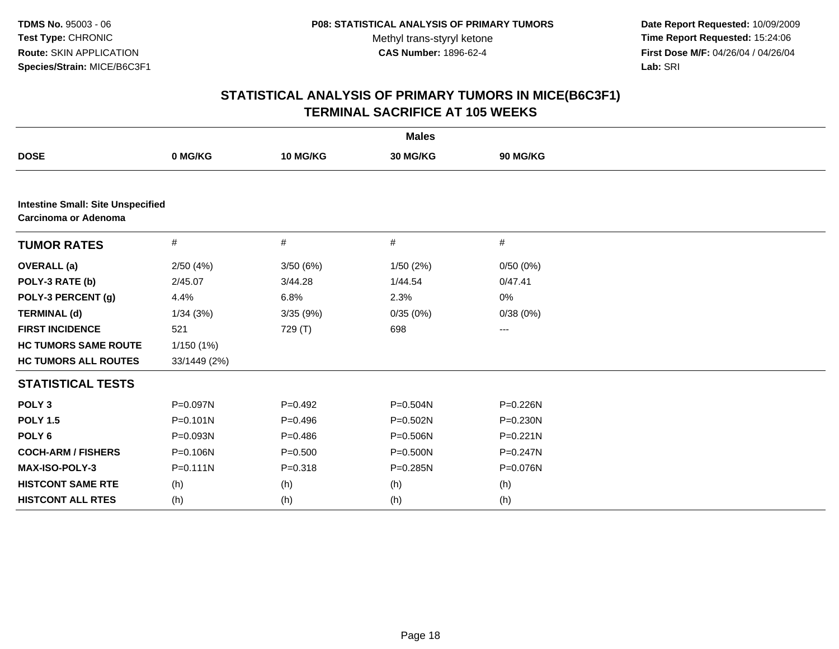**Date Report Requested:** 10/09/2009 **Time Report Requested:** 15:24:06 **First Dose M/F:** 04/26/04 / 04/26/04 Lab: SRI **Lab:** SRI

|                                                                  |              |             | <b>Males</b> |              |  |  |  |
|------------------------------------------------------------------|--------------|-------------|--------------|--------------|--|--|--|
| <b>DOSE</b>                                                      | 0 MG/KG      | 10 MG/KG    | 30 MG/KG     | 90 MG/KG     |  |  |  |
|                                                                  |              |             |              |              |  |  |  |
| <b>Intestine Small: Site Unspecified</b><br>Carcinoma or Adenoma |              |             |              |              |  |  |  |
| <b>TUMOR RATES</b>                                               | #            | #           | $\#$         | #            |  |  |  |
| <b>OVERALL</b> (a)                                               | 2/50(4%)     | 3/50 (6%)   | 1/50(2%)     | 0/50(0%)     |  |  |  |
| POLY-3 RATE (b)                                                  | 2/45.07      | 3/44.28     | 1/44.54      | 0/47.41      |  |  |  |
| POLY-3 PERCENT (g)                                               | 4.4%         | 6.8%        | 2.3%         | 0%           |  |  |  |
| <b>TERMINAL (d)</b>                                              | 1/34(3%)     | 3/35(9%)    | 0/35(0%)     | 0/38(0%)     |  |  |  |
| <b>FIRST INCIDENCE</b>                                           | 521          | 729 (T)     | 698          | ---          |  |  |  |
| <b>HC TUMORS SAME ROUTE</b>                                      | 1/150(1%)    |             |              |              |  |  |  |
| <b>HC TUMORS ALL ROUTES</b>                                      | 33/1449 (2%) |             |              |              |  |  |  |
| <b>STATISTICAL TESTS</b>                                         |              |             |              |              |  |  |  |
| POLY <sub>3</sub>                                                | P=0.097N     | $P=0.492$   | P=0.504N     | P=0.226N     |  |  |  |
| <b>POLY 1.5</b>                                                  | $P = 0.101N$ | $P = 0.496$ | P=0.502N     | P=0.230N     |  |  |  |
| POLY <sub>6</sub>                                                | P=0.093N     | $P=0.486$   | P=0.506N     | $P = 0.221N$ |  |  |  |
| <b>COCH-ARM / FISHERS</b>                                        | P=0.106N     | $P = 0.500$ | $P = 0.500N$ | $P = 0.247N$ |  |  |  |
| MAX-ISO-POLY-3                                                   | $P = 0.111N$ | $P = 0.318$ | P=0.285N     | P=0.076N     |  |  |  |
| <b>HISTCONT SAME RTE</b>                                         | (h)          | (h)         | (h)          | (h)          |  |  |  |
| <b>HISTCONT ALL RTES</b>                                         | (h)          | (h)         | (h)          | (h)          |  |  |  |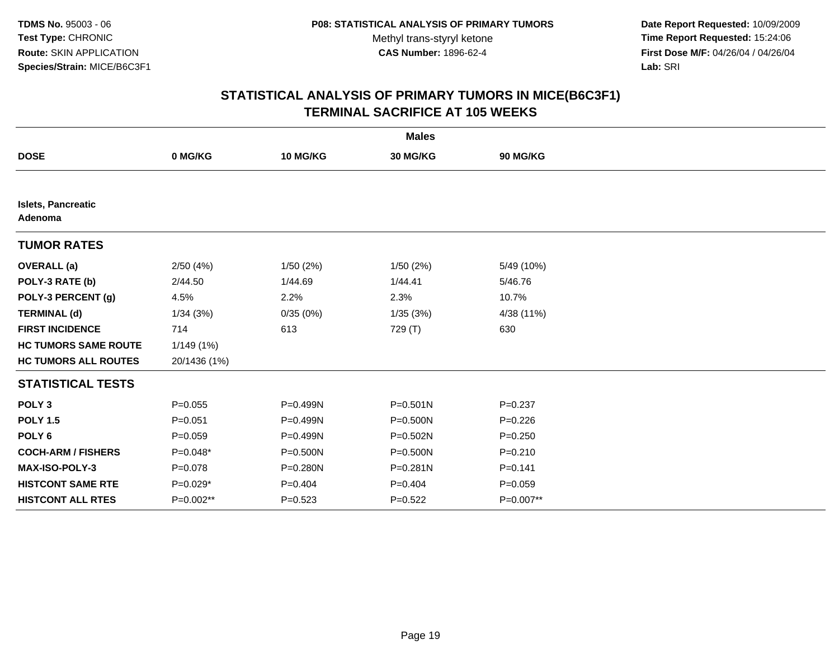**Date Report Requested:** 10/09/2009 **Time Report Requested:** 15:24:06 **First Dose M/F:** 04/26/04 / 04/26/04 Lab: SRI **Lab:** SRI

|                                      |              |              | <b>Males</b> |             |
|--------------------------------------|--------------|--------------|--------------|-------------|
| <b>DOSE</b>                          | 0 MG/KG      | 10 MG/KG     | 30 MG/KG     | 90 MG/KG    |
|                                      |              |              |              |             |
| <b>Islets, Pancreatic</b><br>Adenoma |              |              |              |             |
| <b>TUMOR RATES</b>                   |              |              |              |             |
| <b>OVERALL</b> (a)                   | 2/50(4%)     | 1/50(2%)     | 1/50(2%)     | 5/49 (10%)  |
| POLY-3 RATE (b)                      | 2/44.50      | 1/44.69      | 1/44.41      | 5/46.76     |
| POLY-3 PERCENT (g)                   | 4.5%         | 2.2%         | 2.3%         | 10.7%       |
| <b>TERMINAL (d)</b>                  | 1/34(3%)     | 0/35(0%)     | 1/35(3%)     | 4/38 (11%)  |
| <b>FIRST INCIDENCE</b>               | 714          | 613          | 729 (T)      | 630         |
| <b>HC TUMORS SAME ROUTE</b>          | 1/149(1%)    |              |              |             |
| <b>HC TUMORS ALL ROUTES</b>          | 20/1436 (1%) |              |              |             |
| <b>STATISTICAL TESTS</b>             |              |              |              |             |
| POLY <sub>3</sub>                    | $P=0.055$    | P=0.499N     | $P = 0.501N$ | $P = 0.237$ |
| <b>POLY 1.5</b>                      | $P = 0.051$  | $P = 0.499N$ | P=0.500N     | $P = 0.226$ |
| POLY <sub>6</sub>                    | $P = 0.059$  | P=0.499N     | P=0.502N     | $P = 0.250$ |
| <b>COCH-ARM / FISHERS</b>            | P=0.048*     | $P = 0.500N$ | $P = 0.500N$ | $P = 0.210$ |
| MAX-ISO-POLY-3                       | $P = 0.078$  | $P = 0.280N$ | P=0.281N     | $P = 0.141$ |
| <b>HISTCONT SAME RTE</b>             | $P=0.029*$   | $P=0.404$    | $P=0.404$    | $P = 0.059$ |
| <b>HISTCONT ALL RTES</b>             | P=0.002**    | $P = 0.523$  | $P=0.522$    | P=0.007**   |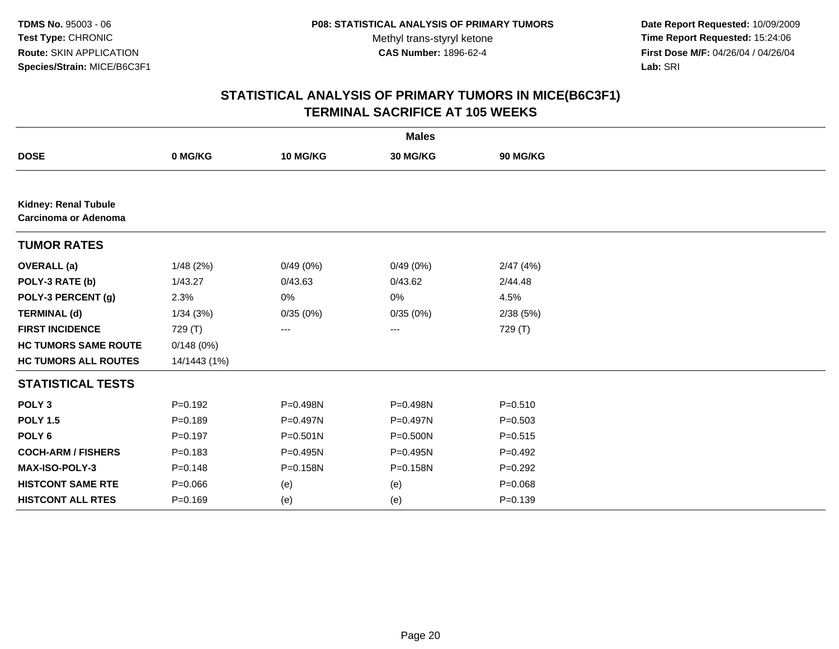**Date Report Requested:** 10/09/2009 **Time Report Requested:** 15:24:06 **First Dose M/F:** 04/26/04 / 04/26/04 Lab: SRI **Lab:** SRI

|                                                            |              |              | <b>Males</b> |             |  |
|------------------------------------------------------------|--------------|--------------|--------------|-------------|--|
| <b>DOSE</b>                                                | 0 MG/KG      | 10 MG/KG     | 30 MG/KG     | 90 MG/KG    |  |
|                                                            |              |              |              |             |  |
| <b>Kidney: Renal Tubule</b><br><b>Carcinoma or Adenoma</b> |              |              |              |             |  |
| <b>TUMOR RATES</b>                                         |              |              |              |             |  |
| <b>OVERALL</b> (a)                                         | 1/48 (2%)    | 0/49(0%)     | 0/49(0%)     | 2/47(4%)    |  |
| POLY-3 RATE (b)                                            | 1/43.27      | 0/43.63      | 0/43.62      | 2/44.48     |  |
| POLY-3 PERCENT (g)                                         | 2.3%         | 0%           | 0%           | 4.5%        |  |
| <b>TERMINAL (d)</b>                                        | 1/34(3%)     | 0/35(0%)     | 0/35(0%)     | 2/38(5%)    |  |
| <b>FIRST INCIDENCE</b>                                     | 729 (T)      | ---          | ---          | 729 (T)     |  |
| <b>HC TUMORS SAME ROUTE</b>                                | 0/148(0%)    |              |              |             |  |
| <b>HC TUMORS ALL ROUTES</b>                                | 14/1443 (1%) |              |              |             |  |
| <b>STATISTICAL TESTS</b>                                   |              |              |              |             |  |
| POLY <sub>3</sub>                                          | $P=0.192$    | P=0.498N     | P=0.498N     | $P = 0.510$ |  |
| <b>POLY 1.5</b>                                            | $P = 0.189$  | P=0.497N     | P=0.497N     | $P = 0.503$ |  |
| POLY <sub>6</sub>                                          | $P=0.197$    | $P = 0.501N$ | $P = 0.500N$ | $P = 0.515$ |  |
| <b>COCH-ARM / FISHERS</b>                                  | $P = 0.183$  | P=0.495N     | P=0.495N     | $P=0.492$   |  |
| MAX-ISO-POLY-3                                             | $P=0.148$    | P=0.158N     | P=0.158N     | $P=0.292$   |  |
| <b>HISTCONT SAME RTE</b>                                   | $P = 0.066$  | (e)          | (e)          | $P = 0.068$ |  |
| <b>HISTCONT ALL RTES</b>                                   | $P=0.169$    | (e)          | (e)          | $P=0.139$   |  |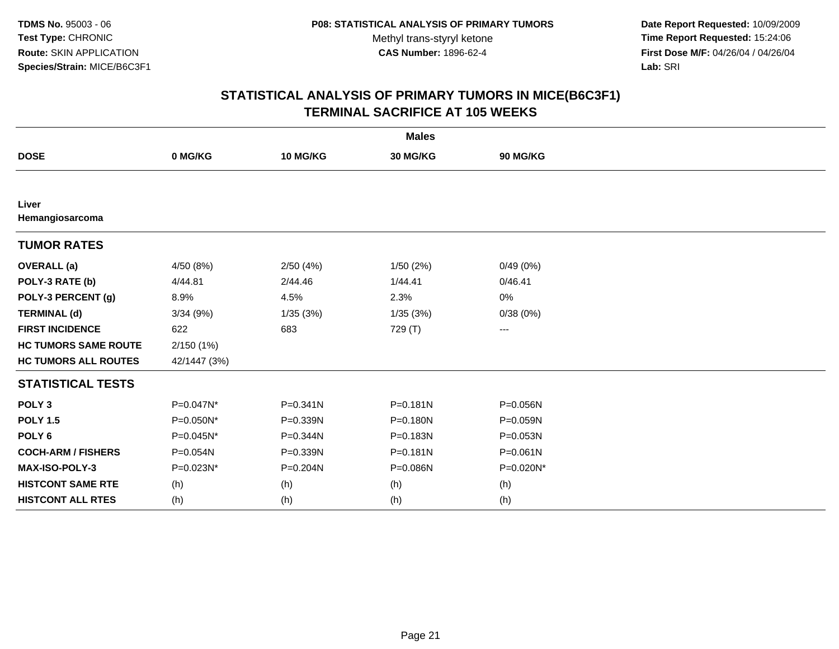**Date Report Requested:** 10/09/2009 **Time Report Requested:** 15:24:06 **First Dose M/F:** 04/26/04 / 04/26/04 Lab: SRI **Lab:** SRI

|                             |              |              | <b>Males</b> |              |
|-----------------------------|--------------|--------------|--------------|--------------|
| <b>DOSE</b>                 | 0 MG/KG      | 10 MG/KG     | 30 MG/KG     | 90 MG/KG     |
|                             |              |              |              |              |
| Liver<br>Hemangiosarcoma    |              |              |              |              |
| <b>TUMOR RATES</b>          |              |              |              |              |
| <b>OVERALL</b> (a)          | 4/50 (8%)    | 2/50(4%)     | 1/50(2%)     | 0/49(0%)     |
| POLY-3 RATE (b)             | 4/44.81      | 2/44.46      | 1/44.41      | 0/46.41      |
| POLY-3 PERCENT (g)          | 8.9%         | 4.5%         | 2.3%         | 0%           |
| <b>TERMINAL (d)</b>         | 3/34(9%)     | 1/35(3%)     | 1/35(3%)     | 0/38(0%)     |
| <b>FIRST INCIDENCE</b>      | 622          | 683          | 729 (T)      | $--$         |
| <b>HC TUMORS SAME ROUTE</b> | 2/150(1%)    |              |              |              |
| <b>HC TUMORS ALL ROUTES</b> | 42/1447 (3%) |              |              |              |
| <b>STATISTICAL TESTS</b>    |              |              |              |              |
| POLY <sub>3</sub>           | P=0.047N*    | $P = 0.341N$ | $P = 0.181N$ | P=0.056N     |
| <b>POLY 1.5</b>             | P=0.050N*    | P=0.339N     | $P = 0.180N$ | P=0.059N     |
| POLY <sub>6</sub>           | P=0.045N*    | P=0.344N     | P=0.183N     | $P = 0.053N$ |
| <b>COCH-ARM / FISHERS</b>   | P=0.054N     | P=0.339N     | $P = 0.181N$ | $P = 0.061N$ |
| MAX-ISO-POLY-3              | P=0.023N*    | P=0.204N     | P=0.086N     | P=0.020N*    |
| <b>HISTCONT SAME RTE</b>    | (h)          | (h)          | (h)          | (h)          |
| <b>HISTCONT ALL RTES</b>    | (h)          | (h)          | (h)          | (h)          |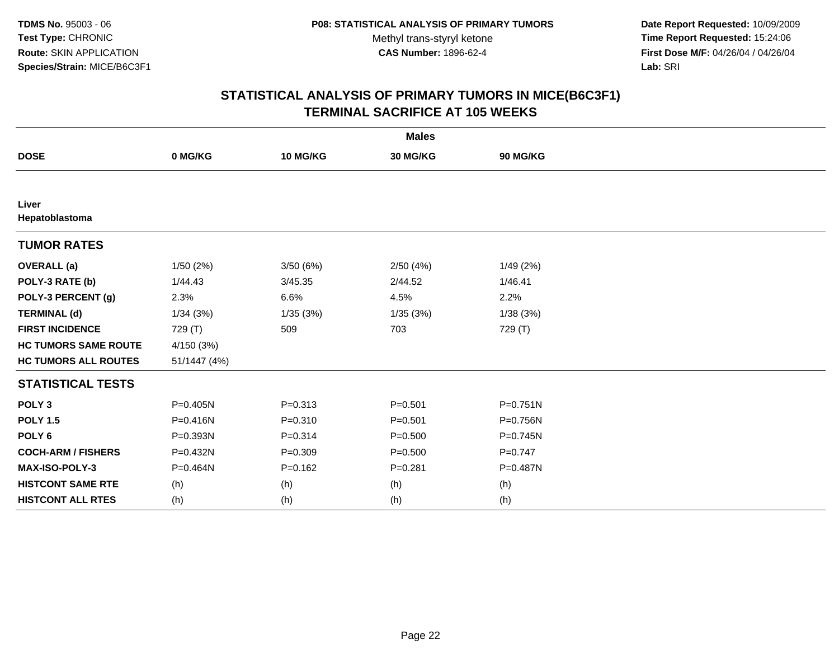**Date Report Requested:** 10/09/2009 **Time Report Requested:** 15:24:06 **First Dose M/F:** 04/26/04 / 04/26/04 Lab: SRI **Lab:** SRI

|                             |              |             | <b>Males</b> |              |
|-----------------------------|--------------|-------------|--------------|--------------|
| <b>DOSE</b>                 | 0 MG/KG      | 10 MG/KG    | 30 MG/KG     | 90 MG/KG     |
|                             |              |             |              |              |
| Liver<br>Hepatoblastoma     |              |             |              |              |
| <b>TUMOR RATES</b>          |              |             |              |              |
| <b>OVERALL</b> (a)          | 1/50(2%)     | 3/50(6%)    | 2/50(4%)     | 1/49(2%)     |
| POLY-3 RATE (b)             | 1/44.43      | 3/45.35     | 2/44.52      | 1/46.41      |
| POLY-3 PERCENT (g)          | 2.3%         | 6.6%        | 4.5%         | 2.2%         |
| <b>TERMINAL (d)</b>         | 1/34(3%)     | 1/35(3%)    | 1/35(3%)     | 1/38(3%)     |
| <b>FIRST INCIDENCE</b>      | 729 (T)      | 509         | 703          | 729 (T)      |
| <b>HC TUMORS SAME ROUTE</b> | 4/150(3%)    |             |              |              |
| <b>HC TUMORS ALL ROUTES</b> | 51/1447 (4%) |             |              |              |
| <b>STATISTICAL TESTS</b>    |              |             |              |              |
| POLY <sub>3</sub>           | P=0.405N     | $P = 0.313$ | $P = 0.501$  | $P = 0.751N$ |
| <b>POLY 1.5</b>             | P=0.416N     | $P = 0.310$ | $P = 0.501$  | P=0.756N     |
| POLY <sub>6</sub>           | P=0.393N     | $P = 0.314$ | $P = 0.500$  | $P = 0.745N$ |
| <b>COCH-ARM / FISHERS</b>   | P=0.432N     | $P = 0.309$ | $P = 0.500$  | $P=0.747$    |
| <b>MAX-ISO-POLY-3</b>       | P=0.464N     | $P=0.162$   | $P = 0.281$  | P=0.487N     |
| <b>HISTCONT SAME RTE</b>    | (h)          | (h)         | (h)          | (h)          |
| <b>HISTCONT ALL RTES</b>    | (h)          | (h)         | (h)          | (h)          |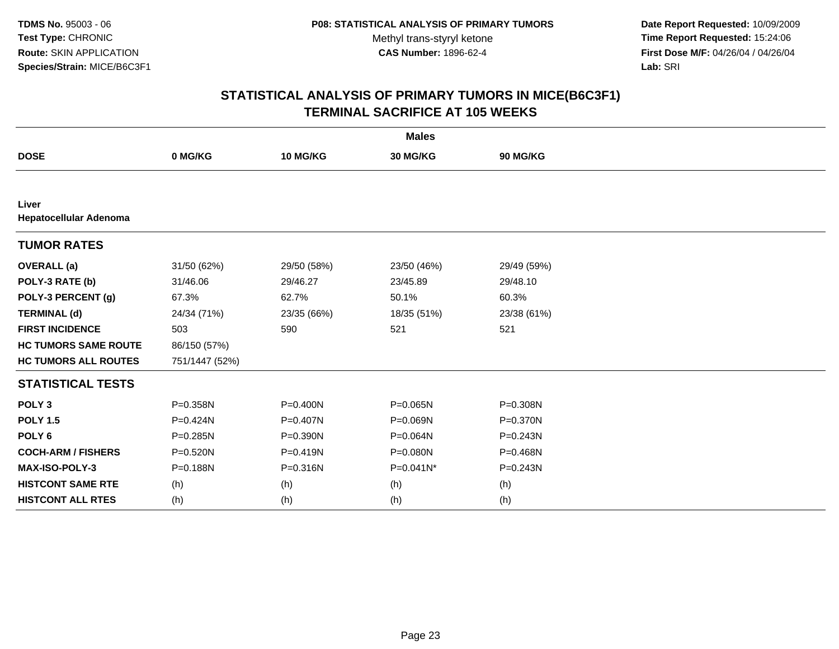**Date Report Requested:** 10/09/2009 **Time Report Requested:** 15:24:06 **First Dose M/F:** 04/26/04 / 04/26/04 Lab: SRI **Lab:** SRI

| <b>Males</b>                    |                |              |              |              |  |  |
|---------------------------------|----------------|--------------|--------------|--------------|--|--|
| <b>DOSE</b>                     | 0 MG/KG        | 10 MG/KG     | 30 MG/KG     | 90 MG/KG     |  |  |
|                                 |                |              |              |              |  |  |
| Liver<br>Hepatocellular Adenoma |                |              |              |              |  |  |
| <b>TUMOR RATES</b>              |                |              |              |              |  |  |
| <b>OVERALL</b> (a)              | 31/50 (62%)    | 29/50 (58%)  | 23/50 (46%)  | 29/49 (59%)  |  |  |
| POLY-3 RATE (b)                 | 31/46.06       | 29/46.27     | 23/45.89     | 29/48.10     |  |  |
| POLY-3 PERCENT (g)              | 67.3%          | 62.7%        | 50.1%        | 60.3%        |  |  |
| <b>TERMINAL (d)</b>             | 24/34 (71%)    | 23/35 (66%)  | 18/35 (51%)  | 23/38 (61%)  |  |  |
| <b>FIRST INCIDENCE</b>          | 503            | 590          | 521          | 521          |  |  |
| <b>HC TUMORS SAME ROUTE</b>     | 86/150 (57%)   |              |              |              |  |  |
| <b>HC TUMORS ALL ROUTES</b>     | 751/1447 (52%) |              |              |              |  |  |
| <b>STATISTICAL TESTS</b>        |                |              |              |              |  |  |
| POLY <sub>3</sub>               | P=0.358N       | $P = 0.400N$ | P=0.065N     | P=0.308N     |  |  |
| <b>POLY 1.5</b>                 | P=0.424N       | P=0.407N     | P=0.069N     | P=0.370N     |  |  |
| POLY <sub>6</sub>               | $P = 0.285N$   | P=0.390N     | P=0.064N     | $P = 0.243N$ |  |  |
| <b>COCH-ARM / FISHERS</b>       | P=0.520N       | $P = 0.419N$ | $P = 0.080N$ | P=0.468N     |  |  |
| MAX-ISO-POLY-3                  | P=0.188N       | $P = 0.316N$ | P=0.041N*    | P=0.243N     |  |  |
| <b>HISTCONT SAME RTE</b>        | (h)            | (h)          | (h)          | (h)          |  |  |
| <b>HISTCONT ALL RTES</b>        | (h)            | (h)          | (h)          | (h)          |  |  |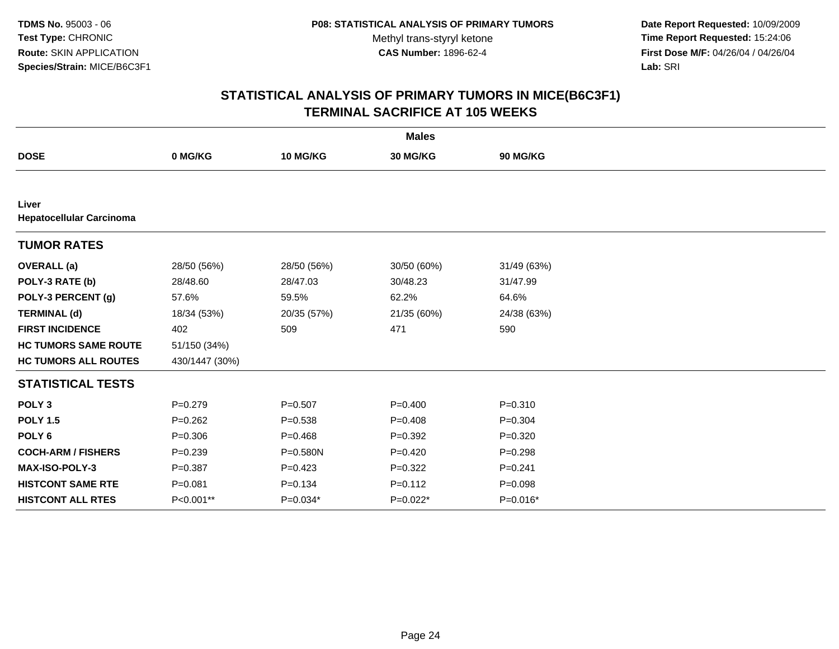**Date Report Requested:** 10/09/2009 **Time Report Requested:** 15:24:06 **First Dose M/F:** 04/26/04 / 04/26/04 Lab: SRI **Lab:** SRI

| <b>Males</b>                             |                |             |             |              |  |  |
|------------------------------------------|----------------|-------------|-------------|--------------|--|--|
| <b>DOSE</b>                              | 0 MG/KG        | 10 MG/KG    | 30 MG/KG    | 90 MG/KG     |  |  |
|                                          |                |             |             |              |  |  |
| Liver<br><b>Hepatocellular Carcinoma</b> |                |             |             |              |  |  |
| <b>TUMOR RATES</b>                       |                |             |             |              |  |  |
| <b>OVERALL</b> (a)                       | 28/50 (56%)    | 28/50 (56%) | 30/50 (60%) | 31/49 (63%)  |  |  |
| POLY-3 RATE (b)                          | 28/48.60       | 28/47.03    | 30/48.23    | 31/47.99     |  |  |
| POLY-3 PERCENT (g)                       | 57.6%          | 59.5%       | 62.2%       | 64.6%        |  |  |
| <b>TERMINAL (d)</b>                      | 18/34 (53%)    | 20/35 (57%) | 21/35 (60%) | 24/38 (63%)  |  |  |
| <b>FIRST INCIDENCE</b>                   | 402            | 509         | 471         | 590          |  |  |
| <b>HC TUMORS SAME ROUTE</b>              | 51/150 (34%)   |             |             |              |  |  |
| <b>HC TUMORS ALL ROUTES</b>              | 430/1447 (30%) |             |             |              |  |  |
| <b>STATISTICAL TESTS</b>                 |                |             |             |              |  |  |
| POLY <sub>3</sub>                        | $P = 0.279$    | $P = 0.507$ | $P=0.400$   | $P = 0.310$  |  |  |
| <b>POLY 1.5</b>                          | $P=0.262$      | $P = 0.538$ | $P=0.408$   | $P=0.304$    |  |  |
| POLY <sub>6</sub>                        | $P = 0.306$    | $P = 0.468$ | $P=0.392$   | $P = 0.320$  |  |  |
| <b>COCH-ARM / FISHERS</b>                | $P = 0.239$    | P=0.580N    | $P=0.420$   | $P = 0.298$  |  |  |
| MAX-ISO-POLY-3                           | $P = 0.387$    | $P=0.423$   | $P=0.322$   | $P = 0.241$  |  |  |
| <b>HISTCONT SAME RTE</b>                 | $P = 0.081$    | $P = 0.134$ | $P = 0.112$ | $P = 0.098$  |  |  |
| <b>HISTCONT ALL RTES</b>                 | P<0.001**      | $P=0.034*$  | $P=0.022*$  | $P = 0.016*$ |  |  |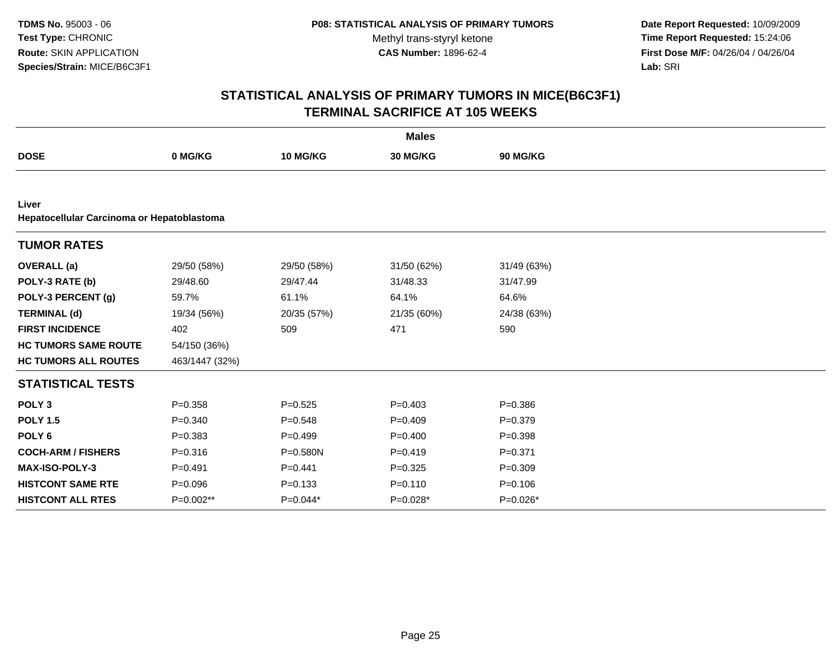**Date Report Requested:** 10/09/2009 **Time Report Requested:** 15:24:06 **First Dose M/F:** 04/26/04 / 04/26/04 Lab: SRI **Lab:** SRI

|                             |                                            |              | <b>Males</b> |                 |  |  |  |  |
|-----------------------------|--------------------------------------------|--------------|--------------|-----------------|--|--|--|--|
| <b>DOSE</b>                 | 0 MG/KG                                    | 10 MG/KG     | 30 MG/KG     | <b>90 MG/KG</b> |  |  |  |  |
|                             |                                            |              |              |                 |  |  |  |  |
| Liver                       | Hepatocellular Carcinoma or Hepatoblastoma |              |              |                 |  |  |  |  |
| <b>TUMOR RATES</b>          |                                            |              |              |                 |  |  |  |  |
| <b>OVERALL</b> (a)          | 29/50 (58%)                                | 29/50 (58%)  | 31/50 (62%)  | 31/49 (63%)     |  |  |  |  |
| POLY-3 RATE (b)             | 29/48.60                                   | 29/47.44     | 31/48.33     | 31/47.99        |  |  |  |  |
| POLY-3 PERCENT (g)          | 59.7%                                      | 61.1%        | 64.1%        | 64.6%           |  |  |  |  |
| <b>TERMINAL (d)</b>         | 19/34 (56%)                                | 20/35 (57%)  | 21/35 (60%)  | 24/38 (63%)     |  |  |  |  |
| <b>FIRST INCIDENCE</b>      | 402                                        | 509          | 471          | 590             |  |  |  |  |
| <b>HC TUMORS SAME ROUTE</b> | 54/150 (36%)                               |              |              |                 |  |  |  |  |
| <b>HC TUMORS ALL ROUTES</b> | 463/1447 (32%)                             |              |              |                 |  |  |  |  |
| <b>STATISTICAL TESTS</b>    |                                            |              |              |                 |  |  |  |  |
| POLY <sub>3</sub>           | $P = 0.358$                                | $P=0.525$    | $P=0.403$    | $P = 0.386$     |  |  |  |  |
| <b>POLY 1.5</b>             | $P = 0.340$                                | $P = 0.548$  | $P = 0.409$  | $P = 0.379$     |  |  |  |  |
| POLY <sub>6</sub>           | $P = 0.383$                                | $P=0.499$    | $P=0.400$    | $P = 0.398$     |  |  |  |  |
| <b>COCH-ARM / FISHERS</b>   | $P = 0.316$                                | $P = 0.580N$ | $P=0.419$    | $P = 0.371$     |  |  |  |  |
| <b>MAX-ISO-POLY-3</b>       | $P = 0.491$                                | $P=0.441$    | $P=0.325$    | $P = 0.309$     |  |  |  |  |
| <b>HISTCONT SAME RTE</b>    | $P = 0.096$                                | $P = 0.133$  | $P = 0.110$  | $P = 0.106$     |  |  |  |  |
| <b>HISTCONT ALL RTES</b>    | P=0.002**                                  | P=0.044*     | P=0.028*     | $P=0.026*$      |  |  |  |  |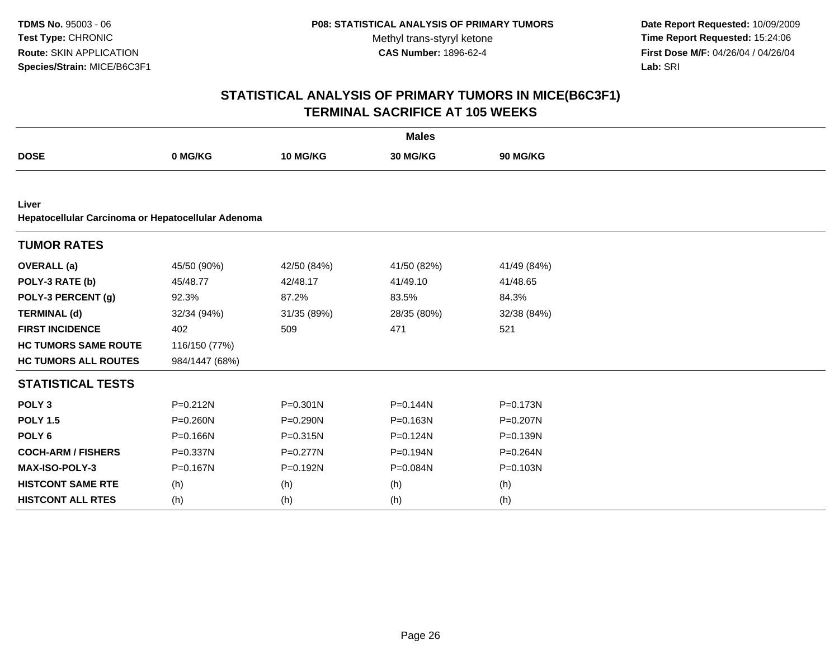**Date Report Requested:** 10/09/2009 **Time Report Requested:** 15:24:06 **First Dose M/F:** 04/26/04 / 04/26/04 Lab: SRI **Lab:** SRI

| <b>Males</b>                                                |                |              |             |              |  |  |
|-------------------------------------------------------------|----------------|--------------|-------------|--------------|--|--|
| <b>DOSE</b>                                                 | 0 MG/KG        | 10 MG/KG     | 30 MG/KG    | 90 MG/KG     |  |  |
|                                                             |                |              |             |              |  |  |
| Liver<br>Hepatocellular Carcinoma or Hepatocellular Adenoma |                |              |             |              |  |  |
| <b>TUMOR RATES</b>                                          |                |              |             |              |  |  |
| <b>OVERALL</b> (a)                                          | 45/50 (90%)    | 42/50 (84%)  | 41/50 (82%) | 41/49 (84%)  |  |  |
| POLY-3 RATE (b)                                             | 45/48.77       | 42/48.17     | 41/49.10    | 41/48.65     |  |  |
| POLY-3 PERCENT (g)                                          | 92.3%          | 87.2%        | 83.5%       | 84.3%        |  |  |
| <b>TERMINAL (d)</b>                                         | 32/34 (94%)    | 31/35 (89%)  | 28/35 (80%) | 32/38 (84%)  |  |  |
| <b>FIRST INCIDENCE</b>                                      | 402            | 509          | 471         | 521          |  |  |
| <b>HC TUMORS SAME ROUTE</b>                                 | 116/150 (77%)  |              |             |              |  |  |
| <b>HC TUMORS ALL ROUTES</b>                                 | 984/1447 (68%) |              |             |              |  |  |
| <b>STATISTICAL TESTS</b>                                    |                |              |             |              |  |  |
| POLY <sub>3</sub>                                           | $P = 0.212N$   | $P = 0.301N$ | P=0.144N    | $P = 0.173N$ |  |  |
| <b>POLY 1.5</b>                                             | P=0.260N       | P=0.290N     | P=0.163N    | P=0.207N     |  |  |
| POLY <sub>6</sub>                                           | P=0.166N       | P=0.315N     | P=0.124N    | P=0.139N     |  |  |
| <b>COCH-ARM / FISHERS</b>                                   | P=0.337N       | $P = 0.277N$ | P=0.194N    | P=0.264N     |  |  |
| MAX-ISO-POLY-3                                              | P=0.167N       | P=0.192N     | P=0.084N    | P=0.103N     |  |  |
| <b>HISTCONT SAME RTE</b>                                    | (h)            | (h)          | (h)         | (h)          |  |  |
| <b>HISTCONT ALL RTES</b>                                    | (h)            | (h)          | (h)         | (h)          |  |  |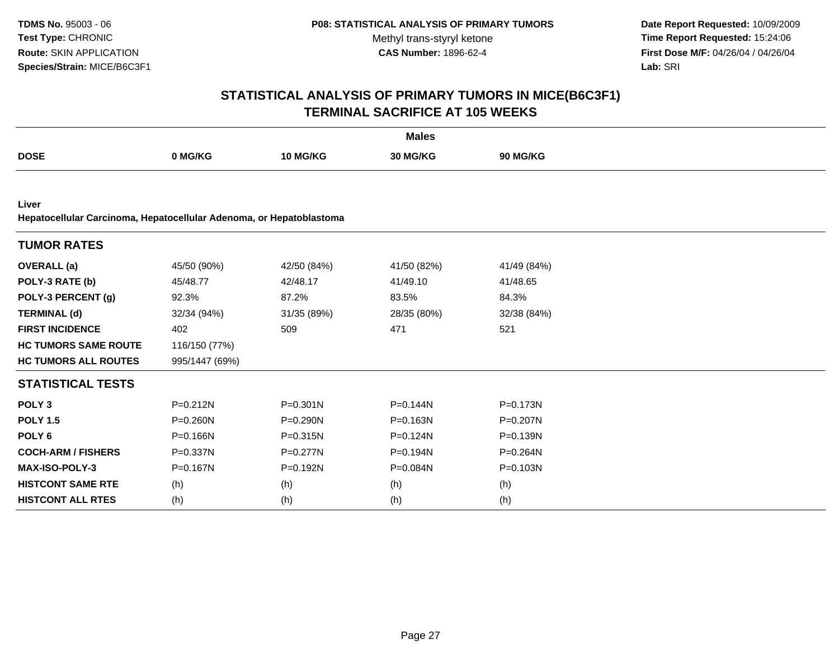**Date Report Requested:** 10/09/2009 **Time Report Requested:** 15:24:06 **First Dose M/F:** 04/26/04 / 04/26/04 Lab: SRI **Lab:** SRI

| <b>Males</b>                                                                 |                |              |             |              |  |  |
|------------------------------------------------------------------------------|----------------|--------------|-------------|--------------|--|--|
| <b>DOSE</b>                                                                  | 0 MG/KG        | 10 MG/KG     | 30 MG/KG    | 90 MG/KG     |  |  |
|                                                                              |                |              |             |              |  |  |
| Liver<br>Hepatocellular Carcinoma, Hepatocellular Adenoma, or Hepatoblastoma |                |              |             |              |  |  |
| <b>TUMOR RATES</b>                                                           |                |              |             |              |  |  |
| <b>OVERALL</b> (a)                                                           | 45/50 (90%)    | 42/50 (84%)  | 41/50 (82%) | 41/49 (84%)  |  |  |
| POLY-3 RATE (b)                                                              | 45/48.77       | 42/48.17     | 41/49.10    | 41/48.65     |  |  |
| POLY-3 PERCENT (g)                                                           | 92.3%          | 87.2%        | 83.5%       | 84.3%        |  |  |
| <b>TERMINAL (d)</b>                                                          | 32/34 (94%)    | 31/35 (89%)  | 28/35 (80%) | 32/38 (84%)  |  |  |
| <b>FIRST INCIDENCE</b>                                                       | 402            | 509          | 471         | 521          |  |  |
| <b>HC TUMORS SAME ROUTE</b>                                                  | 116/150 (77%)  |              |             |              |  |  |
| <b>HC TUMORS ALL ROUTES</b>                                                  | 995/1447 (69%) |              |             |              |  |  |
| <b>STATISTICAL TESTS</b>                                                     |                |              |             |              |  |  |
| POLY <sub>3</sub>                                                            | $P = 0.212N$   | $P = 0.301N$ | P=0.144N    | $P = 0.173N$ |  |  |
| <b>POLY 1.5</b>                                                              | P=0.260N       | P=0.290N     | P=0.163N    | P=0.207N     |  |  |
| POLY <sub>6</sub>                                                            | $P = 0.166N$   | P=0.315N     | P=0.124N    | P=0.139N     |  |  |
| <b>COCH-ARM / FISHERS</b>                                                    | P=0.337N       | P=0.277N     | P=0.194N    | P=0.264N     |  |  |
| MAX-ISO-POLY-3                                                               | P=0.167N       | P=0.192N     | P=0.084N    | P=0.103N     |  |  |
| <b>HISTCONT SAME RTE</b>                                                     | (h)            | (h)          | (h)         | (h)          |  |  |
| <b>HISTCONT ALL RTES</b>                                                     | (h)            | (h)          | (h)         | (h)          |  |  |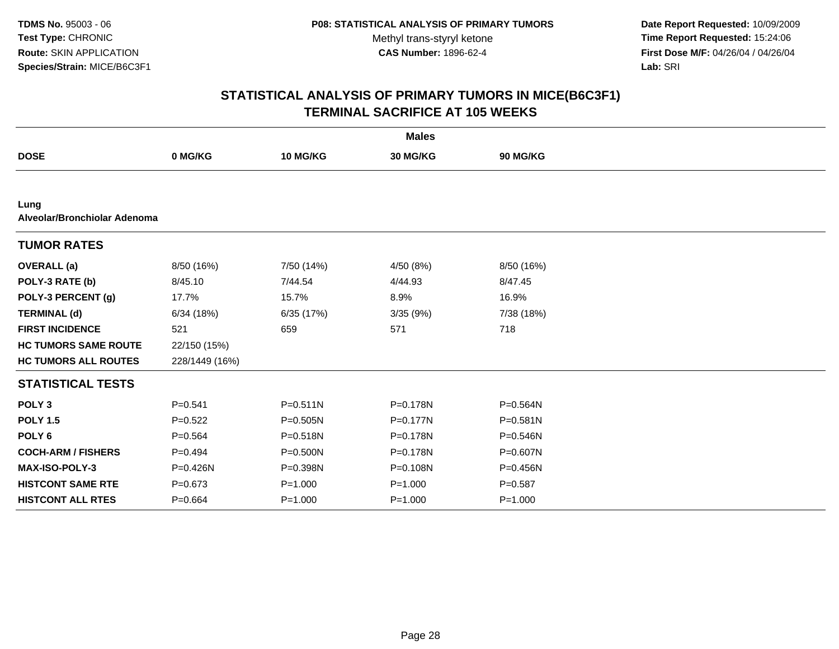**Date Report Requested:** 10/09/2009 **Time Report Requested:** 15:24:06 **First Dose M/F:** 04/26/04 / 04/26/04 Lab: SRI **Lab:** SRI

|                                      |                |              | <b>Males</b> |              |  |
|--------------------------------------|----------------|--------------|--------------|--------------|--|
| <b>DOSE</b>                          | 0 MG/KG        | 10 MG/KG     | 30 MG/KG     | 90 MG/KG     |  |
|                                      |                |              |              |              |  |
| Lung<br>Alveolar/Bronchiolar Adenoma |                |              |              |              |  |
| <b>TUMOR RATES</b>                   |                |              |              |              |  |
| <b>OVERALL</b> (a)                   | 8/50 (16%)     | 7/50 (14%)   | 4/50 (8%)    | 8/50 (16%)   |  |
| POLY-3 RATE (b)                      | 8/45.10        | 7/44.54      | 4/44.93      | 8/47.45      |  |
| POLY-3 PERCENT (g)                   | 17.7%          | 15.7%        | 8.9%         | 16.9%        |  |
| <b>TERMINAL (d)</b>                  | 6/34(18%)      | 6/35 (17%)   | 3/35 (9%)    | 7/38 (18%)   |  |
| <b>FIRST INCIDENCE</b>               | 521            | 659          | 571          | 718          |  |
| <b>HC TUMORS SAME ROUTE</b>          | 22/150 (15%)   |              |              |              |  |
| <b>HC TUMORS ALL ROUTES</b>          | 228/1449 (16%) |              |              |              |  |
| <b>STATISTICAL TESTS</b>             |                |              |              |              |  |
| POLY <sub>3</sub>                    | $P = 0.541$    | $P = 0.511N$ | P=0.178N     | $P = 0.564N$ |  |
| <b>POLY 1.5</b>                      | $P=0.522$      | $P = 0.505N$ | P=0.177N     | $P = 0.581N$ |  |
| POLY <sub>6</sub>                    | $P = 0.564$    | $P = 0.518N$ | $P = 0.178N$ | $P = 0.546N$ |  |
| <b>COCH-ARM / FISHERS</b>            | $P=0.494$      | $P = 0.500N$ | P=0.178N     | P=0.607N     |  |
| <b>MAX-ISO-POLY-3</b>                | $P = 0.426N$   | P=0.398N     | P=0.108N     | $P = 0.456N$ |  |
| <b>HISTCONT SAME RTE</b>             | $P = 0.673$    | $P = 1.000$  | $P = 1.000$  | $P = 0.587$  |  |
| <b>HISTCONT ALL RTES</b>             | $P=0.664$      | $P = 1.000$  | $P = 1.000$  | $P = 1.000$  |  |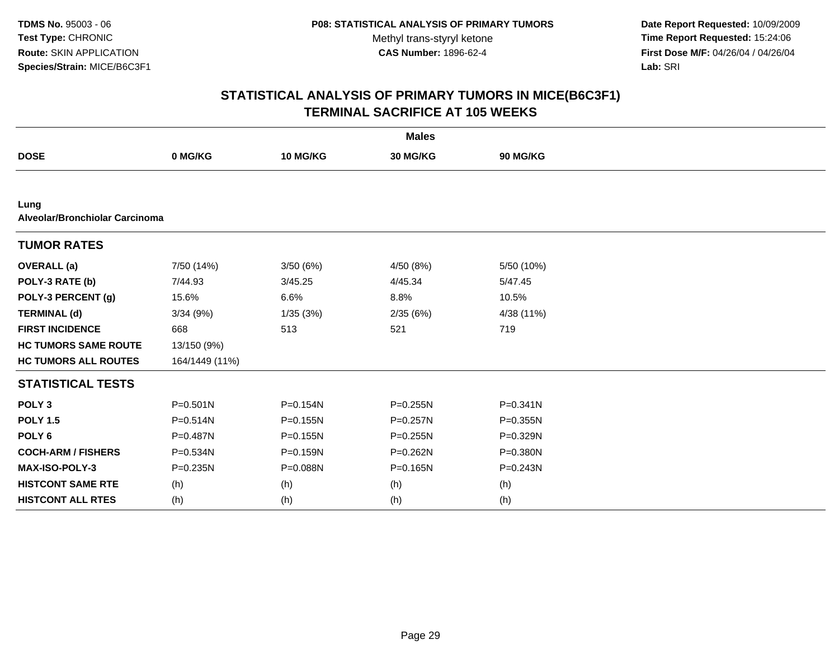**Date Report Requested:** 10/09/2009 **Time Report Requested:** 15:24:06 **First Dose M/F:** 04/26/04 / 04/26/04 Lab: SRI **Lab:** SRI

| <b>Males</b>                           |                |              |              |              |  |  |
|----------------------------------------|----------------|--------------|--------------|--------------|--|--|
| <b>DOSE</b>                            | 0 MG/KG        | 10 MG/KG     | 30 MG/KG     | 90 MG/KG     |  |  |
|                                        |                |              |              |              |  |  |
| Lung<br>Alveolar/Bronchiolar Carcinoma |                |              |              |              |  |  |
| <b>TUMOR RATES</b>                     |                |              |              |              |  |  |
| <b>OVERALL</b> (a)                     | 7/50 (14%)     | 3/50(6%)     | 4/50 (8%)    | 5/50 (10%)   |  |  |
| POLY-3 RATE (b)                        | 7/44.93        | 3/45.25      | 4/45.34      | 5/47.45      |  |  |
| POLY-3 PERCENT (g)                     | 15.6%          | 6.6%         | 8.8%         | 10.5%        |  |  |
| <b>TERMINAL (d)</b>                    | 3/34(9%)       | 1/35(3%)     | 2/35(6%)     | 4/38 (11%)   |  |  |
| <b>FIRST INCIDENCE</b>                 | 668            | 513          | 521          | 719          |  |  |
| <b>HC TUMORS SAME ROUTE</b>            | 13/150 (9%)    |              |              |              |  |  |
| <b>HC TUMORS ALL ROUTES</b>            | 164/1449 (11%) |              |              |              |  |  |
| <b>STATISTICAL TESTS</b>               |                |              |              |              |  |  |
| POLY <sub>3</sub>                      | $P = 0.501N$   | $P = 0.154N$ | $P = 0.255N$ | $P = 0.341N$ |  |  |
| <b>POLY 1.5</b>                        | $P = 0.514N$   | $P = 0.155N$ | $P = 0.257N$ | $P = 0.355N$ |  |  |
| POLY <sub>6</sub>                      | P=0.487N       | $P = 0.155N$ | $P = 0.255N$ | P=0.329N     |  |  |
| <b>COCH-ARM / FISHERS</b>              | P=0.534N       | P=0.159N     | P=0.262N     | P=0.380N     |  |  |
| <b>MAX-ISO-POLY-3</b>                  | $P = 0.235N$   | P=0.088N     | $P = 0.165N$ | $P = 0.243N$ |  |  |
| <b>HISTCONT SAME RTE</b>               | (h)            | (h)          | (h)          | (h)          |  |  |
| <b>HISTCONT ALL RTES</b>               | (h)            | (h)          | (h)          | (h)          |  |  |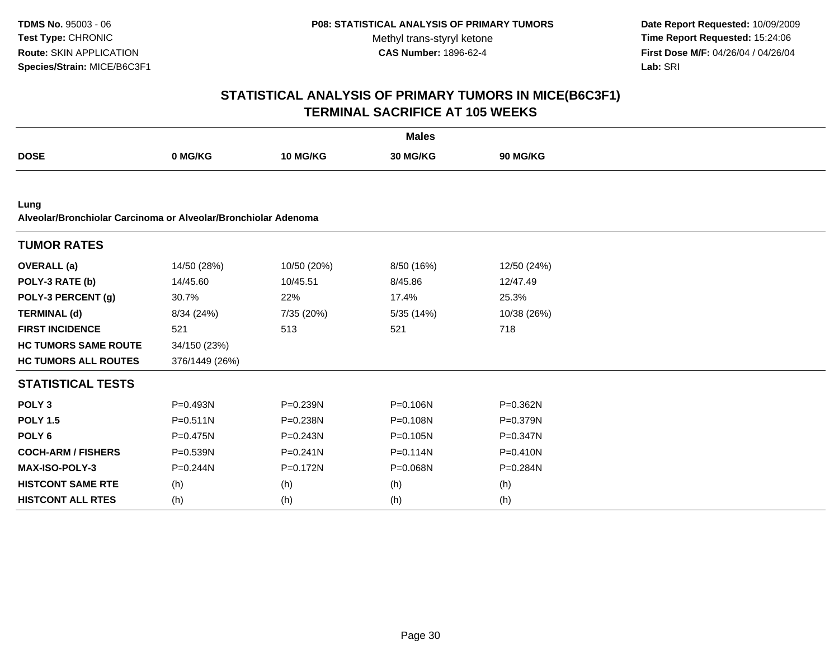**Date Report Requested:** 10/09/2009 **Time Report Requested:** 15:24:06 **First Dose M/F:** 04/26/04 / 04/26/04 Lab: SRI **Lab:** SRI

| <b>Males</b>                                                           |                |                 |              |                 |  |  |
|------------------------------------------------------------------------|----------------|-----------------|--------------|-----------------|--|--|
| <b>DOSE</b>                                                            | 0 MG/KG        | <b>10 MG/KG</b> | 30 MG/KG     | <b>90 MG/KG</b> |  |  |
|                                                                        |                |                 |              |                 |  |  |
| Lung<br>Alveolar/Bronchiolar Carcinoma or Alveolar/Bronchiolar Adenoma |                |                 |              |                 |  |  |
| <b>TUMOR RATES</b>                                                     |                |                 |              |                 |  |  |
| <b>OVERALL</b> (a)                                                     | 14/50 (28%)    | 10/50 (20%)     | 8/50 (16%)   | 12/50 (24%)     |  |  |
| POLY-3 RATE (b)                                                        | 14/45.60       | 10/45.51        | 8/45.86      | 12/47.49        |  |  |
| POLY-3 PERCENT (g)                                                     | 30.7%          | 22%             | 17.4%        | 25.3%           |  |  |
| <b>TERMINAL (d)</b>                                                    | 8/34 (24%)     | 7/35 (20%)      | 5/35 (14%)   | 10/38 (26%)     |  |  |
| <b>FIRST INCIDENCE</b>                                                 | 521            | 513             | 521          | 718             |  |  |
| <b>HC TUMORS SAME ROUTE</b>                                            | 34/150 (23%)   |                 |              |                 |  |  |
| <b>HC TUMORS ALL ROUTES</b>                                            | 376/1449 (26%) |                 |              |                 |  |  |
| <b>STATISTICAL TESTS</b>                                               |                |                 |              |                 |  |  |
| POLY <sub>3</sub>                                                      | $P = 0.493N$   | P=0.239N        | P=0.106N     | P=0.362N        |  |  |
| <b>POLY 1.5</b>                                                        | $P = 0.511N$   | P=0.238N        | P=0.108N     | P=0.379N        |  |  |
| POLY <sub>6</sub>                                                      | $P=0.475N$     | $P = 0.243N$    | P=0.105N     | $P = 0.347N$    |  |  |
| <b>COCH-ARM / FISHERS</b>                                              | $P = 0.539N$   | $P = 0.241N$    | $P = 0.114N$ | $P = 0.410N$    |  |  |
| <b>MAX-ISO-POLY-3</b>                                                  | $P = 0.244N$   | P=0.172N        | P=0.068N     | P=0.284N        |  |  |
| <b>HISTCONT SAME RTE</b>                                               | (h)            | (h)             | (h)          | (h)             |  |  |
| <b>HISTCONT ALL RTES</b>                                               | (h)            | (h)             | (h)          | (h)             |  |  |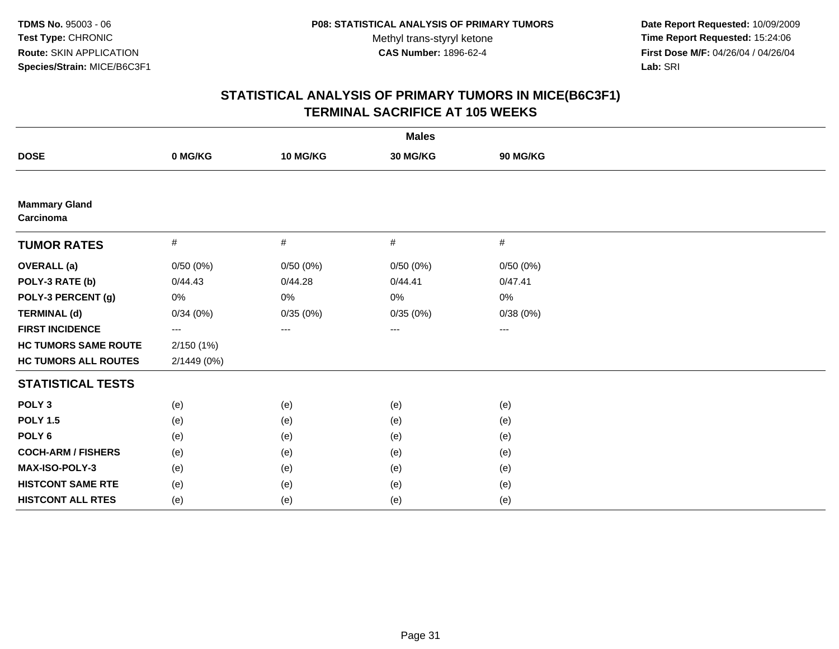**Date Report Requested:** 10/09/2009 **Time Report Requested:** 15:24:06 **First Dose M/F:** 04/26/04 / 04/26/04 Lab: SRI **Lab:** SRI

|                                   |             |          | <b>Males</b> |          |  |
|-----------------------------------|-------------|----------|--------------|----------|--|
| <b>DOSE</b>                       | 0 MG/KG     | 10 MG/KG | 30 MG/KG     | 90 MG/KG |  |
|                                   |             |          |              |          |  |
| <b>Mammary Gland</b><br>Carcinoma |             |          |              |          |  |
| <b>TUMOR RATES</b>                | #           | #        | #            | #        |  |
| <b>OVERALL</b> (a)                | 0/50(0%)    | 0/50(0%) | 0/50(0%)     | 0/50(0%) |  |
| POLY-3 RATE (b)                   | 0/44.43     | 0/44.28  | 0/44.41      | 0/47.41  |  |
| POLY-3 PERCENT (g)                | 0%          | 0%       | 0%           | 0%       |  |
| <b>TERMINAL (d)</b>               | 0/34(0%)    | 0/35(0%) | 0/35(0%)     | 0/38(0%) |  |
| <b>FIRST INCIDENCE</b>            | ---         | ---      | ---          | ---      |  |
| <b>HC TUMORS SAME ROUTE</b>       | 2/150(1%)   |          |              |          |  |
| <b>HC TUMORS ALL ROUTES</b>       | 2/1449 (0%) |          |              |          |  |
| <b>STATISTICAL TESTS</b>          |             |          |              |          |  |
| POLY <sub>3</sub>                 | (e)         | (e)      | (e)          | (e)      |  |
| <b>POLY 1.5</b>                   | (e)         | (e)      | (e)          | (e)      |  |
| POLY <sub>6</sub>                 | (e)         | (e)      | (e)          | (e)      |  |
| <b>COCH-ARM / FISHERS</b>         | (e)         | (e)      | (e)          | (e)      |  |
| MAX-ISO-POLY-3                    | (e)         | (e)      | (e)          | (e)      |  |
| <b>HISTCONT SAME RTE</b>          | (e)         | (e)      | (e)          | (e)      |  |
| <b>HISTCONT ALL RTES</b>          | (e)         | (e)      | (e)          | (e)      |  |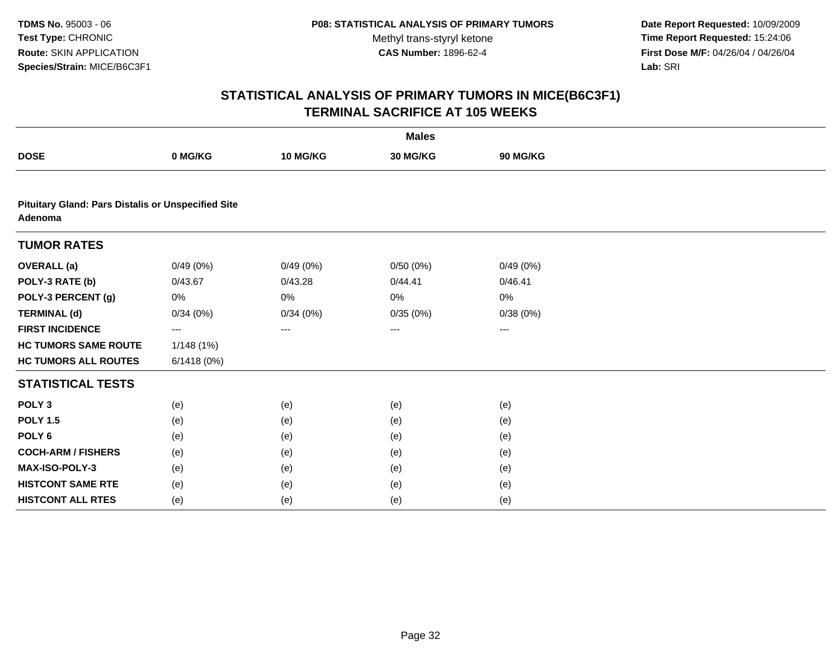**Date Report Requested:** 10/09/2009 **Time Report Requested:** 15:24:06 **First Dose M/F:** 04/26/04 / 04/26/04 Lab: SRI **Lab:** SRI

|                                                                      |            |          | <b>Males</b> |                 |  |
|----------------------------------------------------------------------|------------|----------|--------------|-----------------|--|
| <b>DOSE</b>                                                          | 0 MG/KG    | 10 MG/KG | 30 MG/KG     | <b>90 MG/KG</b> |  |
|                                                                      |            |          |              |                 |  |
| <b>Pituitary Gland: Pars Distalis or Unspecified Site</b><br>Adenoma |            |          |              |                 |  |
| <b>TUMOR RATES</b>                                                   |            |          |              |                 |  |
| <b>OVERALL</b> (a)                                                   | 0/49(0%)   | 0/49(0%) | 0/50(0%)     | 0/49(0%)        |  |
| POLY-3 RATE (b)                                                      | 0/43.67    | 0/43.28  | 0/44.41      | 0/46.41         |  |
| POLY-3 PERCENT (g)                                                   | 0%         | 0%       | 0%           | 0%              |  |
| <b>TERMINAL (d)</b>                                                  | 0/34(0%)   | 0/34(0%) | 0/35(0%)     | 0/38(0%)        |  |
| <b>FIRST INCIDENCE</b>                                               | ---        | ---      | ---          | ---             |  |
| <b>HC TUMORS SAME ROUTE</b>                                          | 1/148 (1%) |          |              |                 |  |
| <b>HC TUMORS ALL ROUTES</b>                                          | 6/1418(0%) |          |              |                 |  |
| <b>STATISTICAL TESTS</b>                                             |            |          |              |                 |  |
| POLY <sub>3</sub>                                                    | (e)        | (e)      | (e)          | (e)             |  |
| <b>POLY 1.5</b>                                                      | (e)        | (e)      | (e)          | (e)             |  |
| POLY <sub>6</sub>                                                    | (e)        | (e)      | (e)          | (e)             |  |
| <b>COCH-ARM / FISHERS</b>                                            | (e)        | (e)      | (e)          | (e)             |  |
| MAX-ISO-POLY-3                                                       | (e)        | (e)      | (e)          | (e)             |  |
| <b>HISTCONT SAME RTE</b>                                             | (e)        | (e)      | (e)          | (e)             |  |
| <b>HISTCONT ALL RTES</b>                                             | (e)        | (e)      | (e)          | (e)             |  |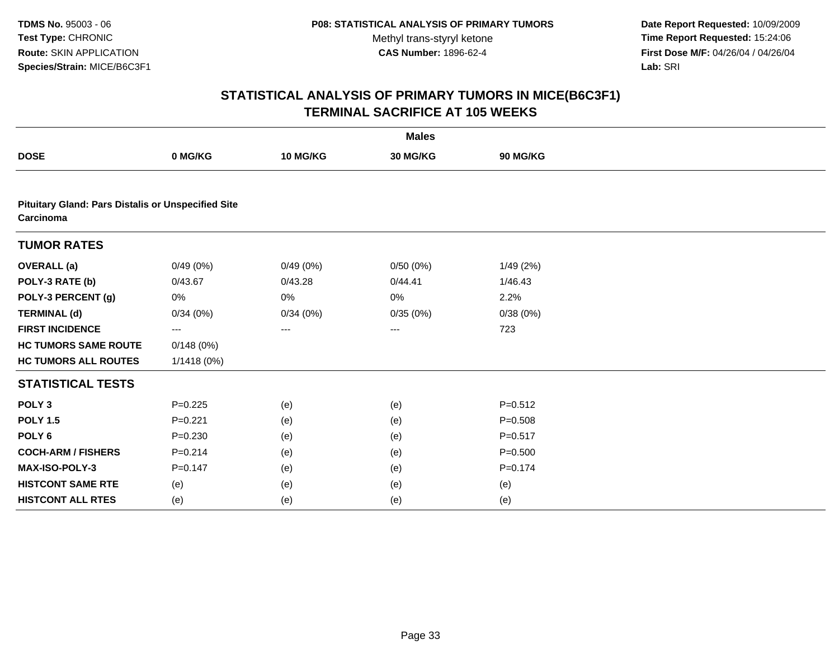**Date Report Requested:** 10/09/2009 **Time Report Requested:** 15:24:06 **First Dose M/F:** 04/26/04 / 04/26/04 Lab: SRI **Lab:** SRI

|                                                                        |             |          | <b>Males</b>      |             |  |
|------------------------------------------------------------------------|-------------|----------|-------------------|-------------|--|
| <b>DOSE</b>                                                            | 0 MG/KG     | 10 MG/KG | 30 MG/KG          | 90 MG/KG    |  |
|                                                                        |             |          |                   |             |  |
| <b>Pituitary Gland: Pars Distalis or Unspecified Site</b><br>Carcinoma |             |          |                   |             |  |
| <b>TUMOR RATES</b>                                                     |             |          |                   |             |  |
| <b>OVERALL</b> (a)                                                     | 0/49(0%)    | 0/49(0%) | 0/50(0%)          | 1/49 (2%)   |  |
| POLY-3 RATE (b)                                                        | 0/43.67     | 0/43.28  | 0/44.41           | 1/46.43     |  |
| POLY-3 PERCENT (g)                                                     | 0%          | 0%       | 0%                | 2.2%        |  |
| <b>TERMINAL (d)</b>                                                    | 0/34(0%)    | 0/34(0%) | 0/35(0%)          | 0/38(0%)    |  |
| <b>FIRST INCIDENCE</b>                                                 | ---         | ---      | $\qquad \qquad -$ | 723         |  |
| <b>HC TUMORS SAME ROUTE</b>                                            | 0/148(0%)   |          |                   |             |  |
| <b>HC TUMORS ALL ROUTES</b>                                            | 1/1418 (0%) |          |                   |             |  |
| <b>STATISTICAL TESTS</b>                                               |             |          |                   |             |  |
| POLY <sub>3</sub>                                                      | $P=0.225$   | (e)      | (e)               | $P = 0.512$ |  |
| <b>POLY 1.5</b>                                                        | $P=0.221$   | (e)      | (e)               | $P = 0.508$ |  |
| POLY <sub>6</sub>                                                      | $P = 0.230$ | (e)      | (e)               | $P = 0.517$ |  |
| <b>COCH-ARM / FISHERS</b>                                              | $P = 0.214$ | (e)      | (e)               | $P = 0.500$ |  |
| MAX-ISO-POLY-3                                                         | $P=0.147$   | (e)      | (e)               | $P = 0.174$ |  |
| <b>HISTCONT SAME RTE</b>                                               | (e)         | (e)      | (e)               | (e)         |  |
| <b>HISTCONT ALL RTES</b>                                               | (e)         | (e)      | (e)               | (e)         |  |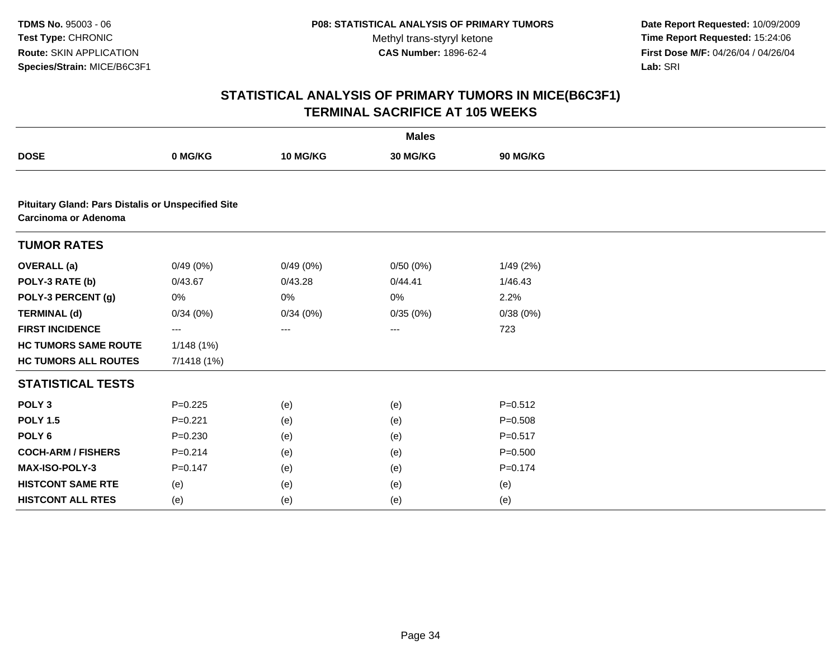**Date Report Requested:** 10/09/2009 **Time Report Requested:** 15:24:06 **First Dose M/F:** 04/26/04 / 04/26/04 Lab: SRI **Lab:** SRI

|                                                                                   |             |          | <b>Males</b> |             |  |
|-----------------------------------------------------------------------------------|-------------|----------|--------------|-------------|--|
| <b>DOSE</b>                                                                       | 0 MG/KG     | 10 MG/KG | 30 MG/KG     | 90 MG/KG    |  |
|                                                                                   |             |          |              |             |  |
| <b>Pituitary Gland: Pars Distalis or Unspecified Site</b><br>Carcinoma or Adenoma |             |          |              |             |  |
| <b>TUMOR RATES</b>                                                                |             |          |              |             |  |
| <b>OVERALL</b> (a)                                                                | 0/49(0%)    | 0/49(0%) | 0/50(0%)     | 1/49(2%)    |  |
| POLY-3 RATE (b)                                                                   | 0/43.67     | 0/43.28  | 0/44.41      | 1/46.43     |  |
| POLY-3 PERCENT (g)                                                                | 0%          | 0%       | 0%           | 2.2%        |  |
| <b>TERMINAL (d)</b>                                                               | 0/34(0%)    | 0/34(0%) | 0/35(0%)     | 0/38(0%)    |  |
| <b>FIRST INCIDENCE</b>                                                            | ---         | ---      | ---          | 723         |  |
| <b>HC TUMORS SAME ROUTE</b>                                                       | 1/148(1%)   |          |              |             |  |
| <b>HC TUMORS ALL ROUTES</b>                                                       | 7/1418 (1%) |          |              |             |  |
| <b>STATISTICAL TESTS</b>                                                          |             |          |              |             |  |
| POLY <sub>3</sub>                                                                 | $P=0.225$   | (e)      | (e)          | $P = 0.512$ |  |
| <b>POLY 1.5</b>                                                                   | $P = 0.221$ | (e)      | (e)          | $P = 0.508$ |  |
| POLY <sub>6</sub>                                                                 | $P = 0.230$ | (e)      | (e)          | $P = 0.517$ |  |
| <b>COCH-ARM / FISHERS</b>                                                         | $P = 0.214$ | (e)      | (e)          | $P = 0.500$ |  |
| <b>MAX-ISO-POLY-3</b>                                                             | $P = 0.147$ | (e)      | (e)          | $P = 0.174$ |  |
| <b>HISTCONT SAME RTE</b>                                                          | (e)         | (e)      | (e)          | (e)         |  |
| <b>HISTCONT ALL RTES</b>                                                          | (e)         | (e)      | (e)          | (e)         |  |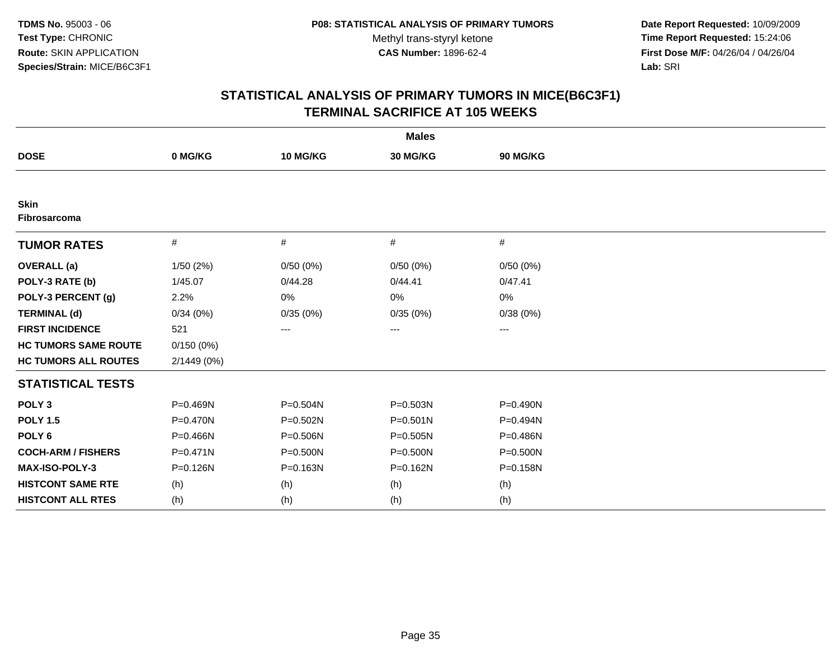**Date Report Requested:** 10/09/2009 **Time Report Requested:** 15:24:06 **First Dose M/F:** 04/26/04 / 04/26/04 Lab: SRI **Lab:** SRI

| <b>Males</b>                       |              |          |              |              |  |  |
|------------------------------------|--------------|----------|--------------|--------------|--|--|
| <b>DOSE</b>                        | 0 MG/KG      | 10 MG/KG | 30 MG/KG     | 90 MG/KG     |  |  |
|                                    |              |          |              |              |  |  |
| <b>Skin</b><br><b>Fibrosarcoma</b> |              |          |              |              |  |  |
| <b>TUMOR RATES</b>                 | $\#$         | $\#$     | #            | #            |  |  |
| <b>OVERALL</b> (a)                 | 1/50(2%)     | 0/50(0%) | 0/50(0%)     | 0/50(0%)     |  |  |
| POLY-3 RATE (b)                    | 1/45.07      | 0/44.28  | 0/44.41      | 0/47.41      |  |  |
| POLY-3 PERCENT (g)                 | 2.2%         | 0%       | 0%           | 0%           |  |  |
| <b>TERMINAL (d)</b>                | 0/34(0%)     | 0/35(0%) | 0/35(0%)     | 0/38(0%)     |  |  |
| <b>FIRST INCIDENCE</b>             | 521          | ---      | ---          | ---          |  |  |
| <b>HC TUMORS SAME ROUTE</b>        | 0/150(0%)    |          |              |              |  |  |
| <b>HC TUMORS ALL ROUTES</b>        | 2/1449 (0%)  |          |              |              |  |  |
| <b>STATISTICAL TESTS</b>           |              |          |              |              |  |  |
| POLY <sub>3</sub>                  | P=0.469N     | P=0.504N | P=0.503N     | P=0.490N     |  |  |
| <b>POLY 1.5</b>                    | $P = 0.470N$ | P=0.502N | $P = 0.501N$ | P=0.494N     |  |  |
| POLY <sub>6</sub>                  | $P = 0.466N$ | P=0.506N | $P = 0.505N$ | P=0.486N     |  |  |
| <b>COCH-ARM / FISHERS</b>          | $P = 0.471N$ | P=0.500N | $P = 0.500N$ | $P = 0.500N$ |  |  |
| <b>MAX-ISO-POLY-3</b>              | $P = 0.126N$ | P=0.163N | $P = 0.162N$ | P=0.158N     |  |  |
| <b>HISTCONT SAME RTE</b>           | (h)          | (h)      | (h)          | (h)          |  |  |
| <b>HISTCONT ALL RTES</b>           | (h)          | (h)      | (h)          | (h)          |  |  |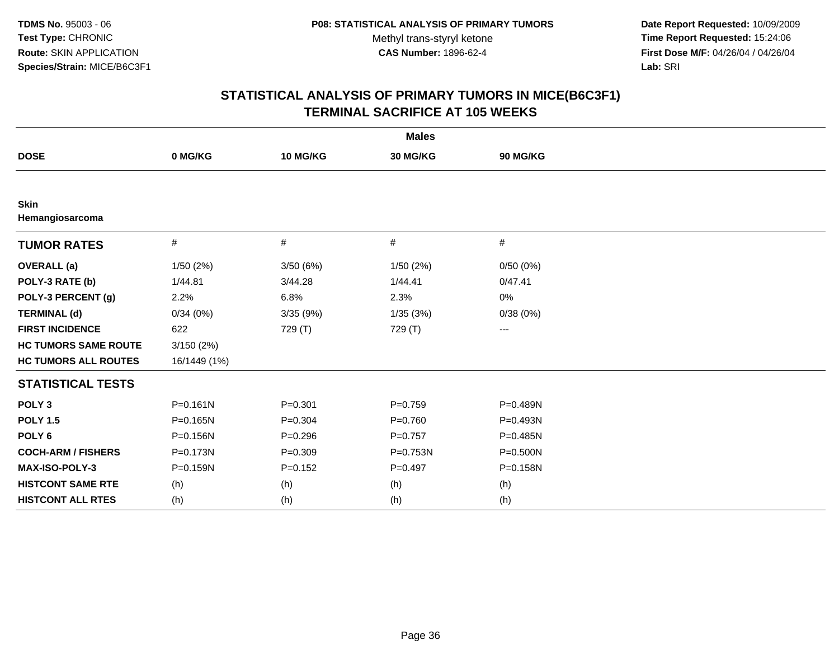**Date Report Requested:** 10/09/2009 **Time Report Requested:** 15:24:06 **First Dose M/F:** 04/26/04 / 04/26/04 Lab: SRI **Lab:** SRI

|                                |              |             | <b>Males</b> |              |  |
|--------------------------------|--------------|-------------|--------------|--------------|--|
| <b>DOSE</b>                    | 0 MG/KG      | 10 MG/KG    | 30 MG/KG     | 90 MG/KG     |  |
|                                |              |             |              |              |  |
| <b>Skin</b><br>Hemangiosarcoma |              |             |              |              |  |
| <b>TUMOR RATES</b>             | #            | #           | #            | #            |  |
| <b>OVERALL</b> (a)             | 1/50(2%)     | 3/50(6%)    | 1/50(2%)     | 0/50(0%)     |  |
| POLY-3 RATE (b)                | 1/44.81      | 3/44.28     | 1/44.41      | 0/47.41      |  |
| POLY-3 PERCENT (g)             | 2.2%         | 6.8%        | 2.3%         | 0%           |  |
| <b>TERMINAL (d)</b>            | 0/34(0%)     | 3/35(9%)    | 1/35(3%)     | 0/38(0%)     |  |
| <b>FIRST INCIDENCE</b>         | 622          | 729 (T)     | 729 (T)      | ---          |  |
| <b>HC TUMORS SAME ROUTE</b>    | 3/150(2%)    |             |              |              |  |
| <b>HC TUMORS ALL ROUTES</b>    | 16/1449 (1%) |             |              |              |  |
| <b>STATISTICAL TESTS</b>       |              |             |              |              |  |
| POLY <sub>3</sub>              | $P = 0.161N$ | $P = 0.301$ | $P = 0.759$  | P=0.489N     |  |
| <b>POLY 1.5</b>                | $P = 0.165N$ | $P = 0.304$ | $P = 0.760$  | P=0.493N     |  |
| POLY <sub>6</sub>              | P=0.156N     | $P = 0.296$ | $P=0.757$    | P=0.485N     |  |
| <b>COCH-ARM / FISHERS</b>      | $P = 0.173N$ | $P = 0.309$ | P=0.753N     | $P = 0.500N$ |  |
| <b>MAX-ISO-POLY-3</b>          | $P = 0.159N$ | $P=0.152$   | $P = 0.497$  | P=0.158N     |  |
| <b>HISTCONT SAME RTE</b>       | (h)          | (h)         | (h)          | (h)          |  |
| <b>HISTCONT ALL RTES</b>       | (h)          | (h)         | (h)          | (h)          |  |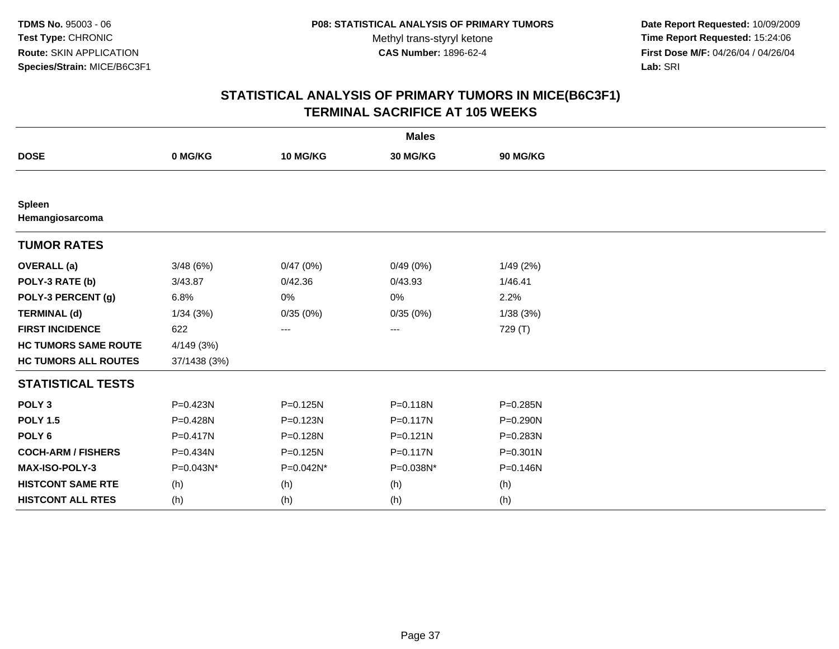**Date Report Requested:** 10/09/2009 **Time Report Requested:** 15:24:06 **First Dose M/F:** 04/26/04 / 04/26/04 Lab: SRI **Lab:** SRI

|                                  |              |              | <b>Males</b> |              |
|----------------------------------|--------------|--------------|--------------|--------------|
| <b>DOSE</b>                      | 0 MG/KG      | 10 MG/KG     | 30 MG/KG     | 90 MG/KG     |
|                                  |              |              |              |              |
| <b>Spleen</b><br>Hemangiosarcoma |              |              |              |              |
| <b>TUMOR RATES</b>               |              |              |              |              |
| <b>OVERALL</b> (a)               | 3/48(6%)     | 0/47(0%)     | 0/49(0%)     | 1/49 (2%)    |
| POLY-3 RATE (b)                  | 3/43.87      | 0/42.36      | 0/43.93      | 1/46.41      |
| POLY-3 PERCENT (g)               | 6.8%         | 0%           | 0%           | 2.2%         |
| <b>TERMINAL (d)</b>              | 1/34(3%)     | 0/35(0%)     | 0/35(0%)     | 1/38 (3%)    |
| <b>FIRST INCIDENCE</b>           | 622          | ---          | ---          | 729 (T)      |
| <b>HC TUMORS SAME ROUTE</b>      | 4/149 (3%)   |              |              |              |
| <b>HC TUMORS ALL ROUTES</b>      | 37/1438 (3%) |              |              |              |
| <b>STATISTICAL TESTS</b>         |              |              |              |              |
| POLY <sub>3</sub>                | P=0.423N     | P=0.125N     | P=0.118N     | P=0.285N     |
| <b>POLY 1.5</b>                  | P=0.428N     | $P = 0.123N$ | $P = 0.117N$ | $P = 0.290N$ |
| POLY <sub>6</sub>                | P=0.417N     | P=0.128N     | $P = 0.121N$ | P=0.283N     |
| <b>COCH-ARM / FISHERS</b>        | P=0.434N     | $P = 0.125N$ | $P = 0.117N$ | P=0.301N     |
| MAX-ISO-POLY-3                   | P=0.043N*    | P=0.042N*    | P=0.038N*    | P=0.146N     |
| <b>HISTCONT SAME RTE</b>         | (h)          | (h)          | (h)          | (h)          |
| <b>HISTCONT ALL RTES</b>         | (h)          | (h)          | (h)          | (h)          |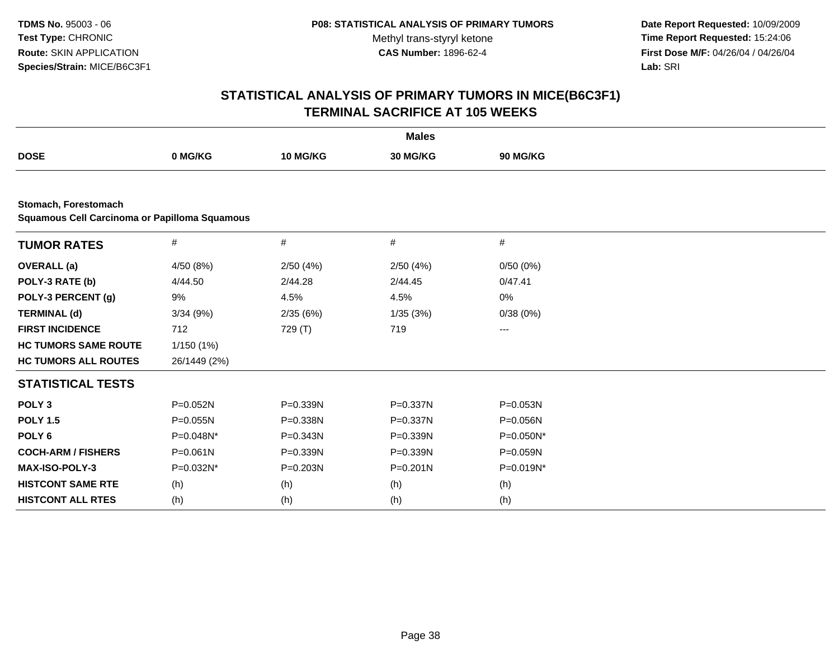**Date Report Requested:** 10/09/2009 **Time Report Requested:** 15:24:06 **First Dose M/F:** 04/26/04 / 04/26/04 Lab: SRI **Lab:** SRI

|                                                                       |              |              | <b>Males</b> |              |  |
|-----------------------------------------------------------------------|--------------|--------------|--------------|--------------|--|
| <b>DOSE</b>                                                           | 0 MG/KG      | 10 MG/KG     | 30 MG/KG     | 90 MG/KG     |  |
|                                                                       |              |              |              |              |  |
| Stomach, Forestomach<br>Squamous Cell Carcinoma or Papilloma Squamous |              |              |              |              |  |
| <b>TUMOR RATES</b>                                                    | #            | #            | #            | $\#$         |  |
| <b>OVERALL</b> (a)                                                    | 4/50 (8%)    | 2/50(4%)     | 2/50(4%)     | 0/50(0%)     |  |
| POLY-3 RATE (b)                                                       | 4/44.50      | 2/44.28      | 2/44.45      | 0/47.41      |  |
| POLY-3 PERCENT (g)                                                    | 9%           | 4.5%         | 4.5%         | 0%           |  |
| <b>TERMINAL (d)</b>                                                   | 3/34(9%)     | 2/35(6%)     | 1/35(3%)     | 0/38(0%)     |  |
| <b>FIRST INCIDENCE</b>                                                | 712          | 729 (T)      | 719          | ---          |  |
| <b>HC TUMORS SAME ROUTE</b>                                           | 1/150 (1%)   |              |              |              |  |
| <b>HC TUMORS ALL ROUTES</b>                                           | 26/1449 (2%) |              |              |              |  |
| <b>STATISTICAL TESTS</b>                                              |              |              |              |              |  |
| POLY <sub>3</sub>                                                     | P=0.052N     | P=0.339N     | P=0.337N     | P=0.053N     |  |
| <b>POLY 1.5</b>                                                       | $P = 0.055N$ | P=0.338N     | P=0.337N     | $P = 0.056N$ |  |
| POLY <sub>6</sub>                                                     | P=0.048N*    | $P = 0.343N$ | P=0.339N     | P=0.050N*    |  |
| <b>COCH-ARM / FISHERS</b>                                             | $P = 0.061N$ | P=0.339N     | P=0.339N     | P=0.059N     |  |
| MAX-ISO-POLY-3                                                        | P=0.032N*    | $P = 0.203N$ | $P = 0.201N$ | P=0.019N*    |  |
| <b>HISTCONT SAME RTE</b>                                              | (h)          | (h)          | (h)          | (h)          |  |
| <b>HISTCONT ALL RTES</b>                                              | (h)          | (h)          | (h)          | (h)          |  |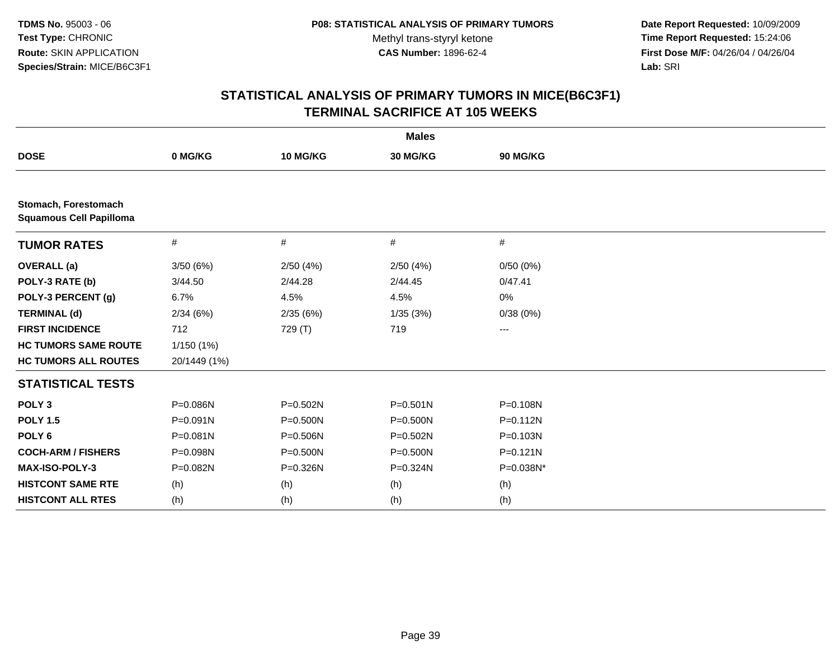**Date Report Requested:** 10/09/2009 **Time Report Requested:** 15:24:06 **First Dose M/F:** 04/26/04 / 04/26/04 Lab: SRI **Lab:** SRI

|                                                        |              |              | <b>Males</b> |              |  |
|--------------------------------------------------------|--------------|--------------|--------------|--------------|--|
| <b>DOSE</b>                                            | 0 MG/KG      | 10 MG/KG     | 30 MG/KG     | 90 MG/KG     |  |
|                                                        |              |              |              |              |  |
| Stomach, Forestomach<br><b>Squamous Cell Papilloma</b> |              |              |              |              |  |
| <b>TUMOR RATES</b>                                     | $\#$         | #            | #            | #            |  |
| <b>OVERALL</b> (a)                                     | 3/50(6%)     | 2/50(4%)     | 2/50(4%)     | 0/50(0%)     |  |
| POLY-3 RATE (b)                                        | 3/44.50      | 2/44.28      | 2/44.45      | 0/47.41      |  |
| POLY-3 PERCENT (g)                                     | 6.7%         | 4.5%         | 4.5%         | 0%           |  |
| <b>TERMINAL (d)</b>                                    | 2/34(6%)     | 2/35(6%)     | 1/35(3%)     | 0/38(0%)     |  |
| <b>FIRST INCIDENCE</b>                                 | 712          | 729 (T)      | 719          | ---          |  |
| <b>HC TUMORS SAME ROUTE</b>                            | 1/150(1%)    |              |              |              |  |
| <b>HC TUMORS ALL ROUTES</b>                            | 20/1449 (1%) |              |              |              |  |
| <b>STATISTICAL TESTS</b>                               |              |              |              |              |  |
| POLY <sub>3</sub>                                      | P=0.086N     | P=0.502N     | $P = 0.501N$ | P=0.108N     |  |
| <b>POLY 1.5</b>                                        | $P = 0.091N$ | $P = 0.500N$ | $P = 0.500N$ | $P = 0.112N$ |  |
| POLY <sub>6</sub>                                      | $P = 0.081N$ | P=0.506N     | $P = 0.502N$ | P=0.103N     |  |
| <b>COCH-ARM / FISHERS</b>                              | P=0.098N     | P=0.500N     | P=0.500N     | $P = 0.121N$ |  |
| <b>MAX-ISO-POLY-3</b>                                  | P=0.082N     | P=0.326N     | P=0.324N     | P=0.038N*    |  |
| <b>HISTCONT SAME RTE</b>                               | (h)          | (h)          | (h)          | (h)          |  |
| <b>HISTCONT ALL RTES</b>                               | (h)          | (h)          | (h)          | (h)          |  |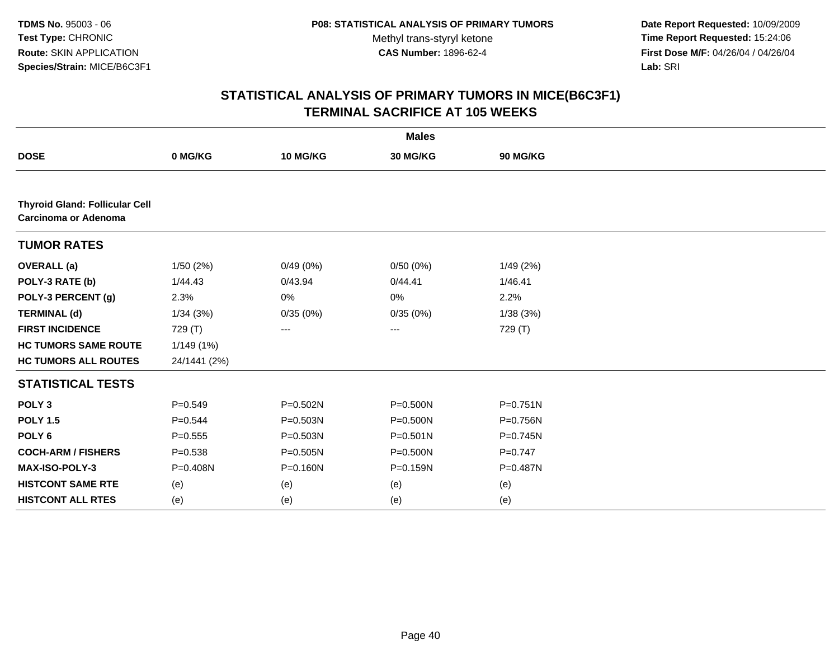**Date Report Requested:** 10/09/2009 **Time Report Requested:** 15:24:06 **First Dose M/F:** 04/26/04 / 04/26/04 Lab: SRI **Lab:** SRI

|                                                               |              |          | <b>Males</b> |              |  |
|---------------------------------------------------------------|--------------|----------|--------------|--------------|--|
| <b>DOSE</b>                                                   | 0 MG/KG      | 10 MG/KG | 30 MG/KG     | 90 MG/KG     |  |
|                                                               |              |          |              |              |  |
| <b>Thyroid Gland: Follicular Cell</b><br>Carcinoma or Adenoma |              |          |              |              |  |
| <b>TUMOR RATES</b>                                            |              |          |              |              |  |
| <b>OVERALL</b> (a)                                            | 1/50(2%)     | 0/49(0%) | 0/50(0%)     | 1/49 (2%)    |  |
| POLY-3 RATE (b)                                               | 1/44.43      | 0/43.94  | 0/44.41      | 1/46.41      |  |
| POLY-3 PERCENT (g)                                            | 2.3%         | 0%       | 0%           | 2.2%         |  |
| <b>TERMINAL (d)</b>                                           | 1/34(3%)     | 0/35(0%) | 0/35(0%)     | 1/38(3%)     |  |
| <b>FIRST INCIDENCE</b>                                        | 729 (T)      | ---      | ---          | 729 (T)      |  |
| <b>HC TUMORS SAME ROUTE</b>                                   | 1/149(1%)    |          |              |              |  |
| <b>HC TUMORS ALL ROUTES</b>                                   | 24/1441 (2%) |          |              |              |  |
| <b>STATISTICAL TESTS</b>                                      |              |          |              |              |  |
| POLY <sub>3</sub>                                             | $P = 0.549$  | P=0.502N | $P = 0.500N$ | $P = 0.751N$ |  |
| <b>POLY 1.5</b>                                               | $P = 0.544$  | P=0.503N | $P = 0.500N$ | P=0.756N     |  |
| POLY <sub>6</sub>                                             | $P = 0.555$  | P=0.503N | $P = 0.501N$ | P=0.745N     |  |
| <b>COCH-ARM / FISHERS</b>                                     | $P = 0.538$  | P=0.505N | $P = 0.500N$ | $P=0.747$    |  |
| MAX-ISO-POLY-3                                                | P=0.408N     | P=0.160N | P=0.159N     | P=0.487N     |  |
| <b>HISTCONT SAME RTE</b>                                      | (e)          | (e)      | (e)          | (e)          |  |
| <b>HISTCONT ALL RTES</b>                                      | (e)          | (e)      | (e)          | (e)          |  |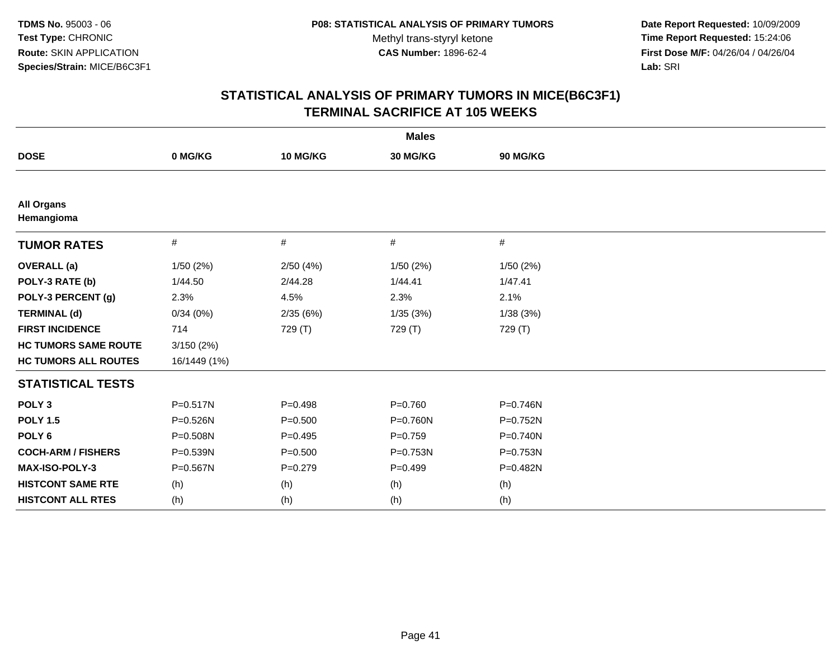**Date Report Requested:** 10/09/2009 **Time Report Requested:** 15:24:06 **First Dose M/F:** 04/26/04 / 04/26/04 Lab: SRI **Lab:** SRI

|                                 |              |             | <b>Males</b> |          |  |
|---------------------------------|--------------|-------------|--------------|----------|--|
| <b>DOSE</b>                     | 0 MG/KG      | 10 MG/KG    | 30 MG/KG     | 90 MG/KG |  |
|                                 |              |             |              |          |  |
| <b>All Organs</b><br>Hemangioma |              |             |              |          |  |
| <b>TUMOR RATES</b>              | $\#$         | $\#$        | #            | #        |  |
| <b>OVERALL</b> (a)              | 1/50(2%)     | 2/50(4%)    | 1/50(2%)     | 1/50(2%) |  |
| POLY-3 RATE (b)                 | 1/44.50      | 2/44.28     | 1/44.41      | 1/47.41  |  |
| POLY-3 PERCENT (g)              | 2.3%         | 4.5%        | 2.3%         | 2.1%     |  |
| <b>TERMINAL (d)</b>             | 0/34(0%)     | 2/35 (6%)   | 1/35(3%)     | 1/38(3%) |  |
| <b>FIRST INCIDENCE</b>          | 714          | 729 (T)     | 729 (T)      | 729 (T)  |  |
| <b>HC TUMORS SAME ROUTE</b>     | 3/150(2%)    |             |              |          |  |
| <b>HC TUMORS ALL ROUTES</b>     | 16/1449 (1%) |             |              |          |  |
| <b>STATISTICAL TESTS</b>        |              |             |              |          |  |
| POLY <sub>3</sub>               | $P = 0.517N$ | $P = 0.498$ | $P = 0.760$  | P=0.746N |  |
| <b>POLY 1.5</b>                 | $P = 0.526N$ | $P = 0.500$ | $P = 0.760N$ | P=0.752N |  |
| POLY <sub>6</sub>               | P=0.508N     | $P=0.495$   | $P = 0.759$  | P=0.740N |  |
| <b>COCH-ARM / FISHERS</b>       | P=0.539N     | $P = 0.500$ | P=0.753N     | P=0.753N |  |
| <b>MAX-ISO-POLY-3</b>           | $P = 0.567N$ | $P=0.279$   | $P = 0.499$  | P=0.482N |  |
| <b>HISTCONT SAME RTE</b>        | (h)          | (h)         | (h)          | (h)      |  |
| <b>HISTCONT ALL RTES</b>        | (h)          | (h)         | (h)          | (h)      |  |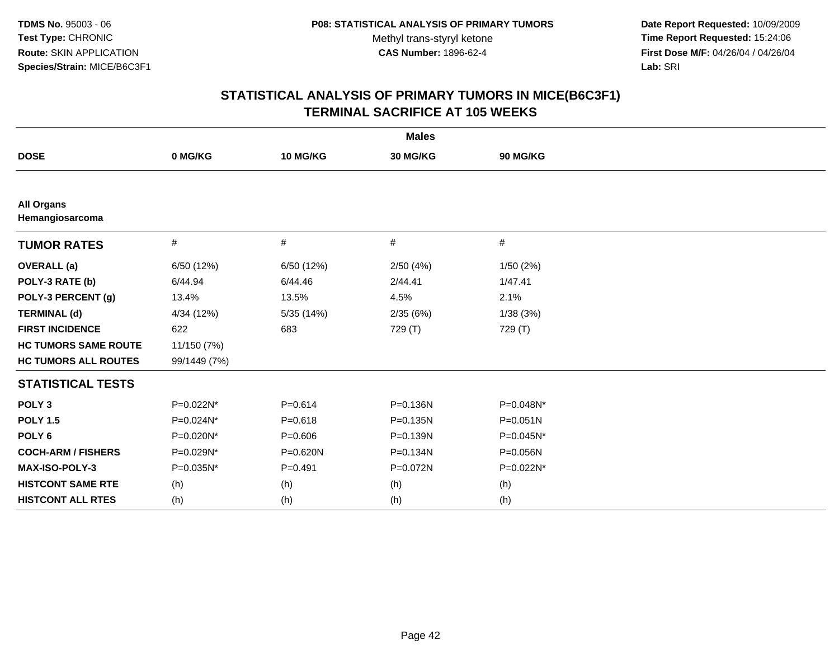**Date Report Requested:** 10/09/2009 **Time Report Requested:** 15:24:06 **First Dose M/F:** 04/26/04 / 04/26/04 Lab: SRI **Lab:** SRI

|                                      |              |             | <b>Males</b> |              |  |
|--------------------------------------|--------------|-------------|--------------|--------------|--|
| <b>DOSE</b>                          | 0 MG/KG      | 10 MG/KG    | 30 MG/KG     | 90 MG/KG     |  |
|                                      |              |             |              |              |  |
| <b>All Organs</b><br>Hemangiosarcoma |              |             |              |              |  |
| <b>TUMOR RATES</b>                   | $\#$         | $\#$        | $\#$         | #            |  |
| <b>OVERALL</b> (a)                   | 6/50 (12%)   | 6/50 (12%)  | 2/50(4%)     | 1/50(2%)     |  |
| POLY-3 RATE (b)                      | 6/44.94      | 6/44.46     | 2/44.41      | 1/47.41      |  |
| POLY-3 PERCENT (g)                   | 13.4%        | 13.5%       | 4.5%         | 2.1%         |  |
| <b>TERMINAL (d)</b>                  | 4/34 (12%)   | 5/35 (14%)  | 2/35(6%)     | 1/38(3%)     |  |
| <b>FIRST INCIDENCE</b>               | 622          | 683         | 729 (T)      | 729 (T)      |  |
| <b>HC TUMORS SAME ROUTE</b>          | 11/150 (7%)  |             |              |              |  |
| <b>HC TUMORS ALL ROUTES</b>          | 99/1449 (7%) |             |              |              |  |
| <b>STATISTICAL TESTS</b>             |              |             |              |              |  |
| POLY <sub>3</sub>                    | P=0.022N*    | $P = 0.614$ | P=0.136N     | P=0.048N*    |  |
| <b>POLY 1.5</b>                      | P=0.024N*    | $P = 0.618$ | $P = 0.135N$ | $P = 0.051N$ |  |
| POLY <sub>6</sub>                    | P=0.020N*    | $P = 0.606$ | P=0.139N     | P=0.045N*    |  |
| <b>COCH-ARM / FISHERS</b>            | P=0.029N*    | P=0.620N    | P=0.134N     | P=0.056N     |  |
| <b>MAX-ISO-POLY-3</b>                | P=0.035N*    | $P=0.491$   | P=0.072N     | P=0.022N*    |  |
| <b>HISTCONT SAME RTE</b>             | (h)          | (h)         | (h)          | (h)          |  |
| <b>HISTCONT ALL RTES</b>             | (h)          | (h)         | (h)          | (h)          |  |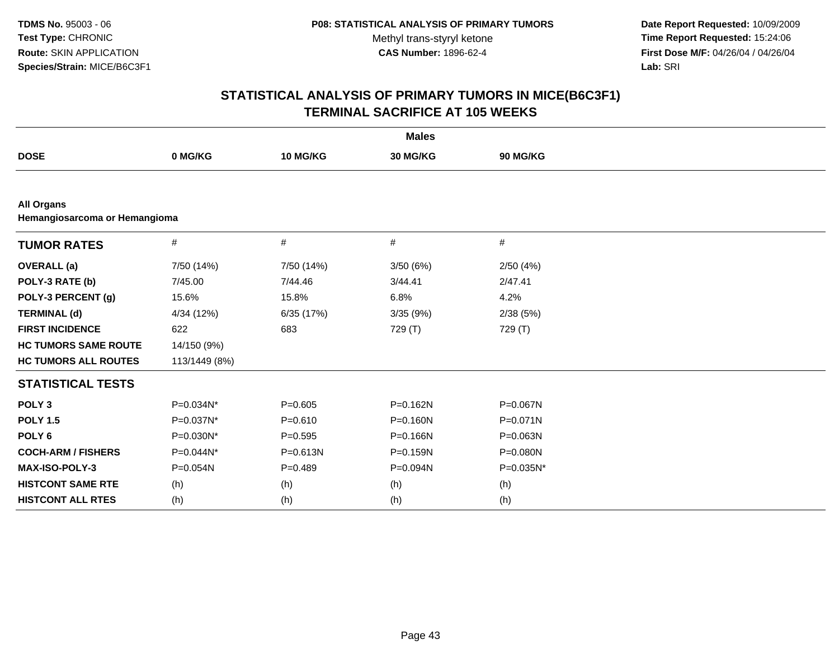**Date Report Requested:** 10/09/2009 **Time Report Requested:** 15:24:06 **First Dose M/F:** 04/26/04 / 04/26/04 Lab: SRI **Lab:** SRI

|                                                    |               |             | <b>Males</b> |           |  |  |  |  |
|----------------------------------------------------|---------------|-------------|--------------|-----------|--|--|--|--|
| <b>DOSE</b>                                        | 0 MG/KG       | 10 MG/KG    | 30 MG/KG     | 90 MG/KG  |  |  |  |  |
|                                                    |               |             |              |           |  |  |  |  |
| <b>All Organs</b><br>Hemangiosarcoma or Hemangioma |               |             |              |           |  |  |  |  |
| <b>TUMOR RATES</b>                                 | #             | #           | #            | #         |  |  |  |  |
| <b>OVERALL</b> (a)                                 | 7/50 (14%)    | 7/50 (14%)  | 3/50(6%)     | 2/50(4%)  |  |  |  |  |
| POLY-3 RATE (b)                                    | 7/45.00       | 7/44.46     | 3/44.41      | 2/47.41   |  |  |  |  |
| POLY-3 PERCENT (g)                                 | 15.6%         | 15.8%       | 6.8%         | 4.2%      |  |  |  |  |
| <b>TERMINAL (d)</b>                                | 4/34 (12%)    | 6/35 (17%)  | 3/35(9%)     | 2/38(5%)  |  |  |  |  |
| <b>FIRST INCIDENCE</b>                             | 622           | 683         | 729 (T)      | 729 (T)   |  |  |  |  |
| <b>HC TUMORS SAME ROUTE</b>                        | 14/150 (9%)   |             |              |           |  |  |  |  |
| <b>HC TUMORS ALL ROUTES</b>                        | 113/1449 (8%) |             |              |           |  |  |  |  |
| <b>STATISTICAL TESTS</b>                           |               |             |              |           |  |  |  |  |
| POLY <sub>3</sub>                                  | P=0.034N*     | $P = 0.605$ | $P = 0.162N$ | P=0.067N  |  |  |  |  |
| <b>POLY 1.5</b>                                    | P=0.037N*     | $P = 0.610$ | $P = 0.160N$ | P=0.071N  |  |  |  |  |
| POLY <sub>6</sub>                                  | P=0.030N*     | $P=0.595$   | $P = 0.166N$ | P=0.063N  |  |  |  |  |
| <b>COCH-ARM / FISHERS</b>                          | P=0.044N*     | P=0.613N    | $P = 0.159N$ | P=0.080N  |  |  |  |  |
| MAX-ISO-POLY-3                                     | P=0.054N      | $P = 0.489$ | P=0.094N     | P=0.035N* |  |  |  |  |
| <b>HISTCONT SAME RTE</b>                           | (h)           | (h)         | (h)          | (h)       |  |  |  |  |
| <b>HISTCONT ALL RTES</b>                           | (h)           | (h)         | (h)          | (h)       |  |  |  |  |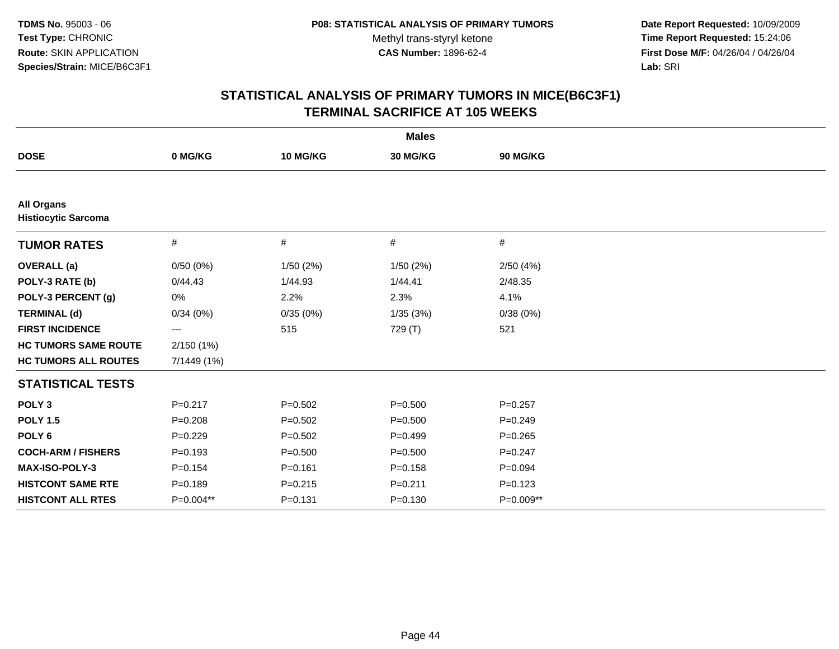**Date Report Requested:** 10/09/2009 **Time Report Requested:** 15:24:06 **First Dose M/F:** 04/26/04 / 04/26/04 Lab: SRI **Lab:** SRI

|                                                 |             |             | <b>Males</b> |             |  |
|-------------------------------------------------|-------------|-------------|--------------|-------------|--|
| <b>DOSE</b>                                     | 0 MG/KG     | 10 MG/KG    | 30 MG/KG     | 90 MG/KG    |  |
|                                                 |             |             |              |             |  |
| <b>All Organs</b><br><b>Histiocytic Sarcoma</b> |             |             |              |             |  |
| <b>TUMOR RATES</b>                              | #           | #           | #            | #           |  |
| <b>OVERALL</b> (a)                              | 0/50(0%)    | 1/50(2%)    | 1/50(2%)     | 2/50(4%)    |  |
| POLY-3 RATE (b)                                 | 0/44.43     | 1/44.93     | 1/44.41      | 2/48.35     |  |
| POLY-3 PERCENT (g)                              | $0\%$       | 2.2%        | 2.3%         | 4.1%        |  |
| <b>TERMINAL (d)</b>                             | 0/34(0%)    | 0/35(0%)    | 1/35(3%)     | 0/38(0%)    |  |
| <b>FIRST INCIDENCE</b>                          | ---         | 515         | 729 (T)      | 521         |  |
| <b>HC TUMORS SAME ROUTE</b>                     | 2/150(1%)   |             |              |             |  |
| <b>HC TUMORS ALL ROUTES</b>                     | 7/1449 (1%) |             |              |             |  |
| <b>STATISTICAL TESTS</b>                        |             |             |              |             |  |
| POLY <sub>3</sub>                               | $P = 0.217$ | $P = 0.502$ | $P = 0.500$  | $P = 0.257$ |  |
| <b>POLY 1.5</b>                                 | $P = 0.208$ | $P=0.502$   | $P = 0.500$  | $P=0.249$   |  |
| POLY <sub>6</sub>                               | $P=0.229$   | $P=0.502$   | $P=0.499$    | $P=0.265$   |  |
| <b>COCH-ARM / FISHERS</b>                       | $P = 0.193$ | $P = 0.500$ | $P = 0.500$  | $P = 0.247$ |  |
| MAX-ISO-POLY-3                                  | $P = 0.154$ | $P = 0.161$ | $P = 0.158$  | $P = 0.094$ |  |
| <b>HISTCONT SAME RTE</b>                        | $P=0.189$   | $P = 0.215$ | $P = 0.211$  | $P=0.123$   |  |
| <b>HISTCONT ALL RTES</b>                        | P=0.004**   | $P = 0.131$ | $P = 0.130$  | P=0.009**   |  |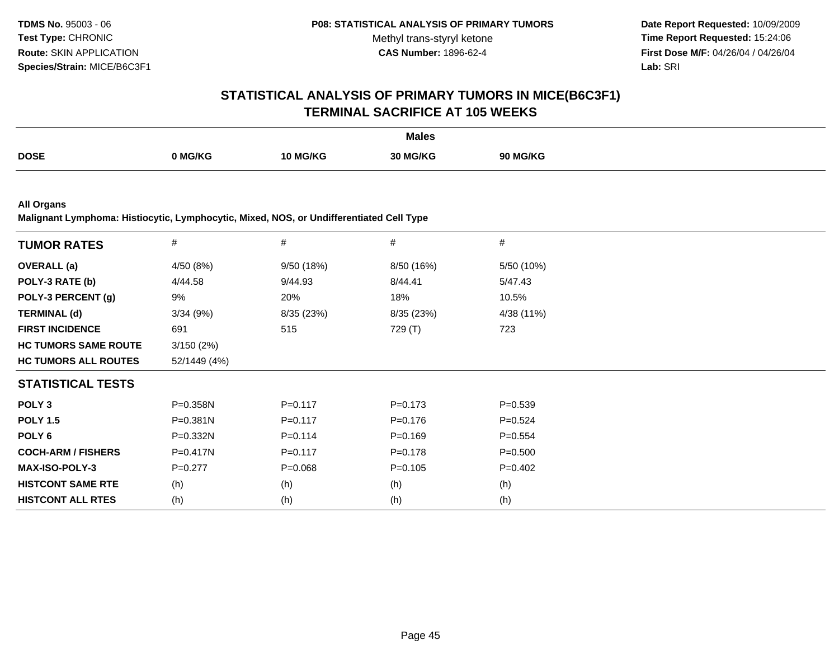**Date Report Requested:** 10/09/2009 **Time Report Requested:** 15:24:06 **First Dose M/F:** 04/26/04 / 04/26/04 Lab: SRI **Lab:** SRI

# **STATISTICAL ANALYSIS OF PRIMARY TUMORS IN MICE(B6C3F1)TERMINAL SACRIFICE AT 105 WEEKS**

|             |         |          | <b>Males</b> |                 |
|-------------|---------|----------|--------------|-----------------|
| <b>DOSE</b> | າ MG/KG | 10 MG/KG | 30 MG/KG     | <b>90 MG/KG</b> |

**All Organs**

**Malignant Lymphoma: Histiocytic, Lymphocytic, Mixed, NOS, or Undifferentiated Cell Type**

| <b>TUMOR RATES</b>          | $\#$         | #           | #           | #           |
|-----------------------------|--------------|-------------|-------------|-------------|
| <b>OVERALL</b> (a)          | 4/50(8%)     | 9/50(18%)   | 8/50 (16%)  | 5/50 (10%)  |
| POLY-3 RATE (b)             | 4/44.58      | 9/44.93     | 8/44.41     | 5/47.43     |
| POLY-3 PERCENT (g)          | 9%           | 20%         | 18%         | 10.5%       |
| <b>TERMINAL (d)</b>         | 3/34(9%)     | 8/35 (23%)  | 8/35 (23%)  | 4/38 (11%)  |
| <b>FIRST INCIDENCE</b>      | 691          | 515         | 729 (T)     | 723         |
| <b>HC TUMORS SAME ROUTE</b> | 3/150(2%)    |             |             |             |
| <b>HC TUMORS ALL ROUTES</b> | 52/1449 (4%) |             |             |             |
| <b>STATISTICAL TESTS</b>    |              |             |             |             |
| POLY <sub>3</sub>           | $P = 0.358N$ | $P = 0.117$ | $P = 0.173$ | $P = 0.539$ |
| <b>POLY 1.5</b>             | $P = 0.381N$ | $P = 0.117$ | $P = 0.176$ | $P=0.524$   |
| POLY <sub>6</sub>           | P=0.332N     | $P = 0.114$ | $P = 0.169$ | $P = 0.554$ |
| <b>COCH-ARM / FISHERS</b>   | $P=0.417N$   | $P = 0.117$ | $P = 0.178$ | $P = 0.500$ |
| <b>MAX-ISO-POLY-3</b>       | $P=0.277$    | $P = 0.068$ | $P = 0.105$ | $P=0.402$   |
| <b>HISTCONT SAME RTE</b>    | (h)          | (h)         | (h)         | (h)         |
| <b>HISTCONT ALL RTES</b>    | (h)          | (h)         | (h)         | (h)         |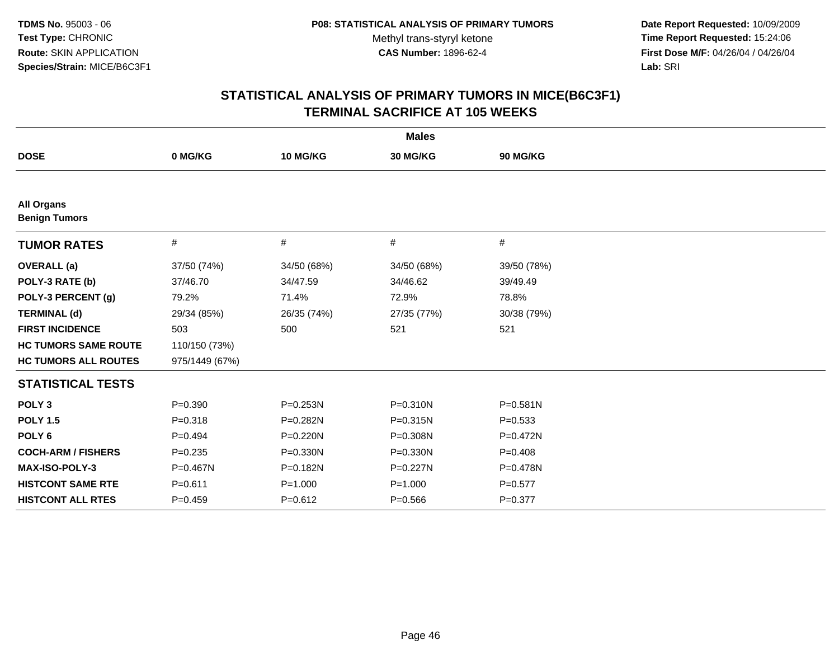**Date Report Requested:** 10/09/2009 **Time Report Requested:** 15:24:06 **First Dose M/F:** 04/26/04 / 04/26/04 Lab: SRI **Lab:** SRI

| <b>Males</b>                              |                |              |             |              |  |
|-------------------------------------------|----------------|--------------|-------------|--------------|--|
| <b>DOSE</b>                               | 0 MG/KG        | 10 MG/KG     | 30 MG/KG    | 90 MG/KG     |  |
|                                           |                |              |             |              |  |
| <b>All Organs</b><br><b>Benign Tumors</b> |                |              |             |              |  |
| <b>TUMOR RATES</b>                        | #              | #            | #           | #            |  |
| <b>OVERALL</b> (a)                        | 37/50 (74%)    | 34/50 (68%)  | 34/50 (68%) | 39/50 (78%)  |  |
| POLY-3 RATE (b)                           | 37/46.70       | 34/47.59     | 34/46.62    | 39/49.49     |  |
| POLY-3 PERCENT (g)                        | 79.2%          | 71.4%        | 72.9%       | 78.8%        |  |
| <b>TERMINAL (d)</b>                       | 29/34 (85%)    | 26/35 (74%)  | 27/35 (77%) | 30/38 (79%)  |  |
| <b>FIRST INCIDENCE</b>                    | 503            | 500          | 521         | 521          |  |
| <b>HC TUMORS SAME ROUTE</b>               | 110/150 (73%)  |              |             |              |  |
| <b>HC TUMORS ALL ROUTES</b>               | 975/1449 (67%) |              |             |              |  |
| <b>STATISTICAL TESTS</b>                  |                |              |             |              |  |
| POLY <sub>3</sub>                         | $P = 0.390$    | $P = 0.253N$ | P=0.310N    | $P = 0.581N$ |  |
| <b>POLY 1.5</b>                           | $P = 0.318$    | P=0.282N     | P=0.315N    | $P = 0.533$  |  |
| POLY <sub>6</sub>                         | $P=0.494$      | $P = 0.220N$ | P=0.308N    | P=0.472N     |  |
| <b>COCH-ARM / FISHERS</b>                 | $P=0.235$      | $P = 0.330N$ | P=0.330N    | $P=0.408$    |  |
| MAX-ISO-POLY-3                            | P=0.467N       | P=0.182N     | P=0.227N    | $P = 0.478N$ |  |
| <b>HISTCONT SAME RTE</b>                  | $P = 0.611$    | $P = 1.000$  | $P = 1.000$ | $P=0.577$    |  |
| <b>HISTCONT ALL RTES</b>                  | $P=0.459$      | $P = 0.612$  | $P = 0.566$ | $P = 0.377$  |  |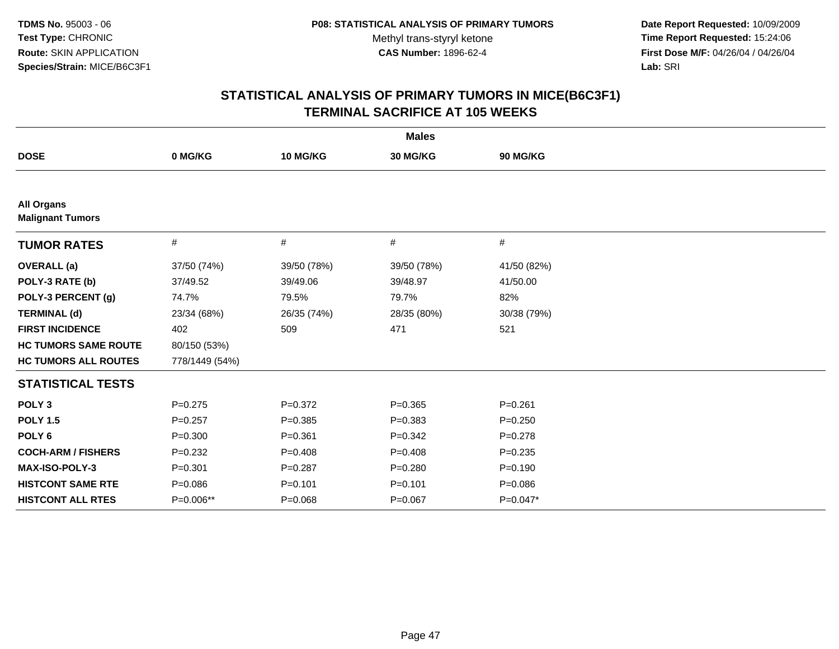**Date Report Requested:** 10/09/2009 **Time Report Requested:** 15:24:06 **First Dose M/F:** 04/26/04 / 04/26/04 Lab: SRI **Lab:** SRI

|                                              |                |             | <b>Males</b> |             |
|----------------------------------------------|----------------|-------------|--------------|-------------|
| <b>DOSE</b>                                  | 0 MG/KG        | 10 MG/KG    | 30 MG/KG     | 90 MG/KG    |
|                                              |                |             |              |             |
| <b>All Organs</b><br><b>Malignant Tumors</b> |                |             |              |             |
| <b>TUMOR RATES</b>                           | #              | #           | #            | #           |
| <b>OVERALL</b> (a)                           | 37/50 (74%)    | 39/50 (78%) | 39/50 (78%)  | 41/50 (82%) |
| POLY-3 RATE (b)                              | 37/49.52       | 39/49.06    | 39/48.97     | 41/50.00    |
| POLY-3 PERCENT (g)                           | 74.7%          | 79.5%       | 79.7%        | 82%         |
| <b>TERMINAL (d)</b>                          | 23/34 (68%)    | 26/35 (74%) | 28/35 (80%)  | 30/38 (79%) |
| <b>FIRST INCIDENCE</b>                       | 402            | 509         | 471          | 521         |
| <b>HC TUMORS SAME ROUTE</b>                  | 80/150 (53%)   |             |              |             |
| <b>HC TUMORS ALL ROUTES</b>                  | 778/1449 (54%) |             |              |             |
| <b>STATISTICAL TESTS</b>                     |                |             |              |             |
| POLY <sub>3</sub>                            | $P=0.275$      | $P = 0.372$ | $P = 0.365$  | $P = 0.261$ |
| <b>POLY 1.5</b>                              | $P=0.257$      | $P = 0.385$ | $P = 0.383$  | $P=0.250$   |
| POLY <sub>6</sub>                            | $P = 0.300$    | $P = 0.361$ | $P=0.342$    | $P=0.278$   |
| <b>COCH-ARM / FISHERS</b>                    | $P=0.232$      | $P = 0.408$ | $P=0.408$    | $P = 0.235$ |
| MAX-ISO-POLY-3                               | $P = 0.301$    | $P = 0.287$ | $P = 0.280$  | $P = 0.190$ |
| <b>HISTCONT SAME RTE</b>                     | $P = 0.086$    | $P = 0.101$ | $P = 0.101$  | $P = 0.086$ |
| <b>HISTCONT ALL RTES</b>                     | P=0.006**      | $P = 0.068$ | $P = 0.067$  | $P=0.047*$  |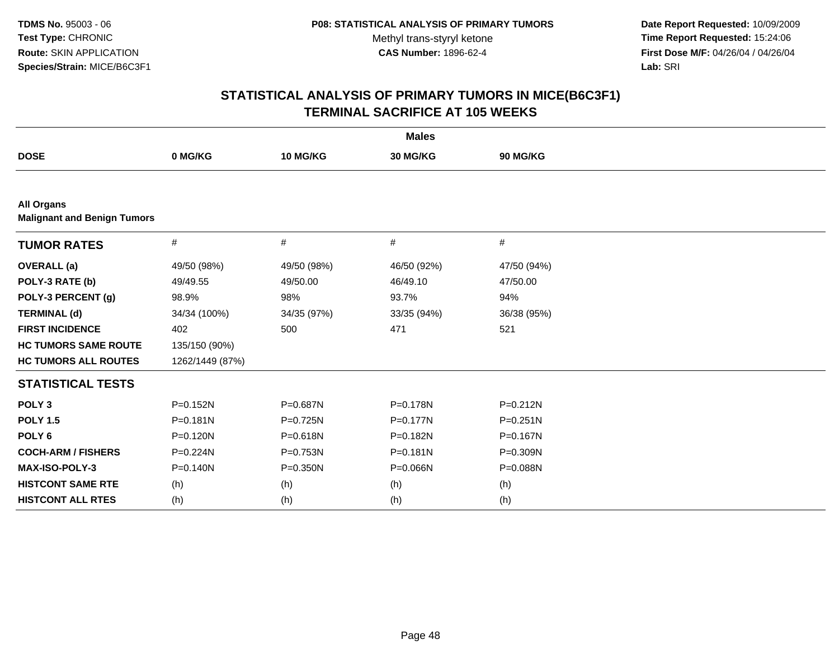**Date Report Requested:** 10/09/2009 **Time Report Requested:** 15:24:06 **First Dose M/F:** 04/26/04 / 04/26/04 Lab: SRI **Lab:** SRI

| <b>Males</b>                                            |                 |              |             |              |  |  |
|---------------------------------------------------------|-----------------|--------------|-------------|--------------|--|--|
| <b>DOSE</b>                                             | 0 MG/KG         | 10 MG/KG     | 30 MG/KG    | 90 MG/KG     |  |  |
|                                                         |                 |              |             |              |  |  |
| <b>All Organs</b><br><b>Malignant and Benign Tumors</b> |                 |              |             |              |  |  |
| <b>TUMOR RATES</b>                                      | #               | #            | #           | #            |  |  |
| <b>OVERALL</b> (a)                                      | 49/50 (98%)     | 49/50 (98%)  | 46/50 (92%) | 47/50 (94%)  |  |  |
| POLY-3 RATE (b)                                         | 49/49.55        | 49/50.00     | 46/49.10    | 47/50.00     |  |  |
| POLY-3 PERCENT (g)                                      | 98.9%           | 98%          | 93.7%       | 94%          |  |  |
| <b>TERMINAL (d)</b>                                     | 34/34 (100%)    | 34/35 (97%)  | 33/35 (94%) | 36/38 (95%)  |  |  |
| <b>FIRST INCIDENCE</b>                                  | 402             | 500          | 471         | 521          |  |  |
| <b>HC TUMORS SAME ROUTE</b>                             | 135/150 (90%)   |              |             |              |  |  |
| <b>HC TUMORS ALL ROUTES</b>                             | 1262/1449 (87%) |              |             |              |  |  |
| <b>STATISTICAL TESTS</b>                                |                 |              |             |              |  |  |
| POLY <sub>3</sub>                                       | $P = 0.152N$    | P=0.687N     | P=0.178N    | $P = 0.212N$ |  |  |
| <b>POLY 1.5</b>                                         | $P = 0.181N$    | P=0.725N     | P=0.177N    | $P = 0.251N$ |  |  |
| POLY <sub>6</sub>                                       | $P = 0.120N$    | P=0.618N     | P=0.182N    | $P = 0.167N$ |  |  |
| <b>COCH-ARM / FISHERS</b>                               | $P = 0.224N$    | P=0.753N     | P=0.181N    | P=0.309N     |  |  |
| MAX-ISO-POLY-3                                          | $P = 0.140N$    | $P = 0.350N$ | P=0.066N    | P=0.088N     |  |  |
| <b>HISTCONT SAME RTE</b>                                | (h)             | (h)          | (h)         | (h)          |  |  |
| <b>HISTCONT ALL RTES</b>                                | (h)             | (h)          | (h)         | (h)          |  |  |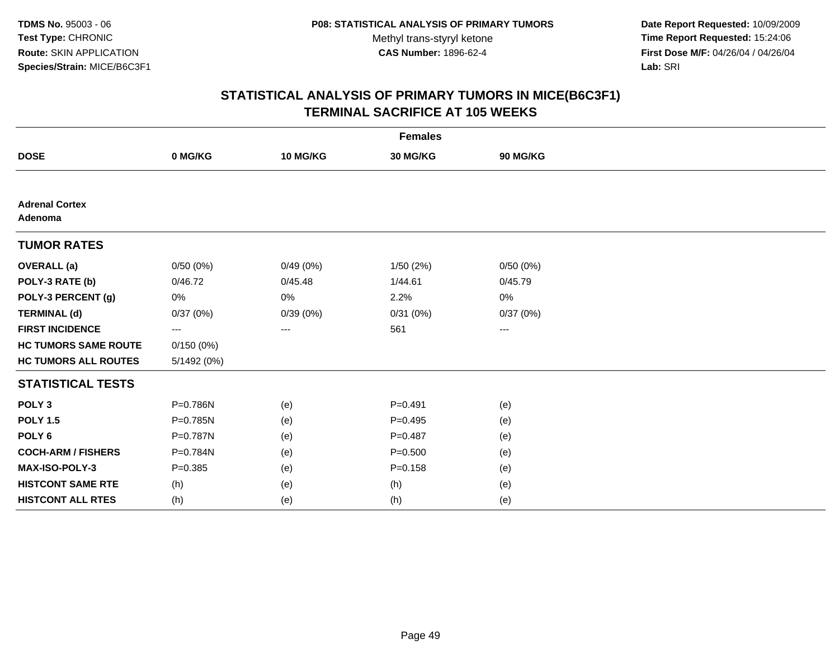**Date Report Requested:** 10/09/2009 **Time Report Requested:** 15:24:06 **First Dose M/F:** 04/26/04 / 04/26/04 Lab: SRI **Lab:** SRI

| <b>Females</b>                   |             |          |             |                   |  |  |
|----------------------------------|-------------|----------|-------------|-------------------|--|--|
| <b>DOSE</b>                      | 0 MG/KG     | 10 MG/KG | 30 MG/KG    | 90 MG/KG          |  |  |
|                                  |             |          |             |                   |  |  |
| <b>Adrenal Cortex</b><br>Adenoma |             |          |             |                   |  |  |
| <b>TUMOR RATES</b>               |             |          |             |                   |  |  |
| <b>OVERALL</b> (a)               | 0/50(0%)    | 0/49(0%) | 1/50 (2%)   | 0/50(0%)          |  |  |
| POLY-3 RATE (b)                  | 0/46.72     | 0/45.48  | 1/44.61     | 0/45.79           |  |  |
| POLY-3 PERCENT (g)               | 0%          | 0%       | 2.2%        | 0%                |  |  |
| <b>TERMINAL (d)</b>              | 0/37(0%)    | 0/39(0%) | 0/31(0%)    | 0/37(0%)          |  |  |
| <b>FIRST INCIDENCE</b>           | $---$       | ---      | 561         | $\qquad \qquad -$ |  |  |
| <b>HC TUMORS SAME ROUTE</b>      | 0/150(0%)   |          |             |                   |  |  |
| <b>HC TUMORS ALL ROUTES</b>      | 5/1492 (0%) |          |             |                   |  |  |
| <b>STATISTICAL TESTS</b>         |             |          |             |                   |  |  |
| POLY <sub>3</sub>                | P=0.786N    | (e)      | $P = 0.491$ | (e)               |  |  |
| <b>POLY 1.5</b>                  | P=0.785N    | (e)      | $P=0.495$   | (e)               |  |  |
| POLY <sub>6</sub>                | P=0.787N    | (e)      | $P=0.487$   | (e)               |  |  |
| <b>COCH-ARM / FISHERS</b>        | P=0.784N    | (e)      | $P = 0.500$ | (e)               |  |  |
| MAX-ISO-POLY-3                   | $P = 0.385$ | (e)      | $P = 0.158$ | (e)               |  |  |
| <b>HISTCONT SAME RTE</b>         | (h)         | (e)      | (h)         | (e)               |  |  |
| <b>HISTCONT ALL RTES</b>         | (h)         | (e)      | (h)         | (e)               |  |  |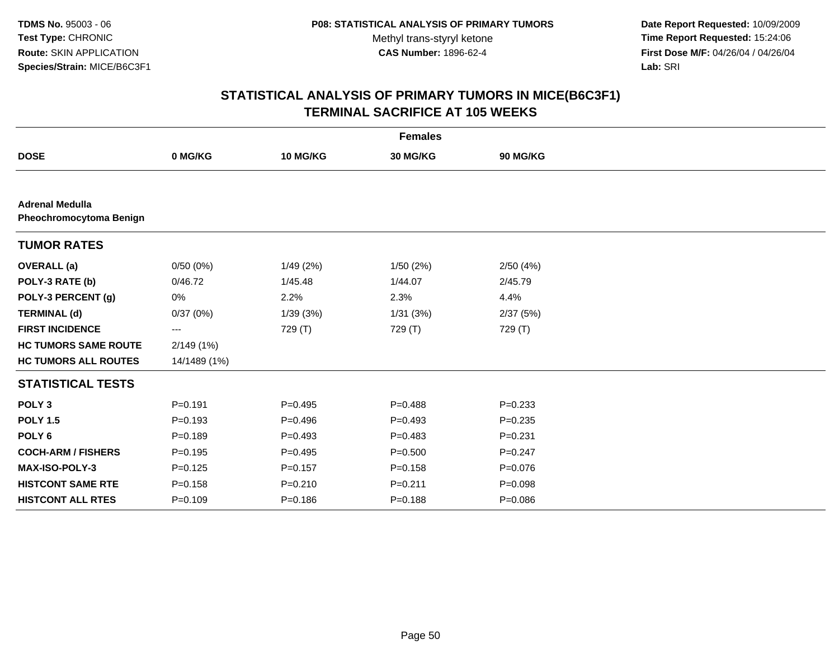**Date Report Requested:** 10/09/2009 **Time Report Requested:** 15:24:06 **First Dose M/F:** 04/26/04 / 04/26/04 Lab: SRI **Lab:** SRI

|                                                   |              |             | <b>Females</b> |             |  |
|---------------------------------------------------|--------------|-------------|----------------|-------------|--|
| <b>DOSE</b>                                       | 0 MG/KG      | 10 MG/KG    | 30 MG/KG       | 90 MG/KG    |  |
|                                                   |              |             |                |             |  |
| <b>Adrenal Medulla</b><br>Pheochromocytoma Benign |              |             |                |             |  |
| <b>TUMOR RATES</b>                                |              |             |                |             |  |
| <b>OVERALL</b> (a)                                | 0/50(0%)     | 1/49(2%)    | 1/50(2%)       | 2/50(4%)    |  |
| POLY-3 RATE (b)                                   | 0/46.72      | 1/45.48     | 1/44.07        | 2/45.79     |  |
| POLY-3 PERCENT (g)                                | 0%           | 2.2%        | 2.3%           | 4.4%        |  |
| <b>TERMINAL (d)</b>                               | 0/37(0%)     | 1/39(3%)    | 1/31(3%)       | 2/37(5%)    |  |
| <b>FIRST INCIDENCE</b>                            | ---          | 729 (T)     | 729 (T)        | 729 (T)     |  |
| <b>HC TUMORS SAME ROUTE</b>                       | 2/149(1%)    |             |                |             |  |
| <b>HC TUMORS ALL ROUTES</b>                       | 14/1489 (1%) |             |                |             |  |
| <b>STATISTICAL TESTS</b>                          |              |             |                |             |  |
| POLY <sub>3</sub>                                 | $P = 0.191$  | $P=0.495$   | $P=0.488$      | $P = 0.233$ |  |
| <b>POLY 1.5</b>                                   | $P = 0.193$  | $P = 0.496$ | $P=0.493$      | $P = 0.235$ |  |
| POLY <sub>6</sub>                                 | $P=0.189$    | $P=0.493$   | $P=0.483$      | $P = 0.231$ |  |
| <b>COCH-ARM / FISHERS</b>                         | $P = 0.195$  | $P=0.495$   | $P = 0.500$    | $P = 0.247$ |  |
| MAX-ISO-POLY-3                                    | $P = 0.125$  | $P=0.157$   | $P = 0.158$    | $P = 0.076$ |  |
| <b>HISTCONT SAME RTE</b>                          | $P = 0.158$  | $P = 0.210$ | $P = 0.211$    | $P = 0.098$ |  |
| <b>HISTCONT ALL RTES</b>                          | $P=0.109$    | $P = 0.186$ | $P = 0.188$    | $P = 0.086$ |  |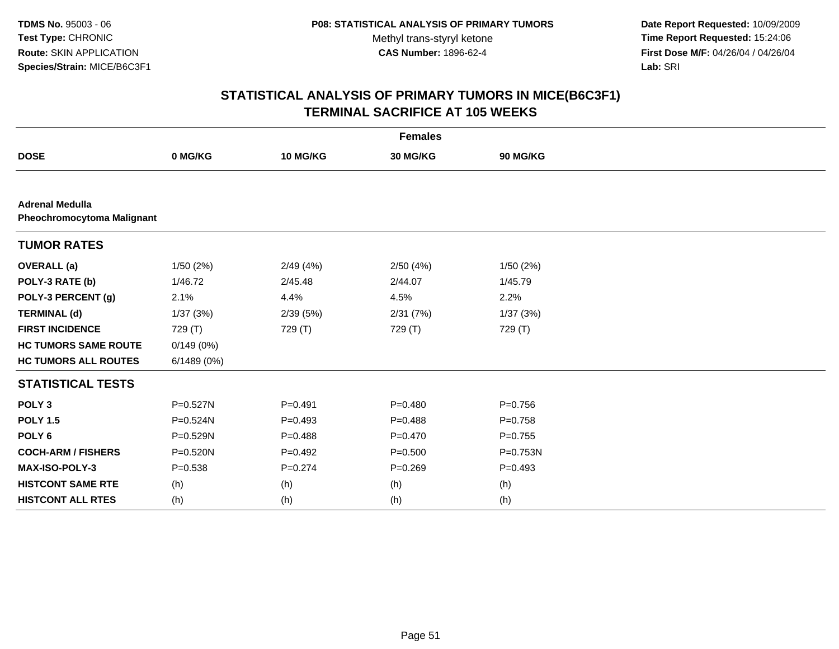**Date Report Requested:** 10/09/2009 **Time Report Requested:** 15:24:06 **First Dose M/F:** 04/26/04 / 04/26/04 Lab: SRI **Lab:** SRI

| <b>Females</b>                                       |              |             |             |              |  |  |
|------------------------------------------------------|--------------|-------------|-------------|--------------|--|--|
| <b>DOSE</b>                                          | 0 MG/KG      | 10 MG/KG    | 30 MG/KG    | 90 MG/KG     |  |  |
|                                                      |              |             |             |              |  |  |
| <b>Adrenal Medulla</b><br>Pheochromocytoma Malignant |              |             |             |              |  |  |
| <b>TUMOR RATES</b>                                   |              |             |             |              |  |  |
| <b>OVERALL</b> (a)                                   | 1/50(2%)     | 2/49(4%)    | 2/50(4%)    | 1/50(2%)     |  |  |
| POLY-3 RATE (b)                                      | 1/46.72      | 2/45.48     | 2/44.07     | 1/45.79      |  |  |
| POLY-3 PERCENT (g)                                   | 2.1%         | 4.4%        | 4.5%        | 2.2%         |  |  |
| <b>TERMINAL (d)</b>                                  | 1/37(3%)     | 2/39(5%)    | 2/31(7%)    | 1/37(3%)     |  |  |
| <b>FIRST INCIDENCE</b>                               | 729 (T)      | 729 (T)     | 729 (T)     | 729 (T)      |  |  |
| <b>HC TUMORS SAME ROUTE</b>                          | 0/149(0%)    |             |             |              |  |  |
| <b>HC TUMORS ALL ROUTES</b>                          | 6/1489(0%)   |             |             |              |  |  |
| <b>STATISTICAL TESTS</b>                             |              |             |             |              |  |  |
| POLY <sub>3</sub>                                    | P=0.527N     | $P = 0.491$ | $P=0.480$   | $P = 0.756$  |  |  |
| <b>POLY 1.5</b>                                      | $P = 0.524N$ | $P = 0.493$ | $P=0.488$   | $P = 0.758$  |  |  |
| POLY <sub>6</sub>                                    | P=0.529N     | $P = 0.488$ | $P=0.470$   | $P = 0.755$  |  |  |
| <b>COCH-ARM / FISHERS</b>                            | $P = 0.520N$ | $P=0.492$   | $P = 0.500$ | $P = 0.753N$ |  |  |
| <b>MAX-ISO-POLY-3</b>                                | $P = 0.538$  | $P = 0.274$ | $P = 0.269$ | $P=0.493$    |  |  |
| <b>HISTCONT SAME RTE</b>                             | (h)          | (h)         | (h)         | (h)          |  |  |
| <b>HISTCONT ALL RTES</b>                             | (h)          | (h)         | (h)         | (h)          |  |  |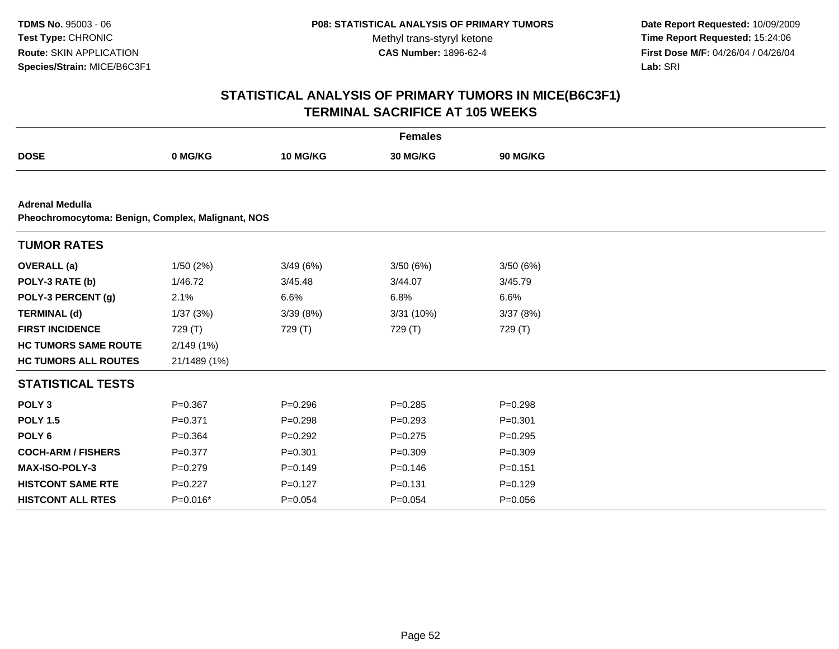**Date Report Requested:** 10/09/2009 **Time Report Requested:** 15:24:06 **First Dose M/F:** 04/26/04 / 04/26/04 Lab: SRI **Lab:** SRI

|                                                                             |              |                 | <b>Females</b> |                 |  |
|-----------------------------------------------------------------------------|--------------|-----------------|----------------|-----------------|--|
| <b>DOSE</b>                                                                 | 0 MG/KG      | <b>10 MG/KG</b> | 30 MG/KG       | <b>90 MG/KG</b> |  |
|                                                                             |              |                 |                |                 |  |
| <b>Adrenal Medulla</b><br>Pheochromocytoma: Benign, Complex, Malignant, NOS |              |                 |                |                 |  |
| <b>TUMOR RATES</b>                                                          |              |                 |                |                 |  |
| <b>OVERALL</b> (a)                                                          | 1/50(2%)     | 3/49(6%)        | 3/50(6%)       | 3/50(6%)        |  |
| POLY-3 RATE (b)                                                             | 1/46.72      | 3/45.48         | 3/44.07        | 3/45.79         |  |
| POLY-3 PERCENT (g)                                                          | 2.1%         | 6.6%            | 6.8%           | 6.6%            |  |
| <b>TERMINAL (d)</b>                                                         | 1/37(3%)     | 3/39(8%)        | 3/31 (10%)     | 3/37(8%)        |  |
| <b>FIRST INCIDENCE</b>                                                      | 729 (T)      | 729 (T)         | 729 (T)        | 729 (T)         |  |
| <b>HC TUMORS SAME ROUTE</b>                                                 | 2/149(1%)    |                 |                |                 |  |
| <b>HC TUMORS ALL ROUTES</b>                                                 | 21/1489 (1%) |                 |                |                 |  |
| <b>STATISTICAL TESTS</b>                                                    |              |                 |                |                 |  |
| POLY <sub>3</sub>                                                           | $P=0.367$    | $P = 0.296$     | $P = 0.285$    | $P = 0.298$     |  |
| <b>POLY 1.5</b>                                                             | $P = 0.371$  | $P = 0.298$     | $P=0.293$      | $P = 0.301$     |  |
| POLY <sub>6</sub>                                                           | $P = 0.364$  | $P=0.292$       | $P=0.275$      | $P = 0.295$     |  |
| <b>COCH-ARM / FISHERS</b>                                                   | $P=0.377$    | $P = 0.301$     | $P = 0.309$    | $P=0.309$       |  |
| <b>MAX-ISO-POLY-3</b>                                                       | $P=0.279$    | $P = 0.149$     | $P = 0.146$    | $P = 0.151$     |  |
| <b>HISTCONT SAME RTE</b>                                                    | $P=0.227$    | $P = 0.127$     | $P = 0.131$    | $P=0.129$       |  |
| <b>HISTCONT ALL RTES</b>                                                    | $P=0.016*$   | $P = 0.054$     | $P = 0.054$    | $P = 0.056$     |  |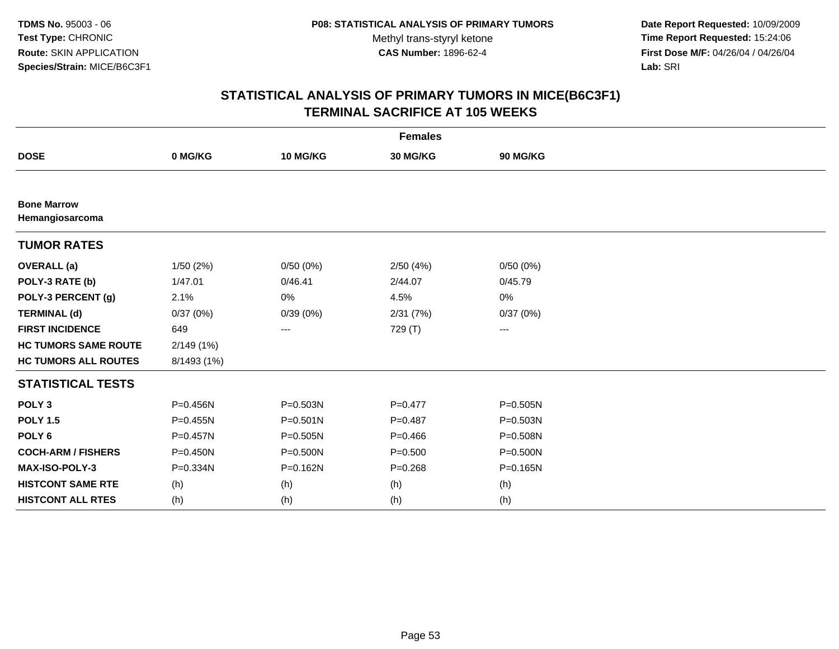**Date Report Requested:** 10/09/2009 **Time Report Requested:** 15:24:06 **First Dose M/F:** 04/26/04 / 04/26/04 Lab: SRI **Lab:** SRI

| <b>Females</b>                        |              |              |             |              |  |  |
|---------------------------------------|--------------|--------------|-------------|--------------|--|--|
| <b>DOSE</b>                           | 0 MG/KG      | 10 MG/KG     | 30 MG/KG    | 90 MG/KG     |  |  |
|                                       |              |              |             |              |  |  |
| <b>Bone Marrow</b><br>Hemangiosarcoma |              |              |             |              |  |  |
| <b>TUMOR RATES</b>                    |              |              |             |              |  |  |
| <b>OVERALL</b> (a)                    | 1/50(2%)     | 0/50(0%)     | 2/50(4%)    | 0/50(0%)     |  |  |
| POLY-3 RATE (b)                       | 1/47.01      | 0/46.41      | 2/44.07     | 0/45.79      |  |  |
| POLY-3 PERCENT (g)                    | 2.1%         | 0%           | 4.5%        | 0%           |  |  |
| <b>TERMINAL (d)</b>                   | 0/37(0%)     | 0/39(0%)     | 2/31(7%)    | 0/37(0%)     |  |  |
| <b>FIRST INCIDENCE</b>                | 649          | ---          | 729 (T)     | ---          |  |  |
| <b>HC TUMORS SAME ROUTE</b>           | 2/149 (1%)   |              |             |              |  |  |
| <b>HC TUMORS ALL ROUTES</b>           | 8/1493 (1%)  |              |             |              |  |  |
| <b>STATISTICAL TESTS</b>              |              |              |             |              |  |  |
| POLY <sub>3</sub>                     | P=0.456N     | P=0.503N     | $P=0.477$   | $P = 0.505N$ |  |  |
| <b>POLY 1.5</b>                       | $P = 0.455N$ | $P = 0.501N$ | $P = 0.487$ | $P = 0.503N$ |  |  |
| POLY <sub>6</sub>                     | $P = 0.457N$ | $P = 0.505N$ | $P=0.466$   | P=0.508N     |  |  |
| <b>COCH-ARM / FISHERS</b>             | $P = 0.450N$ | $P = 0.500N$ | $P = 0.500$ | P=0.500N     |  |  |
| MAX-ISO-POLY-3                        | P=0.334N     | $P = 0.162N$ | $P = 0.268$ | $P = 0.165N$ |  |  |
| <b>HISTCONT SAME RTE</b>              | (h)          | (h)          | (h)         | (h)          |  |  |
| <b>HISTCONT ALL RTES</b>              | (h)          | (h)          | (h)         | (h)          |  |  |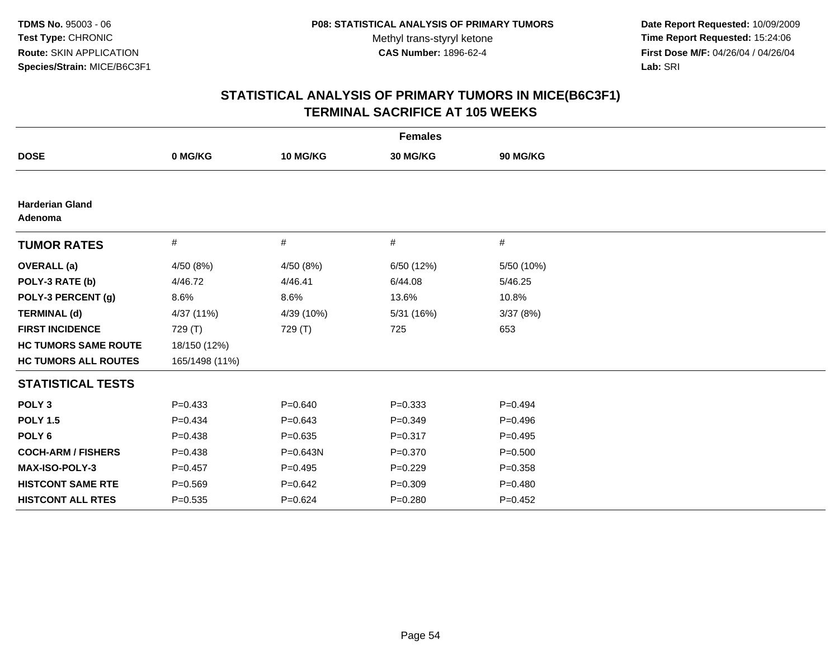**Date Report Requested:** 10/09/2009 **Time Report Requested:** 15:24:06 **First Dose M/F:** 04/26/04 / 04/26/04 Lab: SRI **Lab:** SRI

| <b>Females</b>                    |                |             |             |             |  |  |
|-----------------------------------|----------------|-------------|-------------|-------------|--|--|
| <b>DOSE</b>                       | 0 MG/KG        | 10 MG/KG    | 30 MG/KG    | 90 MG/KG    |  |  |
|                                   |                |             |             |             |  |  |
| <b>Harderian Gland</b><br>Adenoma |                |             |             |             |  |  |
| <b>TUMOR RATES</b>                | $\#$           | $\#$        | #           | #           |  |  |
| <b>OVERALL</b> (a)                | 4/50 (8%)      | 4/50 (8%)   | 6/50 (12%)  | 5/50 (10%)  |  |  |
| POLY-3 RATE (b)                   | 4/46.72        | 4/46.41     | 6/44.08     | 5/46.25     |  |  |
| POLY-3 PERCENT (g)                | 8.6%           | 8.6%        | 13.6%       | 10.8%       |  |  |
| <b>TERMINAL (d)</b>               | 4/37 (11%)     | 4/39 (10%)  | 5/31 (16%)  | 3/37(8%)    |  |  |
| <b>FIRST INCIDENCE</b>            | 729 (T)        | 729 (T)     | 725         | 653         |  |  |
| <b>HC TUMORS SAME ROUTE</b>       | 18/150 (12%)   |             |             |             |  |  |
| <b>HC TUMORS ALL ROUTES</b>       | 165/1498 (11%) |             |             |             |  |  |
| <b>STATISTICAL TESTS</b>          |                |             |             |             |  |  |
| POLY <sub>3</sub>                 | $P=0.433$      | $P = 0.640$ | $P = 0.333$ | $P=0.494$   |  |  |
| <b>POLY 1.5</b>                   | $P=0.434$      | $P = 0.643$ | $P=0.349$   | $P = 0.496$ |  |  |
| POLY <sub>6</sub>                 | $P = 0.438$    | $P = 0.635$ | $P = 0.317$ | $P=0.495$   |  |  |
| <b>COCH-ARM / FISHERS</b>         | $P=0.438$      | P=0.643N    | $P = 0.370$ | $P = 0.500$ |  |  |
| <b>MAX-ISO-POLY-3</b>             | $P=0.457$      | $P=0.495$   | $P = 0.229$ | $P = 0.358$ |  |  |
| <b>HISTCONT SAME RTE</b>          | $P = 0.569$    | $P=0.642$   | $P = 0.309$ | $P = 0.480$ |  |  |
| <b>HISTCONT ALL RTES</b>          | $P = 0.535$    | $P=0.624$   | $P = 0.280$ | $P=0.452$   |  |  |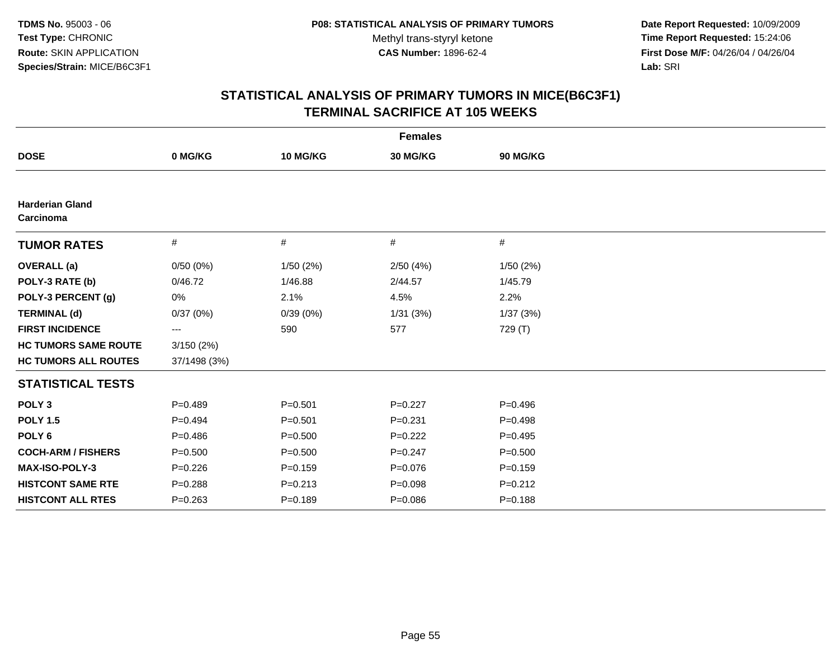**Date Report Requested:** 10/09/2009 **Time Report Requested:** 15:24:06 **First Dose M/F:** 04/26/04 / 04/26/04 Lab: SRI **Lab:** SRI

| <b>Females</b>                      |              |             |             |             |  |  |
|-------------------------------------|--------------|-------------|-------------|-------------|--|--|
| <b>DOSE</b>                         | 0 MG/KG      | 10 MG/KG    | 30 MG/KG    | 90 MG/KG    |  |  |
|                                     |              |             |             |             |  |  |
| <b>Harderian Gland</b><br>Carcinoma |              |             |             |             |  |  |
| <b>TUMOR RATES</b>                  | $\#$         | $\#$        | #           | #           |  |  |
| <b>OVERALL</b> (a)                  | 0/50(0%)     | 1/50(2%)    | 2/50(4%)    | 1/50(2%)    |  |  |
| POLY-3 RATE (b)                     | 0/46.72      | 1/46.88     | 2/44.57     | 1/45.79     |  |  |
| POLY-3 PERCENT (g)                  | 0%           | 2.1%        | 4.5%        | 2.2%        |  |  |
| <b>TERMINAL (d)</b>                 | 0/37(0%)     | 0/39(0%)    | 1/31(3%)    | 1/37(3%)    |  |  |
| <b>FIRST INCIDENCE</b>              | ---          | 590         | 577         | 729 (T)     |  |  |
| <b>HC TUMORS SAME ROUTE</b>         | 3/150(2%)    |             |             |             |  |  |
| <b>HC TUMORS ALL ROUTES</b>         | 37/1498 (3%) |             |             |             |  |  |
| <b>STATISTICAL TESTS</b>            |              |             |             |             |  |  |
| POLY <sub>3</sub>                   | $P=0.489$    | $P = 0.501$ | $P=0.227$   | $P=0.496$   |  |  |
| <b>POLY 1.5</b>                     | $P=0.494$    | $P = 0.501$ | $P = 0.231$ | $P=0.498$   |  |  |
| POLY <sub>6</sub>                   | $P = 0.486$  | $P = 0.500$ | $P=0.222$   | $P=0.495$   |  |  |
| <b>COCH-ARM / FISHERS</b>           | $P = 0.500$  | $P = 0.500$ | $P=0.247$   | $P = 0.500$ |  |  |
| <b>MAX-ISO-POLY-3</b>               | $P = 0.226$  | $P = 0.159$ | $P = 0.076$ | $P = 0.159$ |  |  |
| <b>HISTCONT SAME RTE</b>            | $P = 0.288$  | $P = 0.213$ | $P = 0.098$ | $P=0.212$   |  |  |
| <b>HISTCONT ALL RTES</b>            | $P = 0.263$  | $P=0.189$   | $P = 0.086$ | $P = 0.188$ |  |  |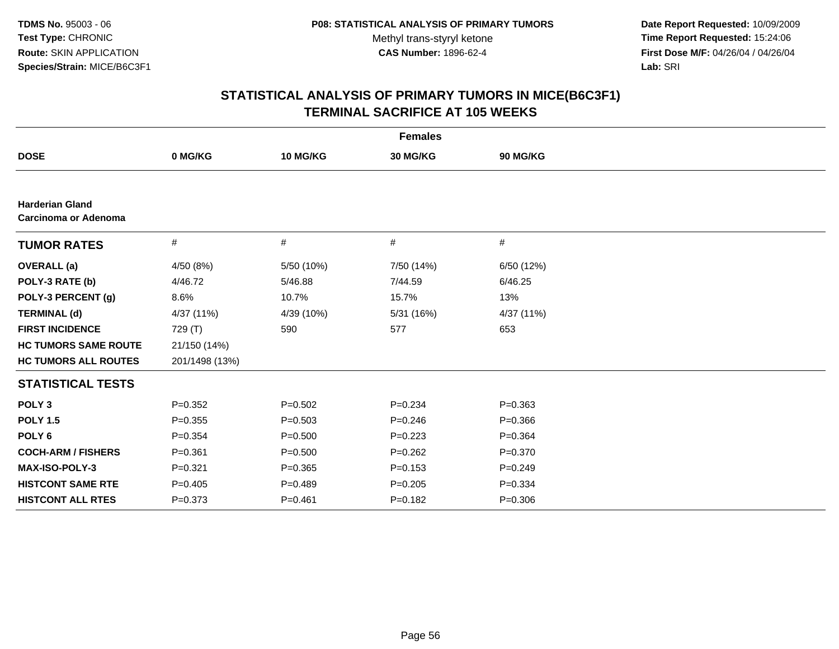**Date Report Requested:** 10/09/2009 **Time Report Requested:** 15:24:06 **First Dose M/F:** 04/26/04 / 04/26/04 Lab: SRI **Lab:** SRI

|                                                |                |             | <b>Females</b> |             |
|------------------------------------------------|----------------|-------------|----------------|-------------|
| <b>DOSE</b>                                    | 0 MG/KG        | 10 MG/KG    | 30 MG/KG       | 90 MG/KG    |
|                                                |                |             |                |             |
| <b>Harderian Gland</b><br>Carcinoma or Adenoma |                |             |                |             |
| <b>TUMOR RATES</b>                             | $\#$           | #           | #              | #           |
| <b>OVERALL</b> (a)                             | 4/50 (8%)      | 5/50 (10%)  | 7/50 (14%)     | 6/50 (12%)  |
| POLY-3 RATE (b)                                | 4/46.72        | 5/46.88     | 7/44.59        | 6/46.25     |
| POLY-3 PERCENT (g)                             | 8.6%           | 10.7%       | 15.7%          | 13%         |
| <b>TERMINAL (d)</b>                            | 4/37 (11%)     | 4/39 (10%)  | 5/31 (16%)     | 4/37 (11%)  |
| <b>FIRST INCIDENCE</b>                         | 729 (T)        | 590         | 577            | 653         |
| <b>HC TUMORS SAME ROUTE</b>                    | 21/150 (14%)   |             |                |             |
| <b>HC TUMORS ALL ROUTES</b>                    | 201/1498 (13%) |             |                |             |
| <b>STATISTICAL TESTS</b>                       |                |             |                |             |
| POLY <sub>3</sub>                              | $P = 0.352$    | $P = 0.502$ | $P = 0.234$    | $P = 0.363$ |
| <b>POLY 1.5</b>                                | $P = 0.355$    | $P = 0.503$ | $P = 0.246$    | $P = 0.366$ |
| POLY <sub>6</sub>                              | $P=0.354$      | $P = 0.500$ | $P=0.223$      | $P=0.364$   |
| <b>COCH-ARM / FISHERS</b>                      | $P = 0.361$    | $P = 0.500$ | $P = 0.262$    | $P = 0.370$ |
| <b>MAX-ISO-POLY-3</b>                          | $P = 0.321$    | $P = 0.365$ | $P = 0.153$    | $P=0.249$   |
| <b>HISTCONT SAME RTE</b>                       | $P=0.405$      | $P = 0.489$ | $P=0.205$      | $P = 0.334$ |
| <b>HISTCONT ALL RTES</b>                       | $P = 0.373$    | $P = 0.461$ | $P=0.182$      | $P = 0.306$ |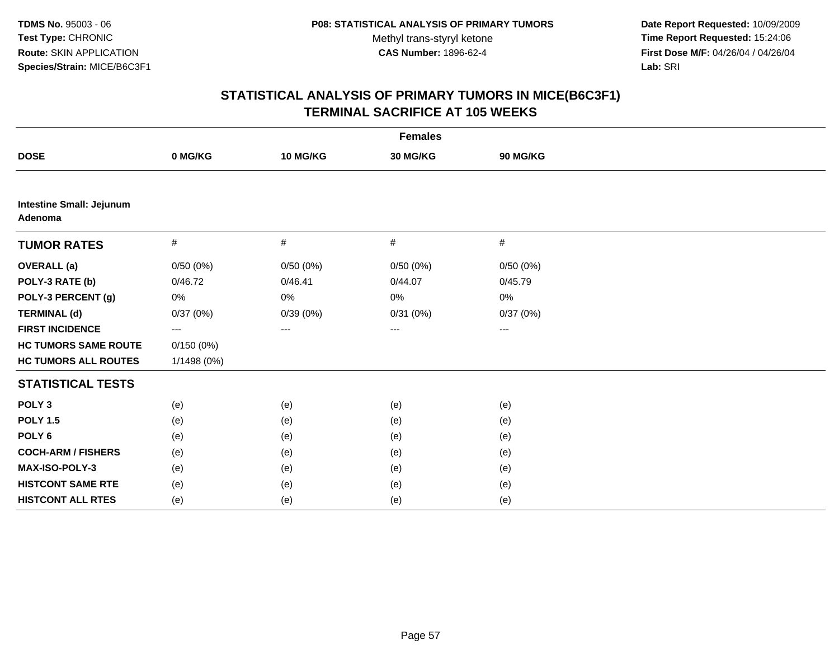**Date Report Requested:** 10/09/2009 **Time Report Requested:** 15:24:06 **First Dose M/F:** 04/26/04 / 04/26/04 Lab: SRI **Lab:** SRI

| <b>Females</b>                             |             |          |          |          |  |  |
|--------------------------------------------|-------------|----------|----------|----------|--|--|
| <b>DOSE</b>                                | 0 MG/KG     | 10 MG/KG | 30 MG/KG | 90 MG/KG |  |  |
|                                            |             |          |          |          |  |  |
| <b>Intestine Small: Jejunum</b><br>Adenoma |             |          |          |          |  |  |
| <b>TUMOR RATES</b>                         | #           | #        | #        | #        |  |  |
| <b>OVERALL</b> (a)                         | 0/50(0%)    | 0/50(0%) | 0/50(0%) | 0/50(0%) |  |  |
| POLY-3 RATE (b)                            | 0/46.72     | 0/46.41  | 0/44.07  | 0/45.79  |  |  |
| POLY-3 PERCENT (g)                         | 0%          | 0%       | 0%       | $0\%$    |  |  |
| <b>TERMINAL (d)</b>                        | 0/37(0%)    | 0/39(0%) | 0/31(0%) | 0/37(0%) |  |  |
| <b>FIRST INCIDENCE</b>                     | ---         | $---$    | ---      | ---      |  |  |
| <b>HC TUMORS SAME ROUTE</b>                | 0/150(0%)   |          |          |          |  |  |
| <b>HC TUMORS ALL ROUTES</b>                | 1/1498 (0%) |          |          |          |  |  |
| <b>STATISTICAL TESTS</b>                   |             |          |          |          |  |  |
| POLY <sub>3</sub>                          | (e)         | (e)      | (e)      | (e)      |  |  |
| <b>POLY 1.5</b>                            | (e)         | (e)      | (e)      | (e)      |  |  |
| POLY <sub>6</sub>                          | (e)         | (e)      | (e)      | (e)      |  |  |
| <b>COCH-ARM / FISHERS</b>                  | (e)         | (e)      | (e)      | (e)      |  |  |
| MAX-ISO-POLY-3                             | (e)         | (e)      | (e)      | (e)      |  |  |
| <b>HISTCONT SAME RTE</b>                   | (e)         | (e)      | (e)      | (e)      |  |  |
| <b>HISTCONT ALL RTES</b>                   | (e)         | (e)      | (e)      | (e)      |  |  |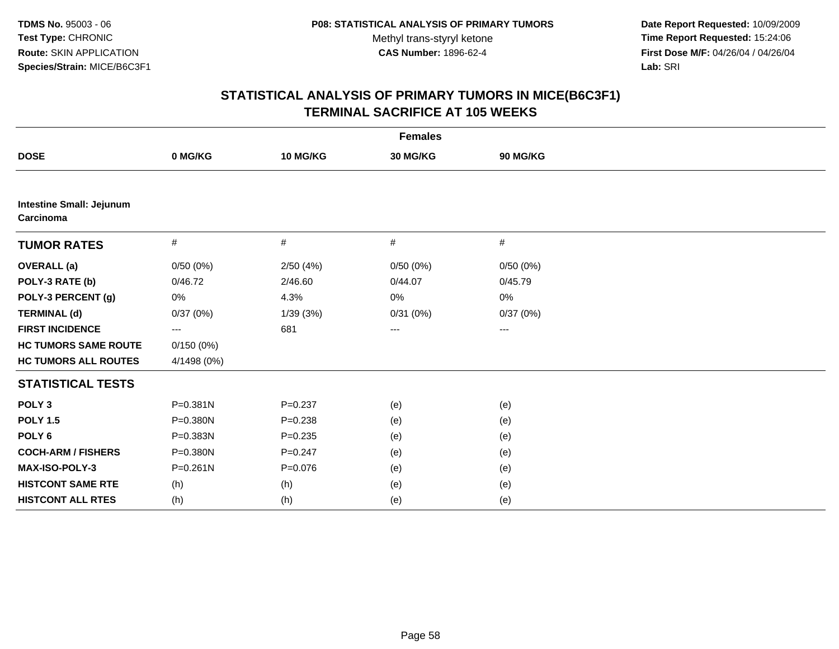**Date Report Requested:** 10/09/2009 **Time Report Requested:** 15:24:06 **First Dose M/F:** 04/26/04 / 04/26/04 Lab: SRI **Lab:** SRI

| <b>Females</b>                               |              |             |          |                   |  |  |
|----------------------------------------------|--------------|-------------|----------|-------------------|--|--|
| <b>DOSE</b>                                  | 0 MG/KG      | 10 MG/KG    | 30 MG/KG | 90 MG/KG          |  |  |
|                                              |              |             |          |                   |  |  |
| <b>Intestine Small: Jejunum</b><br>Carcinoma |              |             |          |                   |  |  |
| <b>TUMOR RATES</b>                           | #            | #           | #        | #                 |  |  |
| <b>OVERALL</b> (a)                           | 0/50(0%)     | 2/50(4%)    | 0/50(0%) | 0/50(0%)          |  |  |
| POLY-3 RATE (b)                              | 0/46.72      | 2/46.60     | 0/44.07  | 0/45.79           |  |  |
| POLY-3 PERCENT (g)                           | $0\%$        | 4.3%        | 0%       | 0%                |  |  |
| <b>TERMINAL (d)</b>                          | 0/37(0%)     | 1/39(3%)    | 0/31(0%) | 0/37(0%)          |  |  |
| <b>FIRST INCIDENCE</b>                       | ---          | 681         | ---      | $\qquad \qquad -$ |  |  |
| <b>HC TUMORS SAME ROUTE</b>                  | 0/150(0%)    |             |          |                   |  |  |
| <b>HC TUMORS ALL ROUTES</b>                  | 4/1498 (0%)  |             |          |                   |  |  |
| <b>STATISTICAL TESTS</b>                     |              |             |          |                   |  |  |
| POLY <sub>3</sub>                            | $P = 0.381N$ | $P = 0.237$ | (e)      | (e)               |  |  |
| <b>POLY 1.5</b>                              | P=0.380N     | $P = 0.238$ | (e)      | (e)               |  |  |
| POLY <sub>6</sub>                            | P=0.383N     | $P = 0.235$ | (e)      | (e)               |  |  |
| <b>COCH-ARM / FISHERS</b>                    | P=0.380N     | $P = 0.247$ | (e)      | (e)               |  |  |
| MAX-ISO-POLY-3                               | $P = 0.261N$ | $P = 0.076$ | (e)      | (e)               |  |  |
| <b>HISTCONT SAME RTE</b>                     | (h)          | (h)         | (e)      | (e)               |  |  |
| <b>HISTCONT ALL RTES</b>                     | (h)          | (h)         | (e)      | (e)               |  |  |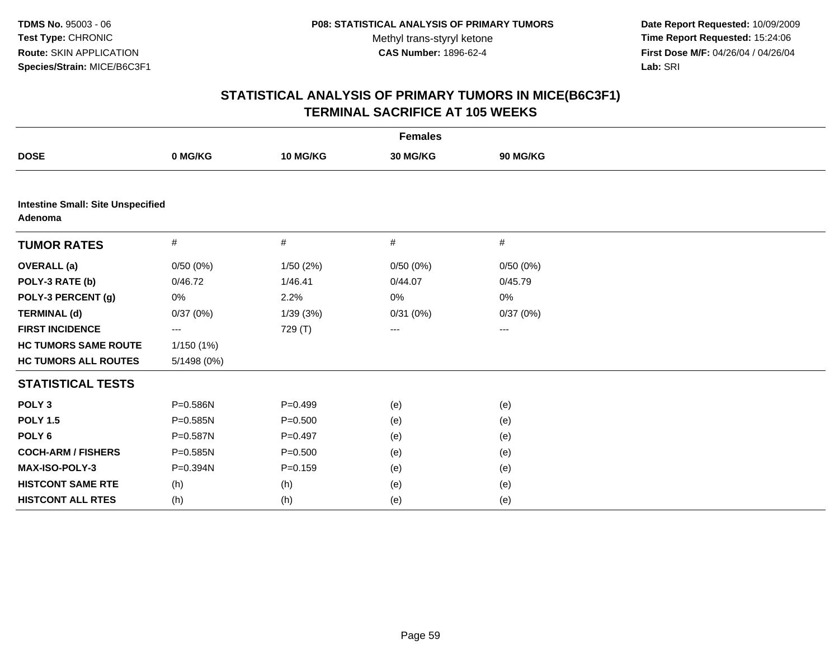**Date Report Requested:** 10/09/2009 **Time Report Requested:** 15:24:06 **First Dose M/F:** 04/26/04 / 04/26/04 Lab: SRI **Lab:** SRI

| <b>Females</b>                                      |              |             |          |          |  |  |
|-----------------------------------------------------|--------------|-------------|----------|----------|--|--|
| <b>DOSE</b>                                         | 0 MG/KG      | 10 MG/KG    | 30 MG/KG | 90 MG/KG |  |  |
|                                                     |              |             |          |          |  |  |
| <b>Intestine Small: Site Unspecified</b><br>Adenoma |              |             |          |          |  |  |
| <b>TUMOR RATES</b>                                  | #            | #           | #        | #        |  |  |
| <b>OVERALL</b> (a)                                  | 0/50(0%)     | 1/50(2%)    | 0/50(0%) | 0/50(0%) |  |  |
| POLY-3 RATE (b)                                     | 0/46.72      | 1/46.41     | 0/44.07  | 0/45.79  |  |  |
| POLY-3 PERCENT (g)                                  | 0%           | 2.2%        | 0%       | 0%       |  |  |
| <b>TERMINAL (d)</b>                                 | 0/37(0%)     | 1/39(3%)    | 0/31(0%) | 0/37(0%) |  |  |
| <b>FIRST INCIDENCE</b>                              | ---          | 729 (T)     | ---      | ---      |  |  |
| <b>HC TUMORS SAME ROUTE</b>                         | 1/150(1%)    |             |          |          |  |  |
| <b>HC TUMORS ALL ROUTES</b>                         | 5/1498 (0%)  |             |          |          |  |  |
| <b>STATISTICAL TESTS</b>                            |              |             |          |          |  |  |
| POLY <sub>3</sub>                                   | P=0.586N     | $P=0.499$   | (e)      | (e)      |  |  |
| <b>POLY 1.5</b>                                     | $P = 0.585N$ | $P = 0.500$ | (e)      | (e)      |  |  |
| POLY <sub>6</sub>                                   | P=0.587N     | $P=0.497$   | (e)      | (e)      |  |  |
| <b>COCH-ARM / FISHERS</b>                           | P=0.585N     | $P = 0.500$ | (e)      | (e)      |  |  |
| MAX-ISO-POLY-3                                      | P=0.394N     | $P=0.159$   | (e)      | (e)      |  |  |
| <b>HISTCONT SAME RTE</b>                            | (h)          | (h)         | (e)      | (e)      |  |  |
| <b>HISTCONT ALL RTES</b>                            | (h)          | (h)         | (e)      | (e)      |  |  |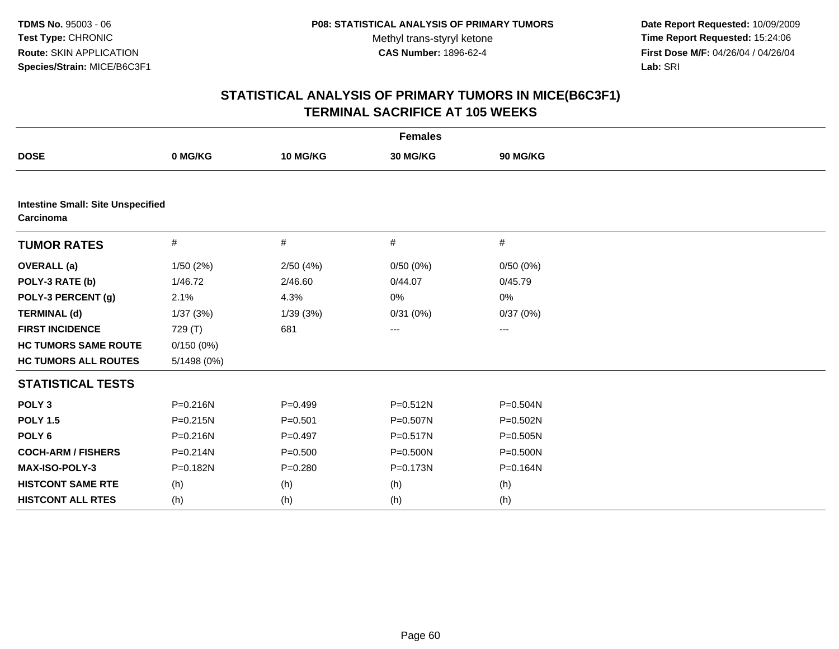**Date Report Requested:** 10/09/2009 **Time Report Requested:** 15:24:06 **First Dose M/F:** 04/26/04 / 04/26/04 Lab: SRI **Lab:** SRI

| <b>Females</b>                                        |              |             |              |          |  |  |
|-------------------------------------------------------|--------------|-------------|--------------|----------|--|--|
| <b>DOSE</b>                                           | 0 MG/KG      | 10 MG/KG    | 30 MG/KG     | 90 MG/KG |  |  |
|                                                       |              |             |              |          |  |  |
| <b>Intestine Small: Site Unspecified</b><br>Carcinoma |              |             |              |          |  |  |
| <b>TUMOR RATES</b>                                    | #            | #           | #            | #        |  |  |
| <b>OVERALL</b> (a)                                    | 1/50(2%)     | 2/50(4%)    | 0/50(0%)     | 0/50(0%) |  |  |
| POLY-3 RATE (b)                                       | 1/46.72      | 2/46.60     | 0/44.07      | 0/45.79  |  |  |
| POLY-3 PERCENT (g)                                    | 2.1%         | 4.3%        | 0%           | 0%       |  |  |
| <b>TERMINAL (d)</b>                                   | 1/37(3%)     | 1/39(3%)    | 0/31(0%)     | 0/37(0%) |  |  |
| <b>FIRST INCIDENCE</b>                                | 729 (T)      | 681         | ---          | ---      |  |  |
| <b>HC TUMORS SAME ROUTE</b>                           | 0/150(0%)    |             |              |          |  |  |
| <b>HC TUMORS ALL ROUTES</b>                           | 5/1498 (0%)  |             |              |          |  |  |
| <b>STATISTICAL TESTS</b>                              |              |             |              |          |  |  |
| POLY <sub>3</sub>                                     | P=0.216N     | $P = 0.499$ | $P = 0.512N$ | P=0.504N |  |  |
| <b>POLY 1.5</b>                                       | $P = 0.215N$ | $P = 0.501$ | $P = 0.507N$ | P=0.502N |  |  |
| POLY <sub>6</sub>                                     | $P = 0.216N$ | $P=0.497$   | $P = 0.517N$ | P=0.505N |  |  |
| <b>COCH-ARM / FISHERS</b>                             | $P = 0.214N$ | $P = 0.500$ | P=0.500N     | P=0.500N |  |  |
| MAX-ISO-POLY-3                                        | P=0.182N     | $P = 0.280$ | P=0.173N     | P=0.164N |  |  |
| <b>HISTCONT SAME RTE</b>                              | (h)          | (h)         | (h)          | (h)      |  |  |
| <b>HISTCONT ALL RTES</b>                              | (h)          | (h)         | (h)          | (h)      |  |  |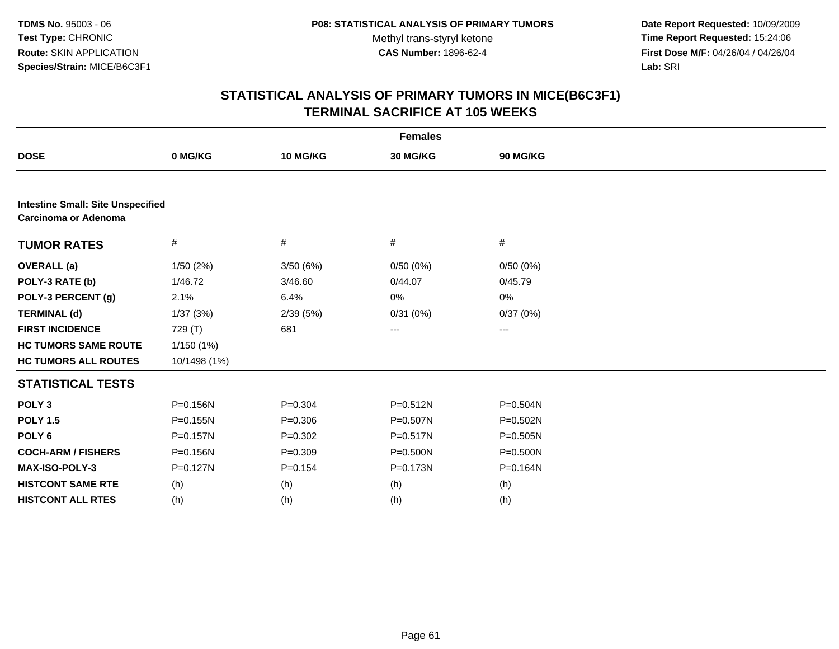**Date Report Requested:** 10/09/2009 **Time Report Requested:** 15:24:06 **First Dose M/F:** 04/26/04 / 04/26/04 Lab: SRI **Lab:** SRI

| <b>Females</b>                                                   |              |             |              |              |  |  |
|------------------------------------------------------------------|--------------|-------------|--------------|--------------|--|--|
| <b>DOSE</b>                                                      | 0 MG/KG      | 10 MG/KG    | 30 MG/KG     | 90 MG/KG     |  |  |
|                                                                  |              |             |              |              |  |  |
| <b>Intestine Small: Site Unspecified</b><br>Carcinoma or Adenoma |              |             |              |              |  |  |
| <b>TUMOR RATES</b>                                               | $\#$         | $\#$        | $\#$         | #            |  |  |
| <b>OVERALL</b> (a)                                               | 1/50(2%)     | 3/50(6%)    | 0/50(0%)     | 0/50(0%)     |  |  |
| POLY-3 RATE (b)                                                  | 1/46.72      | 3/46.60     | 0/44.07      | 0/45.79      |  |  |
| POLY-3 PERCENT (g)                                               | 2.1%         | 6.4%        | 0%           | 0%           |  |  |
| <b>TERMINAL (d)</b>                                              | 1/37(3%)     | 2/39(5%)    | 0/31(0%)     | 0/37(0%)     |  |  |
| <b>FIRST INCIDENCE</b>                                           | 729 (T)      | 681         | ---          | ---          |  |  |
| <b>HC TUMORS SAME ROUTE</b>                                      | 1/150(1%)    |             |              |              |  |  |
| <b>HC TUMORS ALL ROUTES</b>                                      | 10/1498 (1%) |             |              |              |  |  |
| <b>STATISTICAL TESTS</b>                                         |              |             |              |              |  |  |
| POLY <sub>3</sub>                                                | P=0.156N     | $P=0.304$   | $P = 0.512N$ | $P = 0.504N$ |  |  |
| <b>POLY 1.5</b>                                                  | $P = 0.155N$ | $P = 0.306$ | P=0.507N     | $P = 0.502N$ |  |  |
| POLY <sub>6</sub>                                                | $P = 0.157N$ | $P = 0.302$ | $P = 0.517N$ | $P = 0.505N$ |  |  |
| <b>COCH-ARM / FISHERS</b>                                        | P=0.156N     | $P=0.309$   | P=0.500N     | P=0.500N     |  |  |
| <b>MAX-ISO-POLY-3</b>                                            | $P = 0.127N$ | $P = 0.154$ | $P = 0.173N$ | P=0.164N     |  |  |
| <b>HISTCONT SAME RTE</b>                                         | (h)          | (h)         | (h)          | (h)          |  |  |
| <b>HISTCONT ALL RTES</b>                                         | (h)          | (h)         | (h)          | (h)          |  |  |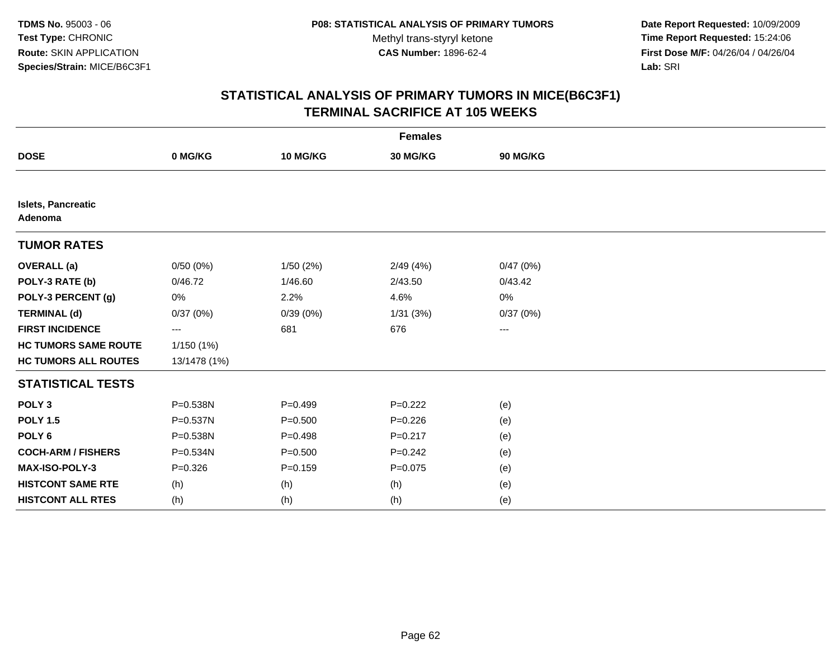**Date Report Requested:** 10/09/2009 **Time Report Requested:** 15:24:06 **First Dose M/F:** 04/26/04 / 04/26/04 Lab: SRI **Lab:** SRI

| <b>Females</b>                |              |             |             |          |  |  |  |
|-------------------------------|--------------|-------------|-------------|----------|--|--|--|
| <b>DOSE</b>                   | 0 MG/KG      | 10 MG/KG    | 30 MG/KG    | 90 MG/KG |  |  |  |
|                               |              |             |             |          |  |  |  |
| Islets, Pancreatic<br>Adenoma |              |             |             |          |  |  |  |
| <b>TUMOR RATES</b>            |              |             |             |          |  |  |  |
| <b>OVERALL</b> (a)            | 0/50(0%)     | 1/50(2%)    | 2/49(4%)    | 0/47(0%) |  |  |  |
| POLY-3 RATE (b)               | 0/46.72      | 1/46.60     | 2/43.50     | 0/43.42  |  |  |  |
| POLY-3 PERCENT (g)            | 0%           | 2.2%        | 4.6%        | 0%       |  |  |  |
| <b>TERMINAL (d)</b>           | 0/37(0%)     | 0/39(0%)    | 1/31(3%)    | 0/37(0%) |  |  |  |
| <b>FIRST INCIDENCE</b>        | ---          | 681         | 676         | ---      |  |  |  |
| <b>HC TUMORS SAME ROUTE</b>   | 1/150 (1%)   |             |             |          |  |  |  |
| <b>HC TUMORS ALL ROUTES</b>   | 13/1478 (1%) |             |             |          |  |  |  |
| <b>STATISTICAL TESTS</b>      |              |             |             |          |  |  |  |
| POLY <sub>3</sub>             | P=0.538N     | $P = 0.499$ | $P=0.222$   | (e)      |  |  |  |
| <b>POLY 1.5</b>               | P=0.537N     | $P = 0.500$ | $P=0.226$   | (e)      |  |  |  |
| POLY <sub>6</sub>             | P=0.538N     | $P = 0.498$ | $P = 0.217$ | (e)      |  |  |  |
| <b>COCH-ARM / FISHERS</b>     | $P = 0.534N$ | $P = 0.500$ | $P=0.242$   | (e)      |  |  |  |
| MAX-ISO-POLY-3                | $P = 0.326$  | $P = 0.159$ | $P = 0.075$ | (e)      |  |  |  |
| <b>HISTCONT SAME RTE</b>      | (h)          | (h)         | (h)         | (e)      |  |  |  |
| <b>HISTCONT ALL RTES</b>      | (h)          | (h)         | (h)         | (e)      |  |  |  |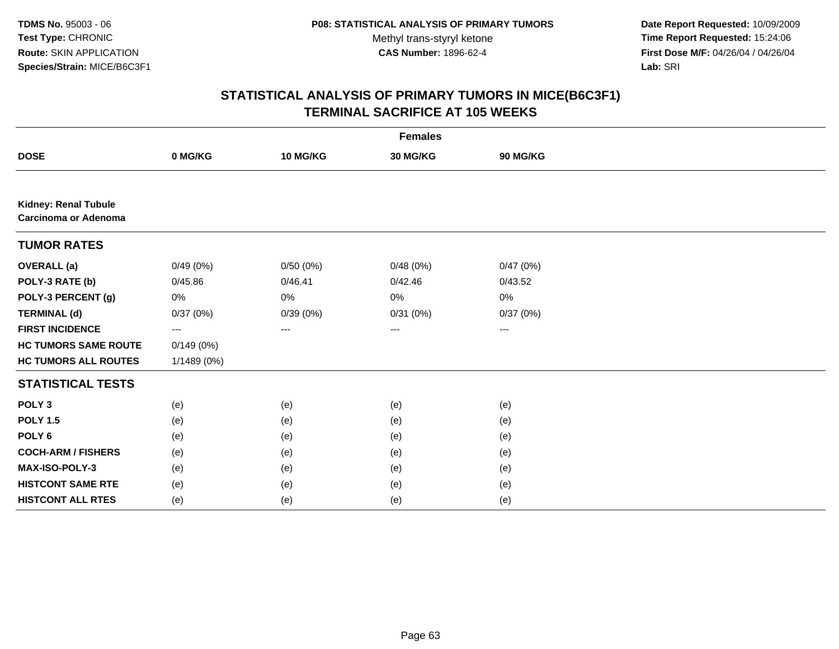**Date Report Requested:** 10/09/2009 **Time Report Requested:** 15:24:06 **First Dose M/F:** 04/26/04 / 04/26/04 Lab: SRI **Lab:** SRI

| <b>Females</b>                                             |             |          |          |                   |  |  |  |
|------------------------------------------------------------|-------------|----------|----------|-------------------|--|--|--|
| <b>DOSE</b>                                                | 0 MG/KG     | 10 MG/KG | 30 MG/KG | 90 MG/KG          |  |  |  |
|                                                            |             |          |          |                   |  |  |  |
| <b>Kidney: Renal Tubule</b><br><b>Carcinoma or Adenoma</b> |             |          |          |                   |  |  |  |
| <b>TUMOR RATES</b>                                         |             |          |          |                   |  |  |  |
| <b>OVERALL (a)</b>                                         | 0/49(0%)    | 0/50(0%) | 0/48(0%) | 0/47(0%)          |  |  |  |
| POLY-3 RATE (b)                                            | 0/45.86     | 0/46.41  | 0/42.46  | 0/43.52           |  |  |  |
| POLY-3 PERCENT (g)                                         | 0%          | 0%       | 0%       | 0%                |  |  |  |
| <b>TERMINAL (d)</b>                                        | 0/37(0%)    | 0/39(0%) | 0/31(0%) | 0/37(0%)          |  |  |  |
| <b>FIRST INCIDENCE</b>                                     | $---$       | $\cdots$ | $\cdots$ | $\qquad \qquad -$ |  |  |  |
| <b>HC TUMORS SAME ROUTE</b>                                | 0/149(0%)   |          |          |                   |  |  |  |
| <b>HC TUMORS ALL ROUTES</b>                                | 1/1489 (0%) |          |          |                   |  |  |  |
| <b>STATISTICAL TESTS</b>                                   |             |          |          |                   |  |  |  |
| POLY <sub>3</sub>                                          | (e)         | (e)      | (e)      | (e)               |  |  |  |
| <b>POLY 1.5</b>                                            | (e)         | (e)      | (e)      | (e)               |  |  |  |
| POLY <sub>6</sub>                                          | (e)         | (e)      | (e)      | (e)               |  |  |  |
| <b>COCH-ARM / FISHERS</b>                                  | (e)         | (e)      | (e)      | (e)               |  |  |  |
| MAX-ISO-POLY-3                                             | (e)         | (e)      | (e)      | (e)               |  |  |  |
| <b>HISTCONT SAME RTE</b>                                   | (e)         | (e)      | (e)      | (e)               |  |  |  |
| <b>HISTCONT ALL RTES</b>                                   | (e)         | (e)      | (e)      | (e)               |  |  |  |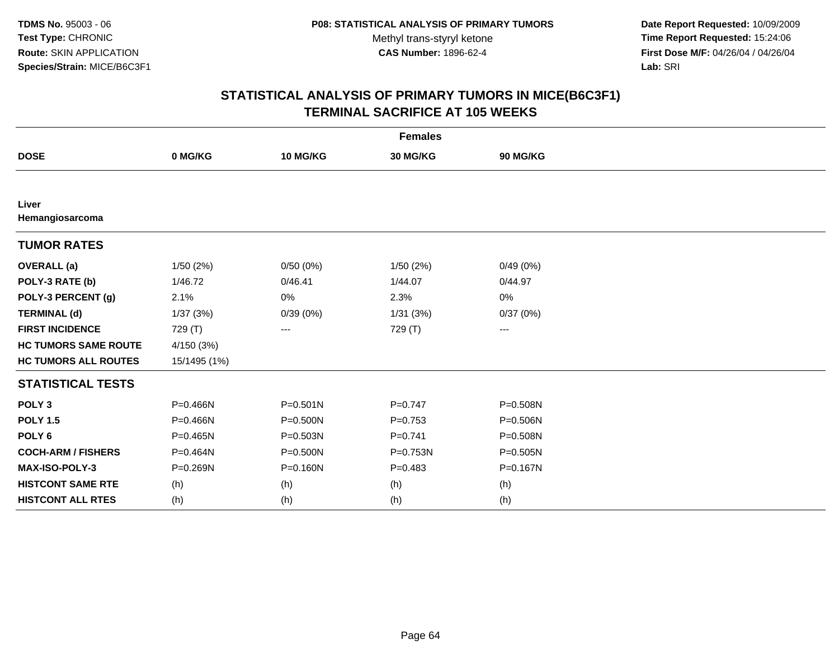**Date Report Requested:** 10/09/2009 **Time Report Requested:** 15:24:06 **First Dose M/F:** 04/26/04 / 04/26/04 Lab: SRI **Lab:** SRI

| <b>Females</b>              |              |              |           |              |  |  |  |
|-----------------------------|--------------|--------------|-----------|--------------|--|--|--|
| <b>DOSE</b>                 | 0 MG/KG      | 10 MG/KG     | 30 MG/KG  | 90 MG/KG     |  |  |  |
|                             |              |              |           |              |  |  |  |
| Liver<br>Hemangiosarcoma    |              |              |           |              |  |  |  |
| <b>TUMOR RATES</b>          |              |              |           |              |  |  |  |
| <b>OVERALL</b> (a)          | 1/50(2%)     | 0/50(0%)     | 1/50(2%)  | 0/49(0%)     |  |  |  |
| POLY-3 RATE (b)             | 1/46.72      | 0/46.41      | 1/44.07   | 0/44.97      |  |  |  |
| POLY-3 PERCENT (g)          | 2.1%         | 0%           | 2.3%      | 0%           |  |  |  |
| <b>TERMINAL (d)</b>         | 1/37(3%)     | 0/39(0%)     | 1/31(3%)  | 0/37(0%)     |  |  |  |
| <b>FIRST INCIDENCE</b>      | 729 (T)      | ---          | 729 (T)   | ---          |  |  |  |
| <b>HC TUMORS SAME ROUTE</b> | 4/150(3%)    |              |           |              |  |  |  |
| <b>HC TUMORS ALL ROUTES</b> | 15/1495 (1%) |              |           |              |  |  |  |
| <b>STATISTICAL TESTS</b>    |              |              |           |              |  |  |  |
| POLY <sub>3</sub>           | P=0.466N     | $P = 0.501N$ | $P=0.747$ | P=0.508N     |  |  |  |
| <b>POLY 1.5</b>             | P=0.466N     | $P = 0.500N$ | $P=0.753$ | $P = 0.506N$ |  |  |  |
| POLY <sub>6</sub>           | $P = 0.465N$ | P=0.503N     | $P=0.741$ | P=0.508N     |  |  |  |
| <b>COCH-ARM / FISHERS</b>   | P=0.464N     | $P = 0.500N$ | P=0.753N  | $P = 0.505N$ |  |  |  |
| MAX-ISO-POLY-3              | P=0.269N     | $P = 0.160N$ | $P=0.483$ | P=0.167N     |  |  |  |
| <b>HISTCONT SAME RTE</b>    | (h)          | (h)          | (h)       | (h)          |  |  |  |
| <b>HISTCONT ALL RTES</b>    | (h)          | (h)          | (h)       | (h)          |  |  |  |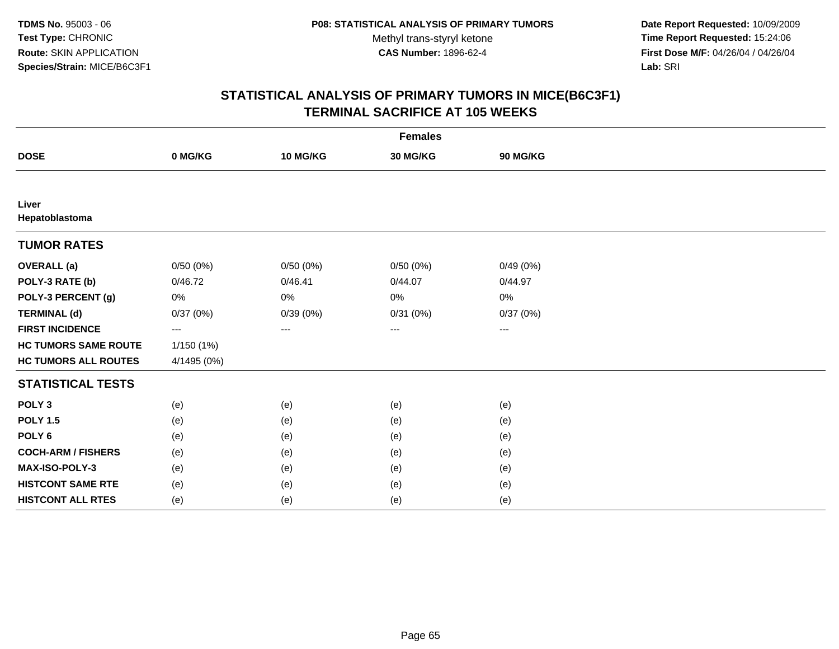**Date Report Requested:** 10/09/2009 **Time Report Requested:** 15:24:06 **First Dose M/F:** 04/26/04 / 04/26/04 Lab: SRI **Lab:** SRI

| <b>Females</b>              |             |          |          |          |  |  |  |
|-----------------------------|-------------|----------|----------|----------|--|--|--|
| <b>DOSE</b>                 | 0 MG/KG     | 10 MG/KG | 30 MG/KG | 90 MG/KG |  |  |  |
|                             |             |          |          |          |  |  |  |
| Liver<br>Hepatoblastoma     |             |          |          |          |  |  |  |
| <b>TUMOR RATES</b>          |             |          |          |          |  |  |  |
| <b>OVERALL</b> (a)          | 0/50(0%)    | 0/50(0%) | 0/50(0%) | 0/49(0%) |  |  |  |
| POLY-3 RATE (b)             | 0/46.72     | 0/46.41  | 0/44.07  | 0/44.97  |  |  |  |
| POLY-3 PERCENT (g)          | 0%          | $0\%$    | 0%       | 0%       |  |  |  |
| <b>TERMINAL (d)</b>         | 0/37(0%)    | 0/39(0%) | 0/31(0%) | 0/37(0%) |  |  |  |
| <b>FIRST INCIDENCE</b>      | ---         | ---      | $\cdots$ | $\cdots$ |  |  |  |
| <b>HC TUMORS SAME ROUTE</b> | 1/150 (1%)  |          |          |          |  |  |  |
| <b>HC TUMORS ALL ROUTES</b> | 4/1495 (0%) |          |          |          |  |  |  |
| <b>STATISTICAL TESTS</b>    |             |          |          |          |  |  |  |
| POLY <sub>3</sub>           | (e)         | (e)      | (e)      | (e)      |  |  |  |
| <b>POLY 1.5</b>             | (e)         | (e)      | (e)      | (e)      |  |  |  |
| POLY <sub>6</sub>           | (e)         | (e)      | (e)      | (e)      |  |  |  |
| <b>COCH-ARM / FISHERS</b>   | (e)         | (e)      | (e)      | (e)      |  |  |  |
| MAX-ISO-POLY-3              | (e)         | (e)      | (e)      | (e)      |  |  |  |
| <b>HISTCONT SAME RTE</b>    | (e)         | (e)      | (e)      | (e)      |  |  |  |
| <b>HISTCONT ALL RTES</b>    | (e)         | (e)      | (e)      | (e)      |  |  |  |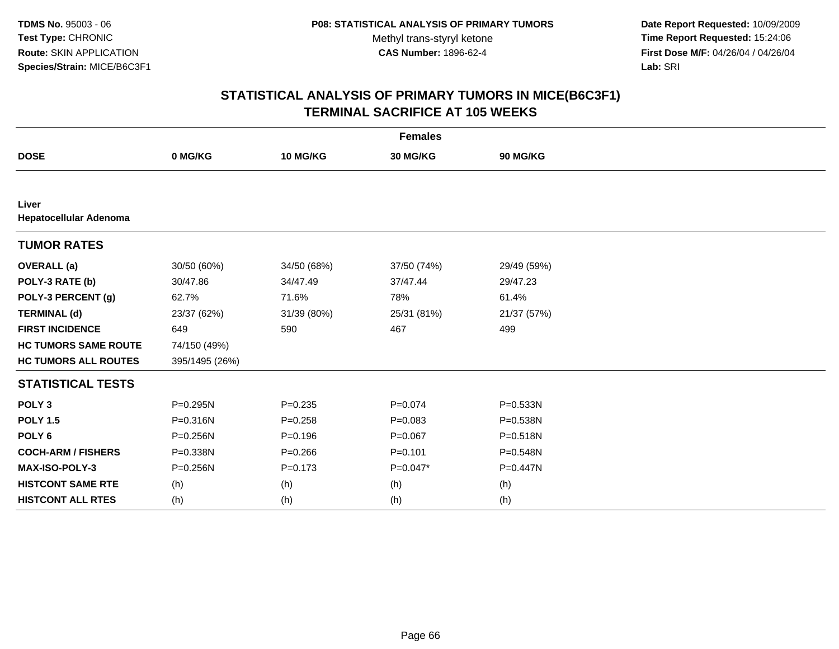**Date Report Requested:** 10/09/2009 **Time Report Requested:** 15:24:06 **First Dose M/F:** 04/26/04 / 04/26/04 Lab: SRI **Lab:** SRI

| <b>Females</b>                  |                |             |             |              |  |  |
|---------------------------------|----------------|-------------|-------------|--------------|--|--|
| <b>DOSE</b>                     | 0 MG/KG        | 10 MG/KG    | 30 MG/KG    | 90 MG/KG     |  |  |
|                                 |                |             |             |              |  |  |
| Liver<br>Hepatocellular Adenoma |                |             |             |              |  |  |
| <b>TUMOR RATES</b>              |                |             |             |              |  |  |
| <b>OVERALL</b> (a)              | 30/50 (60%)    | 34/50 (68%) | 37/50 (74%) | 29/49 (59%)  |  |  |
| POLY-3 RATE (b)                 | 30/47.86       | 34/47.49    | 37/47.44    | 29/47.23     |  |  |
| POLY-3 PERCENT (g)              | 62.7%          | 71.6%       | 78%         | 61.4%        |  |  |
| <b>TERMINAL (d)</b>             | 23/37 (62%)    | 31/39 (80%) | 25/31 (81%) | 21/37 (57%)  |  |  |
| <b>FIRST INCIDENCE</b>          | 649            | 590         | 467         | 499          |  |  |
| <b>HC TUMORS SAME ROUTE</b>     | 74/150 (49%)   |             |             |              |  |  |
| <b>HC TUMORS ALL ROUTES</b>     | 395/1495 (26%) |             |             |              |  |  |
| <b>STATISTICAL TESTS</b>        |                |             |             |              |  |  |
| POLY <sub>3</sub>               | P=0.295N       | $P = 0.235$ | $P=0.074$   | P=0.533N     |  |  |
| <b>POLY 1.5</b>                 | P=0.316N       | $P = 0.258$ | $P = 0.083$ | P=0.538N     |  |  |
| POLY <sub>6</sub>               | $P = 0.256N$   | $P = 0.196$ | $P=0.067$   | $P = 0.518N$ |  |  |
| <b>COCH-ARM / FISHERS</b>       | P=0.338N       | $P = 0.266$ | $P = 0.101$ | P=0.548N     |  |  |
| MAX-ISO-POLY-3                  | P=0.256N       | $P = 0.173$ | P=0.047*    | P=0.447N     |  |  |
| <b>HISTCONT SAME RTE</b>        | (h)            | (h)         | (h)         | (h)          |  |  |
| <b>HISTCONT ALL RTES</b>        | (h)            | (h)         | (h)         | (h)          |  |  |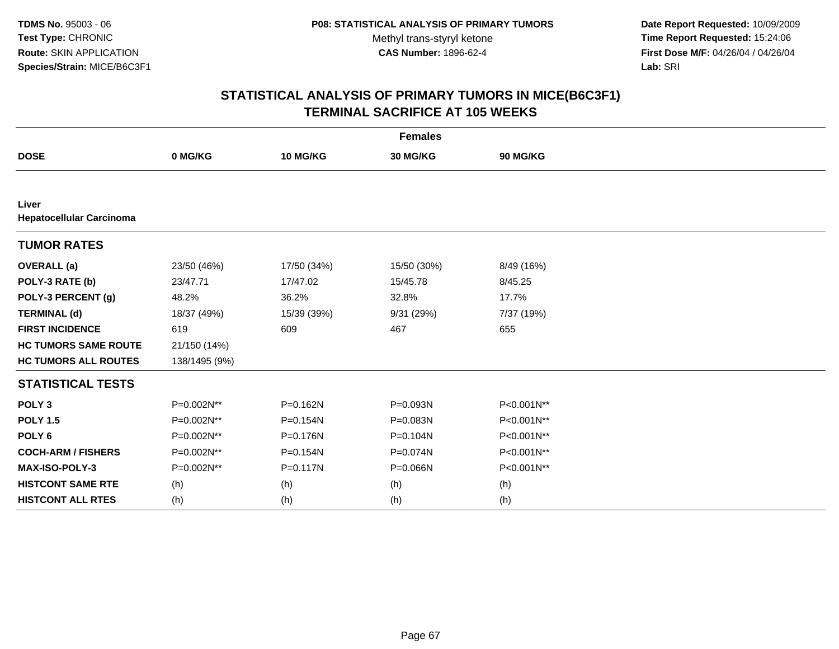**Date Report Requested:** 10/09/2009 **Time Report Requested:** 15:24:06 **First Dose M/F:** 04/26/04 / 04/26/04 Lab: SRI **Lab:** SRI

| <b>Females</b>                           |               |              |              |            |  |  |
|------------------------------------------|---------------|--------------|--------------|------------|--|--|
| <b>DOSE</b>                              | 0 MG/KG       | 10 MG/KG     | 30 MG/KG     | 90 MG/KG   |  |  |
|                                          |               |              |              |            |  |  |
| Liver<br><b>Hepatocellular Carcinoma</b> |               |              |              |            |  |  |
| <b>TUMOR RATES</b>                       |               |              |              |            |  |  |
| <b>OVERALL</b> (a)                       | 23/50 (46%)   | 17/50 (34%)  | 15/50 (30%)  | 8/49 (16%) |  |  |
| POLY-3 RATE (b)                          | 23/47.71      | 17/47.02     | 15/45.78     | 8/45.25    |  |  |
| POLY-3 PERCENT (g)                       | 48.2%         | 36.2%        | 32.8%        | 17.7%      |  |  |
| <b>TERMINAL (d)</b>                      | 18/37 (49%)   | 15/39 (39%)  | 9/31(29%)    | 7/37 (19%) |  |  |
| <b>FIRST INCIDENCE</b>                   | 619           | 609          | 467          | 655        |  |  |
| <b>HC TUMORS SAME ROUTE</b>              | 21/150 (14%)  |              |              |            |  |  |
| <b>HC TUMORS ALL ROUTES</b>              | 138/1495 (9%) |              |              |            |  |  |
| <b>STATISTICAL TESTS</b>                 |               |              |              |            |  |  |
| POLY <sub>3</sub>                        | P=0.002N**    | P=0.162N     | P=0.093N     | P<0.001N** |  |  |
| <b>POLY 1.5</b>                          | P=0.002N**    | P=0.154N     | P=0.083N     | P<0.001N** |  |  |
| POLY <sub>6</sub>                        | P=0.002N**    | $P = 0.176N$ | $P = 0.104N$ | P<0.001N** |  |  |
| <b>COCH-ARM / FISHERS</b>                | P=0.002N**    | P=0.154N     | P=0.074N     | P<0.001N** |  |  |
| MAX-ISO-POLY-3                           | P=0.002N**    | P=0.117N     | P=0.066N     | P<0.001N** |  |  |
| <b>HISTCONT SAME RTE</b>                 | (h)           | (h)          | (h)          | (h)        |  |  |
| <b>HISTCONT ALL RTES</b>                 | (h)           | (h)          | (h)          | (h)        |  |  |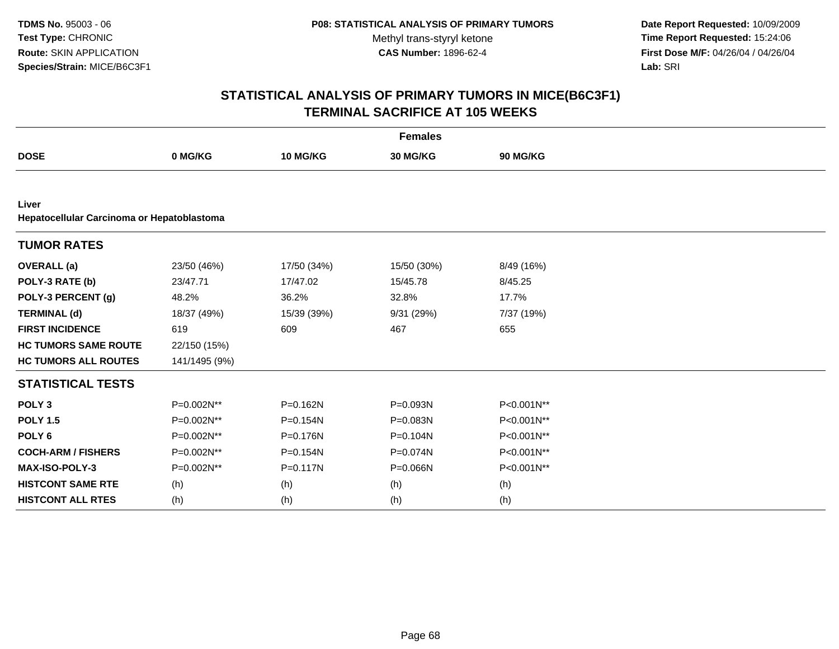**Date Report Requested:** 10/09/2009 **Time Report Requested:** 15:24:06 **First Dose M/F:** 04/26/04 / 04/26/04 Lab: SRI **Lab:** SRI

| <b>Females</b>                                      |               |              |             |            |  |  |
|-----------------------------------------------------|---------------|--------------|-------------|------------|--|--|
| <b>DOSE</b>                                         | 0 MG/KG       | 10 MG/KG     | 30 MG/KG    | 90 MG/KG   |  |  |
|                                                     |               |              |             |            |  |  |
| Liver<br>Hepatocellular Carcinoma or Hepatoblastoma |               |              |             |            |  |  |
| <b>TUMOR RATES</b>                                  |               |              |             |            |  |  |
| <b>OVERALL</b> (a)                                  | 23/50 (46%)   | 17/50 (34%)  | 15/50 (30%) | 8/49 (16%) |  |  |
| POLY-3 RATE (b)                                     | 23/47.71      | 17/47.02     | 15/45.78    | 8/45.25    |  |  |
| POLY-3 PERCENT (g)                                  | 48.2%         | 36.2%        | 32.8%       | 17.7%      |  |  |
| <b>TERMINAL (d)</b>                                 | 18/37 (49%)   | 15/39 (39%)  | 9/31 (29%)  | 7/37 (19%) |  |  |
| <b>FIRST INCIDENCE</b>                              | 619           | 609          | 467         | 655        |  |  |
| <b>HC TUMORS SAME ROUTE</b>                         | 22/150 (15%)  |              |             |            |  |  |
| <b>HC TUMORS ALL ROUTES</b>                         | 141/1495 (9%) |              |             |            |  |  |
| <b>STATISTICAL TESTS</b>                            |               |              |             |            |  |  |
| POLY <sub>3</sub>                                   | P=0.002N**    | P=0.162N     | P=0.093N    | P<0.001N** |  |  |
| <b>POLY 1.5</b>                                     | P=0.002N**    | $P = 0.154N$ | P=0.083N    | P<0.001N** |  |  |
| POLY <sub>6</sub>                                   | P=0.002N**    | P=0.176N     | P=0.104N    | P<0.001N** |  |  |
| <b>COCH-ARM / FISHERS</b>                           | P=0.002N**    | P=0.154N     | P=0.074N    | P<0.001N** |  |  |
| MAX-ISO-POLY-3                                      | P=0.002N**    | P=0.117N     | P=0.066N    | P<0.001N** |  |  |
| <b>HISTCONT SAME RTE</b>                            | (h)           | (h)          | (h)         | (h)        |  |  |
| <b>HISTCONT ALL RTES</b>                            | (h)           | (h)          | (h)         | (h)        |  |  |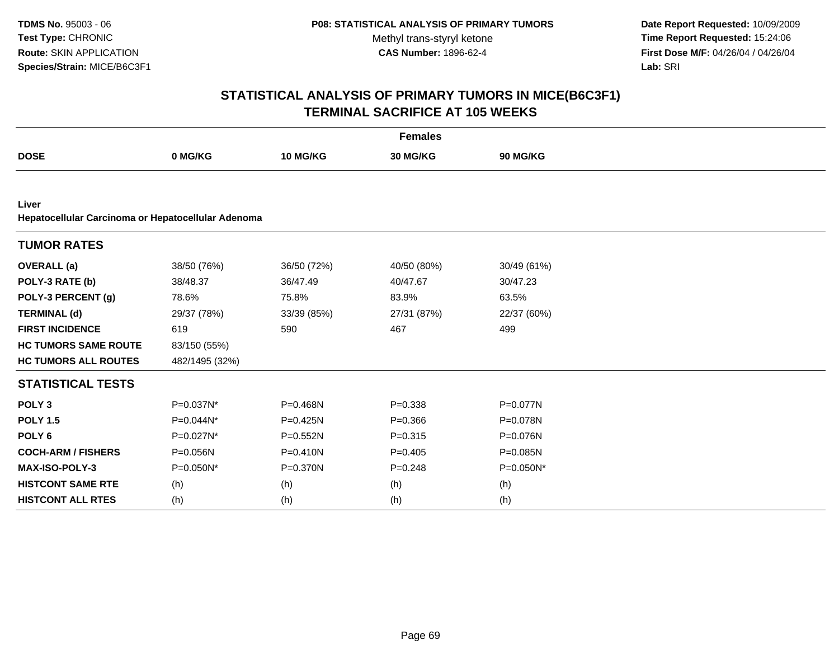**Date Report Requested:** 10/09/2009 **Time Report Requested:** 15:24:06 **First Dose M/F:** 04/26/04 / 04/26/04 Lab: SRI **Lab:** SRI

| <b>Females</b>                                              |                |              |             |             |  |  |
|-------------------------------------------------------------|----------------|--------------|-------------|-------------|--|--|
| <b>DOSE</b>                                                 | 0 MG/KG        | 10 MG/KG     | 30 MG/KG    | 90 MG/KG    |  |  |
|                                                             |                |              |             |             |  |  |
| Liver<br>Hepatocellular Carcinoma or Hepatocellular Adenoma |                |              |             |             |  |  |
| <b>TUMOR RATES</b>                                          |                |              |             |             |  |  |
| <b>OVERALL</b> (a)                                          | 38/50 (76%)    | 36/50 (72%)  | 40/50 (80%) | 30/49 (61%) |  |  |
| POLY-3 RATE (b)                                             | 38/48.37       | 36/47.49     | 40/47.67    | 30/47.23    |  |  |
| POLY-3 PERCENT (g)                                          | 78.6%          | 75.8%        | 83.9%       | 63.5%       |  |  |
| <b>TERMINAL (d)</b>                                         | 29/37 (78%)    | 33/39 (85%)  | 27/31 (87%) | 22/37 (60%) |  |  |
| <b>FIRST INCIDENCE</b>                                      | 619            | 590          | 467         | 499         |  |  |
| <b>HC TUMORS SAME ROUTE</b>                                 | 83/150 (55%)   |              |             |             |  |  |
| <b>HC TUMORS ALL ROUTES</b>                                 | 482/1495 (32%) |              |             |             |  |  |
| <b>STATISTICAL TESTS</b>                                    |                |              |             |             |  |  |
| POLY <sub>3</sub>                                           | P=0.037N*      | P=0.468N     | $P = 0.338$ | P=0.077N    |  |  |
| <b>POLY 1.5</b>                                             | P=0.044N*      | P=0.425N     | $P = 0.366$ | P=0.078N    |  |  |
| POLY <sub>6</sub>                                           | P=0.027N*      | P=0.552N     | $P = 0.315$ | P=0.076N    |  |  |
| <b>COCH-ARM / FISHERS</b>                                   | P=0.056N       | $P = 0.410N$ | $P = 0.405$ | P=0.085N    |  |  |
| MAX-ISO-POLY-3                                              | P=0.050N*      | P=0.370N     | $P=0.248$   | P=0.050N*   |  |  |
| <b>HISTCONT SAME RTE</b>                                    | (h)            | (h)          | (h)         | (h)         |  |  |
| <b>HISTCONT ALL RTES</b>                                    | (h)            | (h)          | (h)         | (h)         |  |  |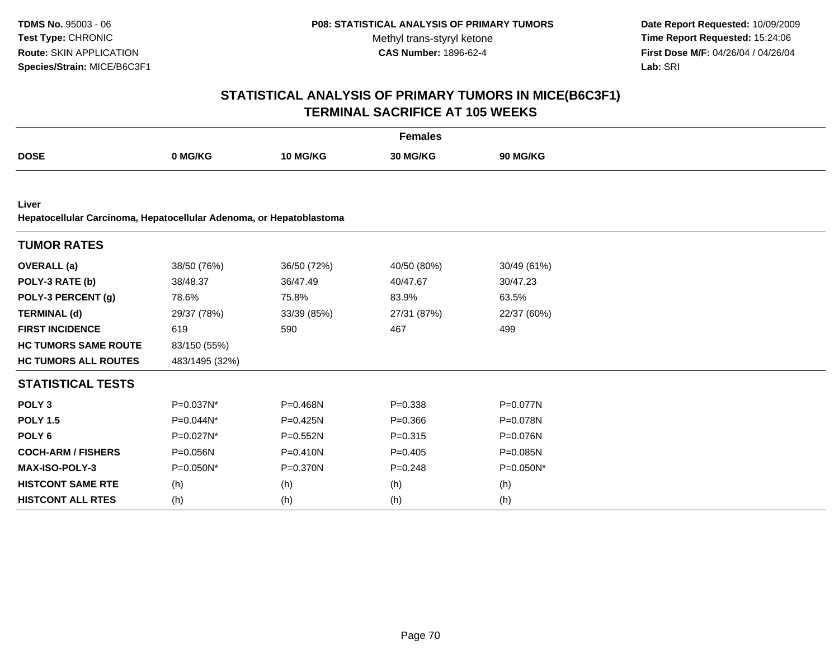**Date Report Requested:** 10/09/2009 **Time Report Requested:** 15:24:06 **First Dose M/F:** 04/26/04 / 04/26/04 Lab: SRI **Lab:** SRI

| <b>Females</b>                                                               |                |              |             |             |  |  |
|------------------------------------------------------------------------------|----------------|--------------|-------------|-------------|--|--|
| <b>DOSE</b>                                                                  | 0 MG/KG        | 10 MG/KG     | 30 MG/KG    | 90 MG/KG    |  |  |
|                                                                              |                |              |             |             |  |  |
| Liver<br>Hepatocellular Carcinoma, Hepatocellular Adenoma, or Hepatoblastoma |                |              |             |             |  |  |
| <b>TUMOR RATES</b>                                                           |                |              |             |             |  |  |
| <b>OVERALL</b> (a)                                                           | 38/50 (76%)    | 36/50 (72%)  | 40/50 (80%) | 30/49 (61%) |  |  |
| POLY-3 RATE (b)                                                              | 38/48.37       | 36/47.49     | 40/47.67    | 30/47.23    |  |  |
| POLY-3 PERCENT (g)                                                           | 78.6%          | 75.8%        | 83.9%       | 63.5%       |  |  |
| <b>TERMINAL (d)</b>                                                          | 29/37 (78%)    | 33/39 (85%)  | 27/31 (87%) | 22/37 (60%) |  |  |
| <b>FIRST INCIDENCE</b>                                                       | 619            | 590          | 467         | 499         |  |  |
| <b>HC TUMORS SAME ROUTE</b>                                                  | 83/150 (55%)   |              |             |             |  |  |
| <b>HC TUMORS ALL ROUTES</b>                                                  | 483/1495 (32%) |              |             |             |  |  |
| <b>STATISTICAL TESTS</b>                                                     |                |              |             |             |  |  |
| POLY <sub>3</sub>                                                            | P=0.037N*      | P=0.468N     | $P = 0.338$ | P=0.077N    |  |  |
| <b>POLY 1.5</b>                                                              | P=0.044N*      | P=0.425N     | $P = 0.366$ | P=0.078N    |  |  |
| POLY <sub>6</sub>                                                            | P=0.027N*      | $P = 0.552N$ | $P = 0.315$ | P=0.076N    |  |  |
| <b>COCH-ARM / FISHERS</b>                                                    | P=0.056N       | $P = 0.410N$ | $P=0.405$   | P=0.085N    |  |  |
| MAX-ISO-POLY-3                                                               | P=0.050N*      | P=0.370N     | $P = 0.248$ | P=0.050N*   |  |  |
| <b>HISTCONT SAME RTE</b>                                                     | (h)            | (h)          | (h)         | (h)         |  |  |
| <b>HISTCONT ALL RTES</b>                                                     | (h)            | (h)          | (h)         | (h)         |  |  |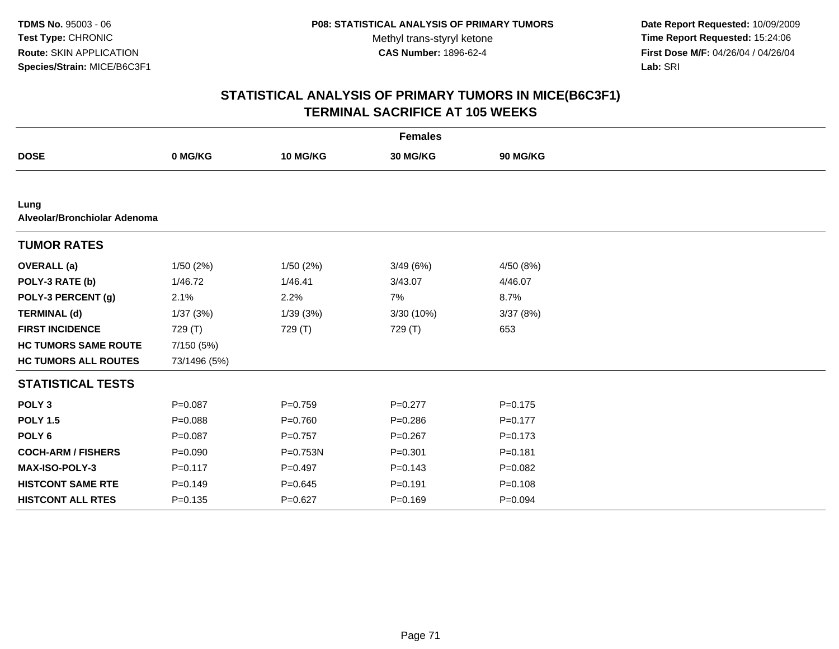**Date Report Requested:** 10/09/2009 **Time Report Requested:** 15:24:06 **First Dose M/F:** 04/26/04 / 04/26/04 Lab: SRI **Lab:** SRI

| <b>Females</b>                       |              |             |             |             |  |  |  |
|--------------------------------------|--------------|-------------|-------------|-------------|--|--|--|
| <b>DOSE</b>                          | 0 MG/KG      | 10 MG/KG    | 30 MG/KG    | 90 MG/KG    |  |  |  |
|                                      |              |             |             |             |  |  |  |
| Lung<br>Alveolar/Bronchiolar Adenoma |              |             |             |             |  |  |  |
| <b>TUMOR RATES</b>                   |              |             |             |             |  |  |  |
| <b>OVERALL</b> (a)                   | 1/50(2%)     | 1/50(2%)    | 3/49(6%)    | 4/50 (8%)   |  |  |  |
| POLY-3 RATE (b)                      | 1/46.72      | 1/46.41     | 3/43.07     | 4/46.07     |  |  |  |
| POLY-3 PERCENT (g)                   | 2.1%         | 2.2%        | 7%          | 8.7%        |  |  |  |
| <b>TERMINAL (d)</b>                  | 1/37(3%)     | 1/39(3%)    | 3/30 (10%)  | 3/37(8%)    |  |  |  |
| <b>FIRST INCIDENCE</b>               | 729 (T)      | 729 (T)     | 729 (T)     | 653         |  |  |  |
| <b>HC TUMORS SAME ROUTE</b>          | 7/150 (5%)   |             |             |             |  |  |  |
| <b>HC TUMORS ALL ROUTES</b>          | 73/1496 (5%) |             |             |             |  |  |  |
| <b>STATISTICAL TESTS</b>             |              |             |             |             |  |  |  |
| POLY <sub>3</sub>                    | $P = 0.087$  | $P = 0.759$ | $P=0.277$   | $P = 0.175$ |  |  |  |
| <b>POLY 1.5</b>                      | $P = 0.088$  | $P = 0.760$ | $P = 0.286$ | $P = 0.177$ |  |  |  |
| POLY <sub>6</sub>                    | $P=0.087$    | $P=0.757$   | $P=0.267$   | $P = 0.173$ |  |  |  |
| <b>COCH-ARM / FISHERS</b>            | $P = 0.090$  | P=0.753N    | $P = 0.301$ | $P = 0.181$ |  |  |  |
| <b>MAX-ISO-POLY-3</b>                | $P = 0.117$  | $P=0.497$   | $P = 0.143$ | $P = 0.082$ |  |  |  |
| <b>HISTCONT SAME RTE</b>             | $P = 0.149$  | $P = 0.645$ | $P = 0.191$ | $P = 0.108$ |  |  |  |
| <b>HISTCONT ALL RTES</b>             | $P = 0.135$  | $P=0.627$   | $P = 0.169$ | $P = 0.094$ |  |  |  |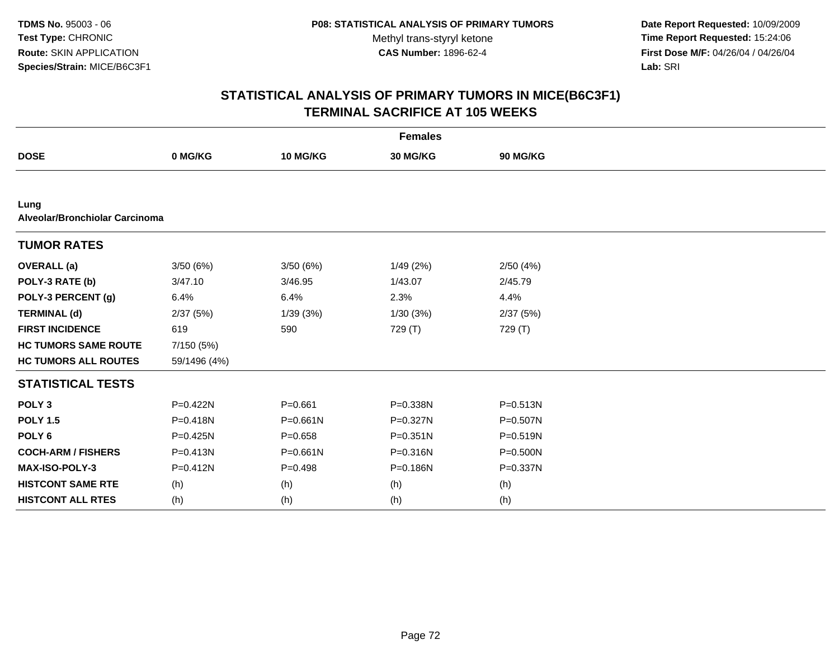**Date Report Requested:** 10/09/2009 **Time Report Requested:** 15:24:06 **First Dose M/F:** 04/26/04 / 04/26/04 Lab: SRI **Lab:** SRI

| <b>Females</b>                         |              |              |              |              |  |
|----------------------------------------|--------------|--------------|--------------|--------------|--|
| <b>DOSE</b>                            | 0 MG/KG      | 10 MG/KG     | 30 MG/KG     | 90 MG/KG     |  |
|                                        |              |              |              |              |  |
| Lung<br>Alveolar/Bronchiolar Carcinoma |              |              |              |              |  |
| <b>TUMOR RATES</b>                     |              |              |              |              |  |
| <b>OVERALL</b> (a)                     | 3/50(6%)     | 3/50(6%)     | 1/49(2%)     | 2/50(4%)     |  |
| POLY-3 RATE (b)                        | 3/47.10      | 3/46.95      | 1/43.07      | 2/45.79      |  |
| POLY-3 PERCENT (g)                     | 6.4%         | 6.4%         | 2.3%         | 4.4%         |  |
| <b>TERMINAL (d)</b>                    | 2/37(5%)     | 1/39(3%)     | 1/30(3%)     | 2/37 (5%)    |  |
| <b>FIRST INCIDENCE</b>                 | 619          | 590          | 729 (T)      | 729 (T)      |  |
| <b>HC TUMORS SAME ROUTE</b>            | 7/150 (5%)   |              |              |              |  |
| <b>HC TUMORS ALL ROUTES</b>            | 59/1496 (4%) |              |              |              |  |
| <b>STATISTICAL TESTS</b>               |              |              |              |              |  |
| POLY <sub>3</sub>                      | $P = 0.422N$ | $P = 0.661$  | P=0.338N     | $P = 0.513N$ |  |
| <b>POLY 1.5</b>                        | P=0.418N     | $P = 0.661N$ | $P = 0.327N$ | $P = 0.507N$ |  |
| POLY <sub>6</sub>                      | P=0.425N     | $P = 0.658$  | $P = 0.351N$ | P=0.519N     |  |
| <b>COCH-ARM / FISHERS</b>              | $P = 0.413N$ | $P = 0.661N$ | $P = 0.316N$ | P=0.500N     |  |
| <b>MAX-ISO-POLY-3</b>                  | P=0.412N     | $P = 0.498$  | $P = 0.186N$ | P=0.337N     |  |
| <b>HISTCONT SAME RTE</b>               | (h)          | (h)          | (h)          | (h)          |  |
| <b>HISTCONT ALL RTES</b>               | (h)          | (h)          | (h)          | (h)          |  |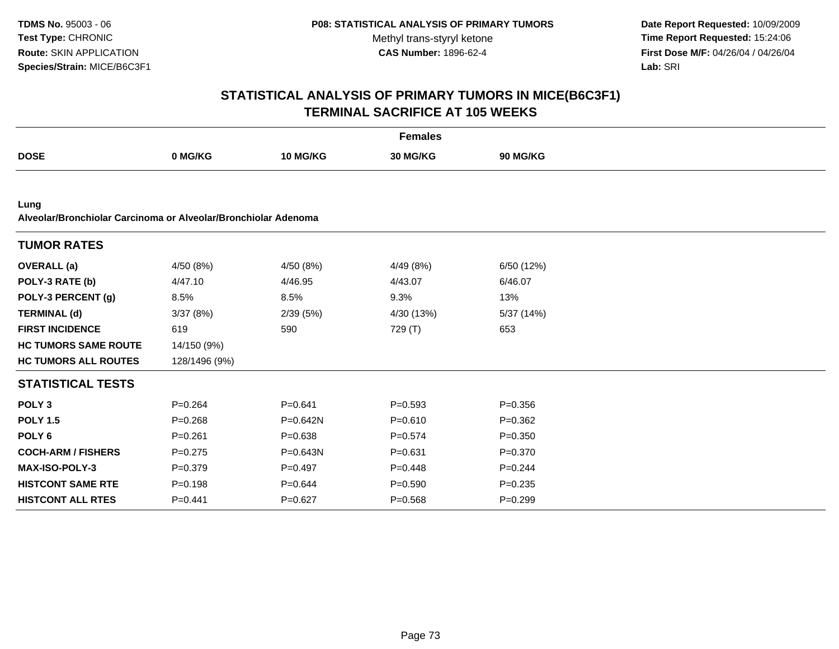**Date Report Requested:** 10/09/2009 **Time Report Requested:** 15:24:06 **First Dose M/F:** 04/26/04 / 04/26/04 Lab: SRI **Lab:** SRI

| <b>Females</b>                                                         |               |                 |                 |                 |  |  |
|------------------------------------------------------------------------|---------------|-----------------|-----------------|-----------------|--|--|
| <b>DOSE</b>                                                            | 0 MG/KG       | <b>10 MG/KG</b> | <b>30 MG/KG</b> | <b>90 MG/KG</b> |  |  |
|                                                                        |               |                 |                 |                 |  |  |
| Lung<br>Alveolar/Bronchiolar Carcinoma or Alveolar/Bronchiolar Adenoma |               |                 |                 |                 |  |  |
| <b>TUMOR RATES</b>                                                     |               |                 |                 |                 |  |  |
| <b>OVERALL</b> (a)                                                     | 4/50(8%)      | 4/50 (8%)       | 4/49 (8%)       | 6/50 (12%)      |  |  |
| POLY-3 RATE (b)                                                        | 4/47.10       | 4/46.95         | 4/43.07         | 6/46.07         |  |  |
| POLY-3 PERCENT (g)                                                     | 8.5%          | 8.5%            | 9.3%            | 13%             |  |  |
| <b>TERMINAL (d)</b>                                                    | 3/37(8%)      | 2/39(5%)        | 4/30 (13%)      | 5/37 (14%)      |  |  |
| <b>FIRST INCIDENCE</b>                                                 | 619           | 590             | 729 (T)         | 653             |  |  |
| <b>HC TUMORS SAME ROUTE</b>                                            | 14/150 (9%)   |                 |                 |                 |  |  |
| <b>HC TUMORS ALL ROUTES</b>                                            | 128/1496 (9%) |                 |                 |                 |  |  |
| <b>STATISTICAL TESTS</b>                                               |               |                 |                 |                 |  |  |
| POLY <sub>3</sub>                                                      | $P = 0.264$   | $P = 0.641$     | $P = 0.593$     | $P = 0.356$     |  |  |
| <b>POLY 1.5</b>                                                        | $P = 0.268$   | P=0.642N        | $P = 0.610$     | $P=0.362$       |  |  |
| POLY <sub>6</sub>                                                      | $P = 0.261$   | $P = 0.638$     | $P = 0.574$     | $P = 0.350$     |  |  |
| <b>COCH-ARM / FISHERS</b>                                              | $P=0.275$     | $P = 0.643N$    | $P = 0.631$     | $P = 0.370$     |  |  |
| <b>MAX-ISO-POLY-3</b>                                                  | $P = 0.379$   | $P=0.497$       | $P = 0.448$     | $P=0.244$       |  |  |
| <b>HISTCONT SAME RTE</b>                                               | $P = 0.198$   | $P = 0.644$     | $P = 0.590$     | $P = 0.235$     |  |  |
| <b>HISTCONT ALL RTES</b>                                               | $P=0.441$     | $P=0.627$       | $P = 0.568$     | $P=0.299$       |  |  |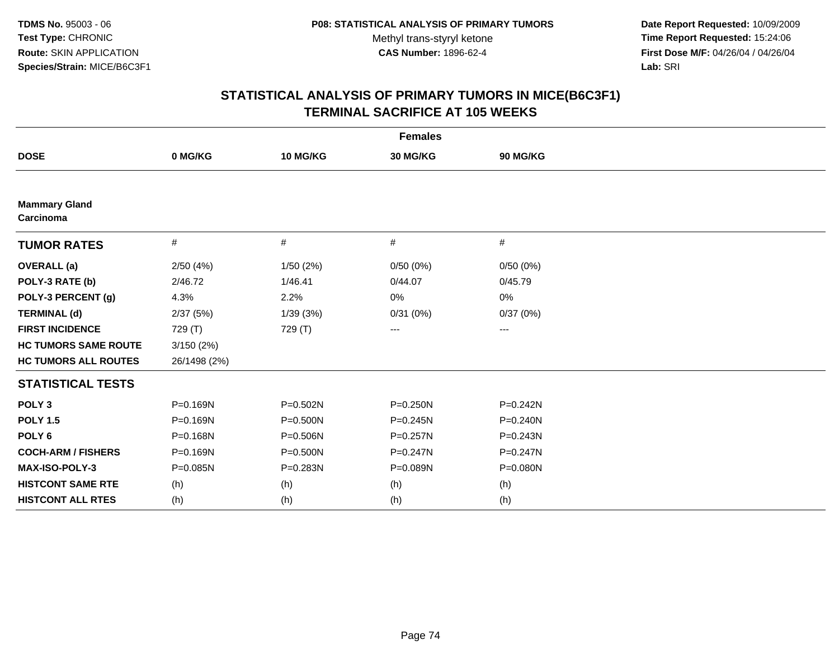**Date Report Requested:** 10/09/2009 **Time Report Requested:** 15:24:06 **First Dose M/F:** 04/26/04 / 04/26/04 Lab: SRI **Lab:** SRI

| <b>Females</b>                    |              |              |              |                        |  |  |
|-----------------------------------|--------------|--------------|--------------|------------------------|--|--|
| <b>DOSE</b>                       | 0 MG/KG      | 10 MG/KG     | 30 MG/KG     | 90 MG/KG               |  |  |
|                                   |              |              |              |                        |  |  |
| <b>Mammary Gland</b><br>Carcinoma |              |              |              |                        |  |  |
| <b>TUMOR RATES</b>                | $\#$         | #            | #            | #                      |  |  |
| <b>OVERALL</b> (a)                | 2/50(4%)     | 1/50(2%)     | 0/50(0%)     | 0/50(0%)               |  |  |
| POLY-3 RATE (b)                   | 2/46.72      | 1/46.41      | 0/44.07      | 0/45.79                |  |  |
| POLY-3 PERCENT (g)                | 4.3%         | 2.2%         | 0%           | 0%                     |  |  |
| <b>TERMINAL (d)</b>               | 2/37(5%)     | 1/39(3%)     | 0/31(0%)     | 0/37(0%)               |  |  |
| <b>FIRST INCIDENCE</b>            | 729 (T)      | 729 (T)      | ---          | $\qquad \qquad \cdots$ |  |  |
| <b>HC TUMORS SAME ROUTE</b>       | 3/150(2%)    |              |              |                        |  |  |
| <b>HC TUMORS ALL ROUTES</b>       | 26/1498 (2%) |              |              |                        |  |  |
| <b>STATISTICAL TESTS</b>          |              |              |              |                        |  |  |
| POLY <sub>3</sub>                 | P=0.169N     | P=0.502N     | P=0.250N     | $P = 0.242N$           |  |  |
| <b>POLY 1.5</b>                   | P=0.169N     | $P = 0.500N$ | P=0.245N     | $P = 0.240N$           |  |  |
| POLY <sub>6</sub>                 | P=0.168N     | P=0.506N     | $P = 0.257N$ | $P = 0.243N$           |  |  |
| <b>COCH-ARM / FISHERS</b>         | P=0.169N     | P=0.500N     | P=0.247N     | $P = 0.247N$           |  |  |
| <b>MAX-ISO-POLY-3</b>             | $P = 0.085N$ | P=0.283N     | P=0.089N     | P=0.080N               |  |  |
| <b>HISTCONT SAME RTE</b>          | (h)          | (h)          | (h)          | (h)                    |  |  |
| <b>HISTCONT ALL RTES</b>          | (h)          | (h)          | (h)          | (h)                    |  |  |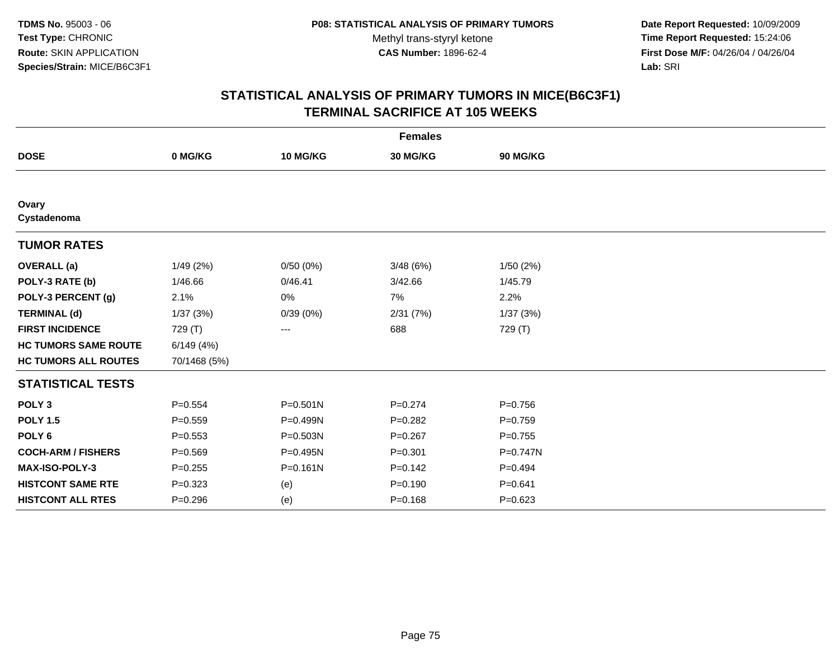**Date Report Requested:** 10/09/2009 **Time Report Requested:** 15:24:06 **First Dose M/F:** 04/26/04 / 04/26/04 Lab: SRI **Lab:** SRI

| <b>Females</b>              |              |              |             |             |  |  |
|-----------------------------|--------------|--------------|-------------|-------------|--|--|
| <b>DOSE</b>                 | 0 MG/KG      | 10 MG/KG     | 30 MG/KG    | 90 MG/KG    |  |  |
|                             |              |              |             |             |  |  |
| Ovary<br>Cystadenoma        |              |              |             |             |  |  |
| <b>TUMOR RATES</b>          |              |              |             |             |  |  |
| <b>OVERALL</b> (a)          | 1/49(2%)     | 0/50(0%)     | 3/48(6%)    | 1/50(2%)    |  |  |
| POLY-3 RATE (b)             | 1/46.66      | 0/46.41      | 3/42.66     | 1/45.79     |  |  |
| POLY-3 PERCENT (g)          | 2.1%         | 0%           | 7%          | 2.2%        |  |  |
| <b>TERMINAL (d)</b>         | 1/37(3%)     | 0/39(0%)     | 2/31(7%)    | 1/37(3%)    |  |  |
| <b>FIRST INCIDENCE</b>      | 729 (T)      | ---          | 688         | 729 (T)     |  |  |
| <b>HC TUMORS SAME ROUTE</b> | 6/149(4%)    |              |             |             |  |  |
| <b>HC TUMORS ALL ROUTES</b> | 70/1468 (5%) |              |             |             |  |  |
| <b>STATISTICAL TESTS</b>    |              |              |             |             |  |  |
| POLY <sub>3</sub>           | $P = 0.554$  | $P = 0.501N$ | $P=0.274$   | $P = 0.756$ |  |  |
| <b>POLY 1.5</b>             | $P = 0.559$  | P=0.499N     | $P=0.282$   | $P=0.759$   |  |  |
| POLY <sub>6</sub>           | $P = 0.553$  | P=0.503N     | $P=0.267$   | $P=0.755$   |  |  |
| <b>COCH-ARM / FISHERS</b>   | $P = 0.569$  | P=0.495N     | $P = 0.301$ | P=0.747N    |  |  |
| MAX-ISO-POLY-3              | $P = 0.255$  | $P = 0.161N$ | $P = 0.142$ | $P=0.494$   |  |  |
| <b>HISTCONT SAME RTE</b>    | $P = 0.323$  | (e)          | $P = 0.190$ | $P = 0.641$ |  |  |
| <b>HISTCONT ALL RTES</b>    | $P = 0.296$  | (e)          | $P = 0.168$ | $P = 0.623$ |  |  |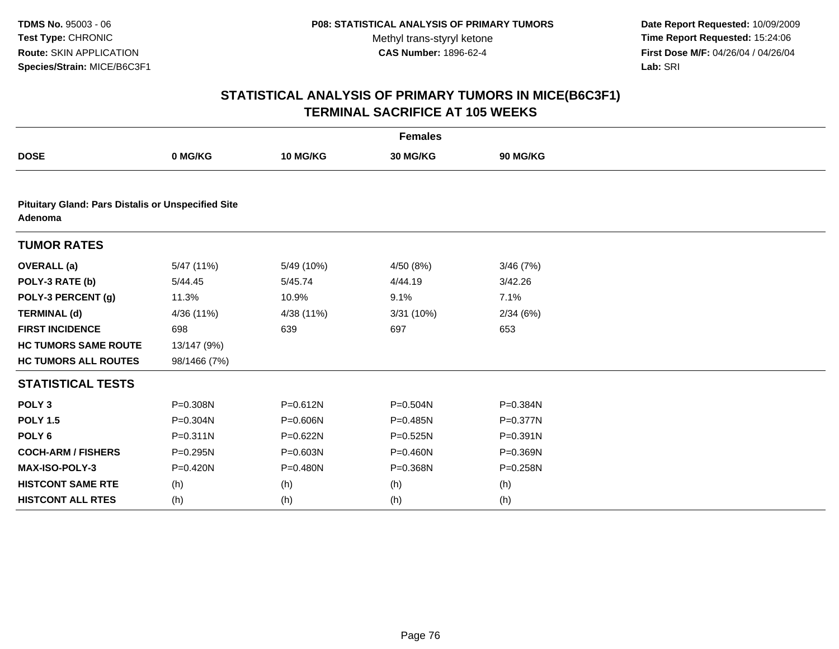**Date Report Requested:** 10/09/2009 **Time Report Requested:** 15:24:06 **First Dose M/F:** 04/26/04 / 04/26/04 Lab: SRI **Lab:** SRI

| <b>Females</b>                                                       |              |              |              |          |  |  |
|----------------------------------------------------------------------|--------------|--------------|--------------|----------|--|--|
| <b>DOSE</b>                                                          | 0 MG/KG      | 10 MG/KG     | 30 MG/KG     | 90 MG/KG |  |  |
|                                                                      |              |              |              |          |  |  |
| <b>Pituitary Gland: Pars Distalis or Unspecified Site</b><br>Adenoma |              |              |              |          |  |  |
| <b>TUMOR RATES</b>                                                   |              |              |              |          |  |  |
| <b>OVERALL</b> (a)                                                   | 5/47 (11%)   | 5/49 (10%)   | 4/50 (8%)    | 3/46(7%) |  |  |
| POLY-3 RATE (b)                                                      | 5/44.45      | 5/45.74      | 4/44.19      | 3/42.26  |  |  |
| POLY-3 PERCENT (g)                                                   | 11.3%        | 10.9%        | 9.1%         | 7.1%     |  |  |
| <b>TERMINAL (d)</b>                                                  | 4/36 (11%)   | 4/38 (11%)   | 3/31(10%)    | 2/34(6%) |  |  |
| <b>FIRST INCIDENCE</b>                                               | 698          | 639          | 697          | 653      |  |  |
| <b>HC TUMORS SAME ROUTE</b>                                          | 13/147 (9%)  |              |              |          |  |  |
| <b>HC TUMORS ALL ROUTES</b>                                          | 98/1466 (7%) |              |              |          |  |  |
| <b>STATISTICAL TESTS</b>                                             |              |              |              |          |  |  |
| POLY <sub>3</sub>                                                    | P=0.308N     | $P = 0.612N$ | $P = 0.504N$ | P=0.384N |  |  |
| <b>POLY 1.5</b>                                                      | $P = 0.304N$ | P=0.606N     | P=0.485N     | P=0.377N |  |  |
| POLY <sub>6</sub>                                                    | $P = 0.311N$ | P=0.622N     | $P = 0.525N$ | P=0.391N |  |  |
| <b>COCH-ARM / FISHERS</b>                                            | P=0.295N     | P=0.603N     | P=0.460N     | P=0.369N |  |  |
| <b>MAX-ISO-POLY-3</b>                                                | $P = 0.420N$ | $P = 0.480N$ | $P = 0.368N$ | P=0.258N |  |  |
| <b>HISTCONT SAME RTE</b>                                             | (h)          | (h)          | (h)          | (h)      |  |  |
| <b>HISTCONT ALL RTES</b>                                             | (h)          | (h)          | (h)          | (h)      |  |  |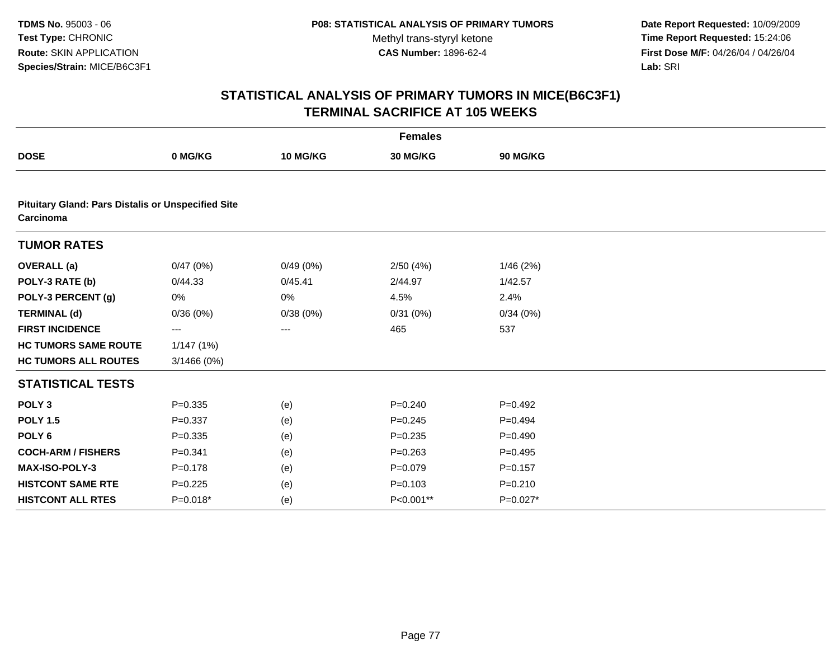**Date Report Requested:** 10/09/2009 **Time Report Requested:** 15:24:06 **First Dose M/F:** 04/26/04 / 04/26/04 Lab: SRI **Lab:** SRI

| <b>Females</b>                                                         |             |          |             |             |  |
|------------------------------------------------------------------------|-------------|----------|-------------|-------------|--|
| <b>DOSE</b>                                                            | 0 MG/KG     | 10 MG/KG | 30 MG/KG    | 90 MG/KG    |  |
|                                                                        |             |          |             |             |  |
| <b>Pituitary Gland: Pars Distalis or Unspecified Site</b><br>Carcinoma |             |          |             |             |  |
| <b>TUMOR RATES</b>                                                     |             |          |             |             |  |
| <b>OVERALL</b> (a)                                                     | 0/47(0%)    | 0/49(0%) | 2/50(4%)    | 1/46(2%)    |  |
| POLY-3 RATE (b)                                                        | 0/44.33     | 0/45.41  | 2/44.97     | 1/42.57     |  |
| POLY-3 PERCENT (g)                                                     | 0%          | 0%       | 4.5%        | 2.4%        |  |
| <b>TERMINAL (d)</b>                                                    | 0/36(0%)    | 0/38(0%) | 0/31(0%)    | 0/34(0%)    |  |
| <b>FIRST INCIDENCE</b>                                                 | ---         | ---      | 465         | 537         |  |
| <b>HC TUMORS SAME ROUTE</b>                                            | 1/147(1%)   |          |             |             |  |
| <b>HC TUMORS ALL ROUTES</b>                                            | 3/1466 (0%) |          |             |             |  |
| <b>STATISTICAL TESTS</b>                                               |             |          |             |             |  |
| POLY <sub>3</sub>                                                      | $P = 0.335$ | (e)      | $P=0.240$   | $P=0.492$   |  |
| <b>POLY 1.5</b>                                                        | $P = 0.337$ | (e)      | $P = 0.245$ | $P=0.494$   |  |
| POLY <sub>6</sub>                                                      | $P = 0.335$ | (e)      | $P = 0.235$ | $P=0.490$   |  |
| <b>COCH-ARM / FISHERS</b>                                              | $P = 0.341$ | (e)      | $P = 0.263$ | $P=0.495$   |  |
| MAX-ISO-POLY-3                                                         | $P = 0.178$ | (e)      | $P=0.079$   | $P = 0.157$ |  |
| <b>HISTCONT SAME RTE</b>                                               | $P=0.225$   | (e)      | $P = 0.103$ | $P = 0.210$ |  |
| <b>HISTCONT ALL RTES</b>                                               | $P=0.018*$  | (e)      | P<0.001**   | $P=0.027*$  |  |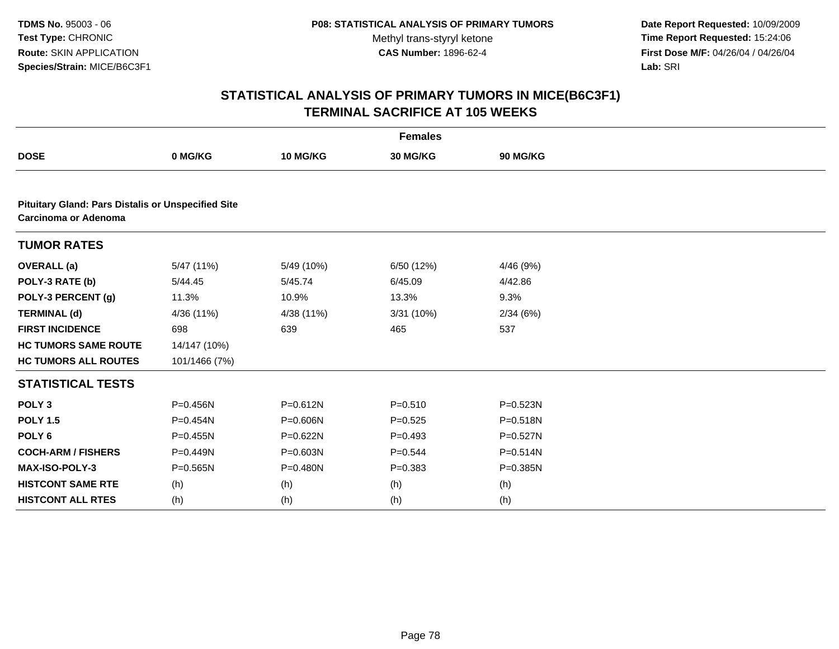**Date Report Requested:** 10/09/2009 **Time Report Requested:** 15:24:06 **First Dose M/F:** 04/26/04 / 04/26/04 Lab: SRI **Lab:** SRI

| <b>Females</b>                                                                    |               |              |             |                 |  |  |
|-----------------------------------------------------------------------------------|---------------|--------------|-------------|-----------------|--|--|
| <b>DOSE</b>                                                                       | 0 MG/KG       | 10 MG/KG     | 30 MG/KG    | <b>90 MG/KG</b> |  |  |
|                                                                                   |               |              |             |                 |  |  |
| <b>Pituitary Gland: Pars Distalis or Unspecified Site</b><br>Carcinoma or Adenoma |               |              |             |                 |  |  |
| <b>TUMOR RATES</b>                                                                |               |              |             |                 |  |  |
| <b>OVERALL</b> (a)                                                                | 5/47 (11%)    | 5/49 (10%)   | 6/50 (12%)  | 4/46 (9%)       |  |  |
| POLY-3 RATE (b)                                                                   | 5/44.45       | 5/45.74      | 6/45.09     | 4/42.86         |  |  |
| POLY-3 PERCENT (g)                                                                | 11.3%         | 10.9%        | 13.3%       | 9.3%            |  |  |
| <b>TERMINAL (d)</b>                                                               | 4/36 (11%)    | 4/38 (11%)   | 3/31 (10%)  | 2/34(6%)        |  |  |
| <b>FIRST INCIDENCE</b>                                                            | 698           | 639          | 465         | 537             |  |  |
| <b>HC TUMORS SAME ROUTE</b>                                                       | 14/147 (10%)  |              |             |                 |  |  |
| <b>HC TUMORS ALL ROUTES</b>                                                       | 101/1466 (7%) |              |             |                 |  |  |
| <b>STATISTICAL TESTS</b>                                                          |               |              |             |                 |  |  |
| POLY <sub>3</sub>                                                                 | $P = 0.456N$  | P=0.612N     | $P = 0.510$ | $P = 0.523N$    |  |  |
| <b>POLY 1.5</b>                                                                   | $P = 0.454N$  | P=0.606N     | $P=0.525$   | $P = 0.518N$    |  |  |
| POLY <sub>6</sub>                                                                 | $P = 0.455N$  | P=0.622N     | $P=0.493$   | $P=0.527N$      |  |  |
| <b>COCH-ARM / FISHERS</b>                                                         | P=0.449N      | $P = 0.603N$ | $P=0.544$   | $P = 0.514N$    |  |  |
| <b>MAX-ISO-POLY-3</b>                                                             | $P = 0.565N$  | $P = 0.480N$ | $P = 0.383$ | $P = 0.385N$    |  |  |
| <b>HISTCONT SAME RTE</b>                                                          | (h)           | (h)          | (h)         | (h)             |  |  |
| <b>HISTCONT ALL RTES</b>                                                          | (h)           | (h)          | (h)         | (h)             |  |  |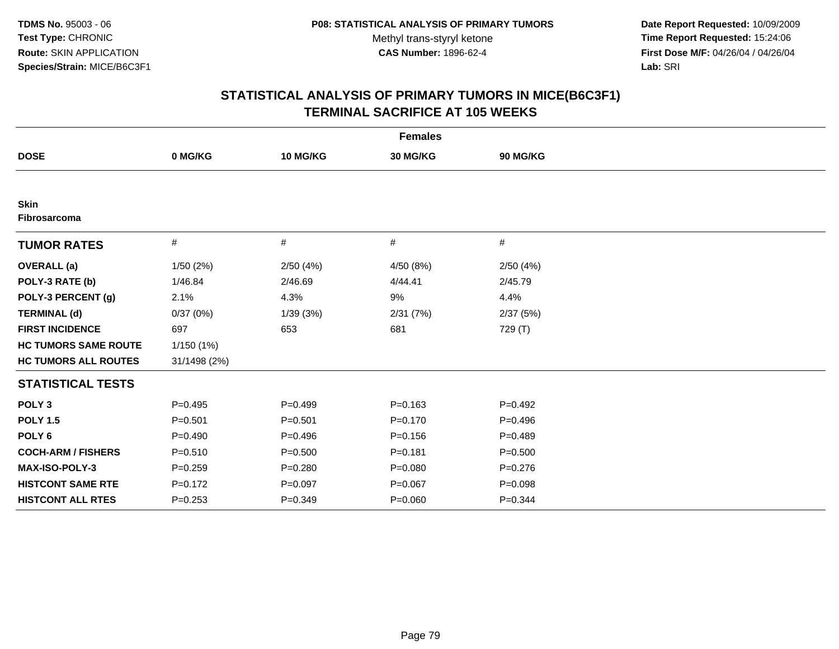**Date Report Requested:** 10/09/2009 **Time Report Requested:** 15:24:06 **First Dose M/F:** 04/26/04 / 04/26/04 Lab: SRI **Lab:** SRI

| <b>Females</b>              |              |             |             |             |  |  |
|-----------------------------|--------------|-------------|-------------|-------------|--|--|
| <b>DOSE</b>                 | 0 MG/KG      | 10 MG/KG    | 30 MG/KG    | 90 MG/KG    |  |  |
|                             |              |             |             |             |  |  |
| <b>Skin</b><br>Fibrosarcoma |              |             |             |             |  |  |
| <b>TUMOR RATES</b>          | #            | #           | #           | #           |  |  |
| <b>OVERALL</b> (a)          | 1/50(2%)     | 2/50(4%)    | 4/50 (8%)   | 2/50(4%)    |  |  |
| POLY-3 RATE (b)             | 1/46.84      | 2/46.69     | 4/44.41     | 2/45.79     |  |  |
| POLY-3 PERCENT (g)          | 2.1%         | 4.3%        | 9%          | 4.4%        |  |  |
| <b>TERMINAL (d)</b>         | 0/37(0%)     | 1/39(3%)    | 2/31(7%)    | 2/37(5%)    |  |  |
| <b>FIRST INCIDENCE</b>      | 697          | 653         | 681         | 729 (T)     |  |  |
| <b>HC TUMORS SAME ROUTE</b> | 1/150(1%)    |             |             |             |  |  |
| <b>HC TUMORS ALL ROUTES</b> | 31/1498 (2%) |             |             |             |  |  |
| <b>STATISTICAL TESTS</b>    |              |             |             |             |  |  |
| POLY <sub>3</sub>           | $P=0.495$    | $P=0.499$   | $P = 0.163$ | $P=0.492$   |  |  |
| <b>POLY 1.5</b>             | $P = 0.501$  | $P = 0.501$ | $P = 0.170$ | $P = 0.496$ |  |  |
| POLY <sub>6</sub>           | $P=0.490$    | $P=0.496$   | $P = 0.156$ | $P=0.489$   |  |  |
| <b>COCH-ARM / FISHERS</b>   | $P = 0.510$  | $P = 0.500$ | $P = 0.181$ | $P = 0.500$ |  |  |
| MAX-ISO-POLY-3              | $P = 0.259$  | $P = 0.280$ | $P = 0.080$ | $P=0.276$   |  |  |
| <b>HISTCONT SAME RTE</b>    | $P = 0.172$  | $P = 0.097$ | $P = 0.067$ | $P = 0.098$ |  |  |
| <b>HISTCONT ALL RTES</b>    | $P = 0.253$  | $P = 0.349$ | $P = 0.060$ | $P = 0.344$ |  |  |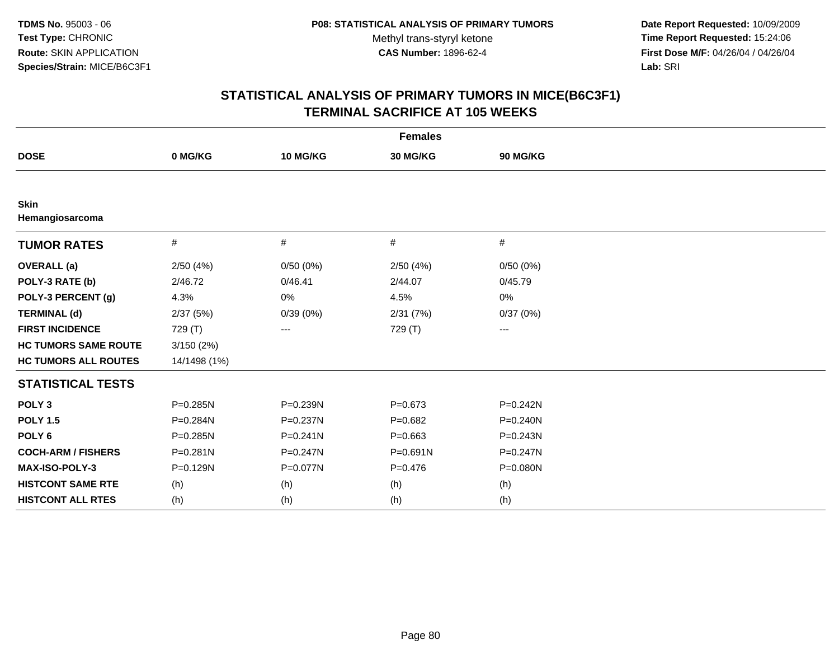**Date Report Requested:** 10/09/2009 **Time Report Requested:** 15:24:06 **First Dose M/F:** 04/26/04 / 04/26/04 Lab: SRI **Lab:** SRI

| <b>Females</b>                 |              |              |             |              |  |  |
|--------------------------------|--------------|--------------|-------------|--------------|--|--|
| <b>DOSE</b>                    | 0 MG/KG      | 10 MG/KG     | 30 MG/KG    | 90 MG/KG     |  |  |
|                                |              |              |             |              |  |  |
| <b>Skin</b><br>Hemangiosarcoma |              |              |             |              |  |  |
| <b>TUMOR RATES</b>             | #            | #            | $\#$        | #            |  |  |
| <b>OVERALL</b> (a)             | 2/50(4%)     | 0/50(0%)     | 2/50(4%)    | 0/50(0%)     |  |  |
| POLY-3 RATE (b)                | 2/46.72      | 0/46.41      | 2/44.07     | 0/45.79      |  |  |
| POLY-3 PERCENT (g)             | 4.3%         | 0%           | 4.5%        | 0%           |  |  |
| <b>TERMINAL (d)</b>            | 2/37(5%)     | 0/39(0%)     | 2/31(7%)    | 0/37(0%)     |  |  |
| <b>FIRST INCIDENCE</b>         | 729 (T)      | ---          | 729 (T)     | $--$         |  |  |
| <b>HC TUMORS SAME ROUTE</b>    | 3/150(2%)    |              |             |              |  |  |
| <b>HC TUMORS ALL ROUTES</b>    | 14/1498 (1%) |              |             |              |  |  |
| <b>STATISTICAL TESTS</b>       |              |              |             |              |  |  |
| POLY <sub>3</sub>              | P=0.285N     | P=0.239N     | $P = 0.673$ | $P = 0.242N$ |  |  |
| <b>POLY 1.5</b>                | P=0.284N     | P=0.237N     | $P=0.682$   | $P = 0.240N$ |  |  |
| POLY <sub>6</sub>              | P=0.285N     | $P = 0.241N$ | $P = 0.663$ | P=0.243N     |  |  |
| <b>COCH-ARM / FISHERS</b>      | $P = 0.281N$ | $P = 0.247N$ | P=0.691N    | $P = 0.247N$ |  |  |
| MAX-ISO-POLY-3                 | P=0.129N     | P=0.077N     | $P = 0.476$ | P=0.080N     |  |  |
| <b>HISTCONT SAME RTE</b>       | (h)          | (h)          | (h)         | (h)          |  |  |
| <b>HISTCONT ALL RTES</b>       | (h)          | (h)          | (h)         | (h)          |  |  |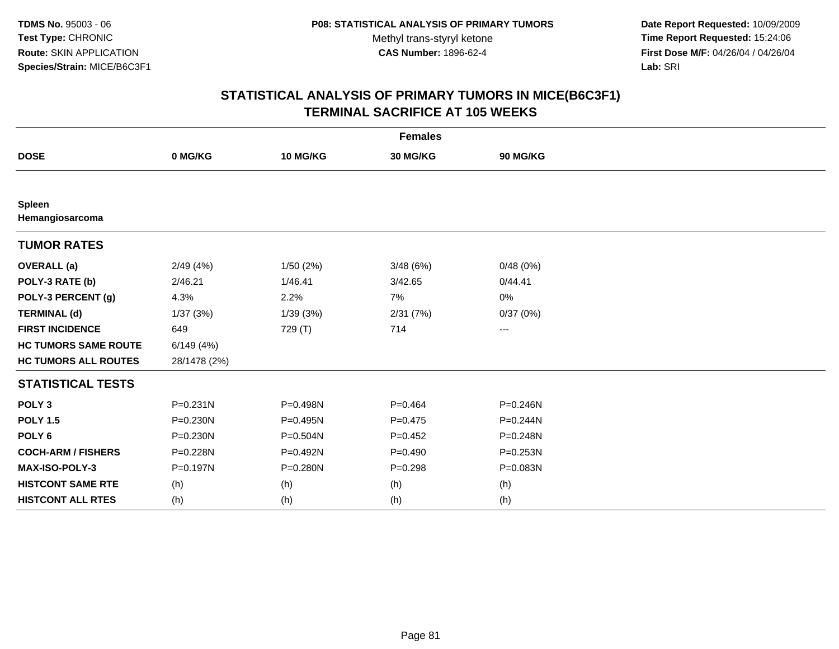**Date Report Requested:** 10/09/2009 **Time Report Requested:** 15:24:06 **First Dose M/F:** 04/26/04 / 04/26/04 Lab: SRI **Lab:** SRI

| <b>Females</b>              |              |              |             |              |  |  |
|-----------------------------|--------------|--------------|-------------|--------------|--|--|
| <b>DOSE</b>                 | 0 MG/KG      | 10 MG/KG     | 30 MG/KG    | 90 MG/KG     |  |  |
|                             |              |              |             |              |  |  |
| Spleen<br>Hemangiosarcoma   |              |              |             |              |  |  |
| <b>TUMOR RATES</b>          |              |              |             |              |  |  |
| <b>OVERALL</b> (a)          | 2/49(4%)     | 1/50(2%)     | 3/48(6%)    | 0/48(0%)     |  |  |
| POLY-3 RATE (b)             | 2/46.21      | 1/46.41      | 3/42.65     | 0/44.41      |  |  |
| POLY-3 PERCENT (g)          | 4.3%         | 2.2%         | 7%          | 0%           |  |  |
| <b>TERMINAL (d)</b>         | 1/37(3%)     | 1/39(3%)     | 2/31(7%)    | 0/37(0%)     |  |  |
| <b>FIRST INCIDENCE</b>      | 649          | 729 (T)      | 714         | ---          |  |  |
| <b>HC TUMORS SAME ROUTE</b> | 6/149(4%)    |              |             |              |  |  |
| <b>HC TUMORS ALL ROUTES</b> | 28/1478 (2%) |              |             |              |  |  |
| <b>STATISTICAL TESTS</b>    |              |              |             |              |  |  |
| POLY <sub>3</sub>           | $P = 0.231N$ | P=0.498N     | $P = 0.464$ | $P = 0.246N$ |  |  |
| <b>POLY 1.5</b>             | $P = 0.230N$ | P=0.495N     | $P=0.475$   | $P = 0.244N$ |  |  |
| POLY <sub>6</sub>           | $P = 0.230N$ | $P = 0.504N$ | $P=0.452$   | P=0.248N     |  |  |
| <b>COCH-ARM / FISHERS</b>   | P=0.228N     | P=0.492N     | $P=0.490$   | $P = 0.253N$ |  |  |
| MAX-ISO-POLY-3              | P=0.197N     | P=0.280N     | $P = 0.298$ | P=0.083N     |  |  |
| <b>HISTCONT SAME RTE</b>    | (h)          | (h)          | (h)         | (h)          |  |  |
| <b>HISTCONT ALL RTES</b>    | (h)          | (h)          | (h)         | (h)          |  |  |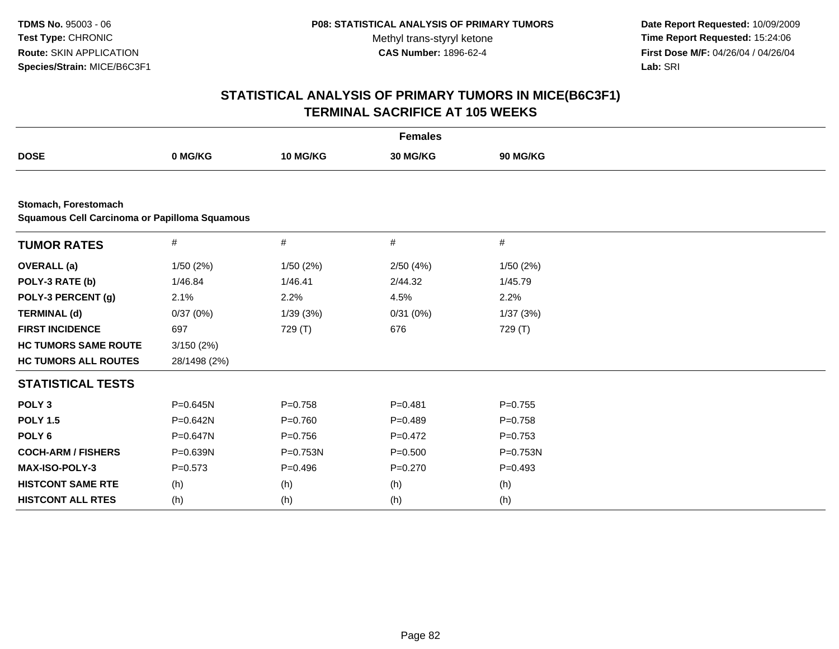**Date Report Requested:** 10/09/2009 **Time Report Requested:** 15:24:06 **First Dose M/F:** 04/26/04 / 04/26/04 Lab: SRI **Lab:** SRI

| <b>Females</b>                                                        |              |             |                 |           |  |  |
|-----------------------------------------------------------------------|--------------|-------------|-----------------|-----------|--|--|
| <b>DOSE</b>                                                           | 0 MG/KG      | 10 MG/KG    | <b>30 MG/KG</b> | 90 MG/KG  |  |  |
|                                                                       |              |             |                 |           |  |  |
| Stomach, Forestomach<br>Squamous Cell Carcinoma or Papilloma Squamous |              |             |                 |           |  |  |
| <b>TUMOR RATES</b>                                                    | $\#$         | #           | #               | #         |  |  |
| <b>OVERALL</b> (a)                                                    | 1/50(2%)     | 1/50(2%)    | 2/50(4%)        | 1/50(2%)  |  |  |
| POLY-3 RATE (b)                                                       | 1/46.84      | 1/46.41     | 2/44.32         | 1/45.79   |  |  |
| POLY-3 PERCENT (g)                                                    | 2.1%         | 2.2%        | 4.5%            | 2.2%      |  |  |
| <b>TERMINAL (d)</b>                                                   | 0/37(0%)     | 1/39(3%)    | 0/31(0%)        | 1/37(3%)  |  |  |
| <b>FIRST INCIDENCE</b>                                                | 697          | 729 (T)     | 676             | 729 (T)   |  |  |
| <b>HC TUMORS SAME ROUTE</b>                                           | 3/150(2%)    |             |                 |           |  |  |
| <b>HC TUMORS ALL ROUTES</b>                                           | 28/1498 (2%) |             |                 |           |  |  |
| <b>STATISTICAL TESTS</b>                                              |              |             |                 |           |  |  |
| POLY <sub>3</sub>                                                     | P=0.645N     | $P = 0.758$ | $P = 0.481$     | $P=0.755$ |  |  |
| <b>POLY 1.5</b>                                                       | P=0.642N     | $P = 0.760$ | $P=0.489$       | $P=0.758$ |  |  |
| POLY <sub>6</sub>                                                     | P=0.647N     | $P=0.756$   | $P=0.472$       | $P=0.753$ |  |  |
| <b>COCH-ARM / FISHERS</b>                                             | P=0.639N     | P=0.753N    | $P = 0.500$     | P=0.753N  |  |  |
| <b>MAX-ISO-POLY-3</b>                                                 | $P = 0.573$  | $P=0.496$   | $P = 0.270$     | $P=0.493$ |  |  |
| <b>HISTCONT SAME RTE</b>                                              | (h)          | (h)         | (h)             | (h)       |  |  |
| <b>HISTCONT ALL RTES</b>                                              | (h)          | (h)         | (h)             | (h)       |  |  |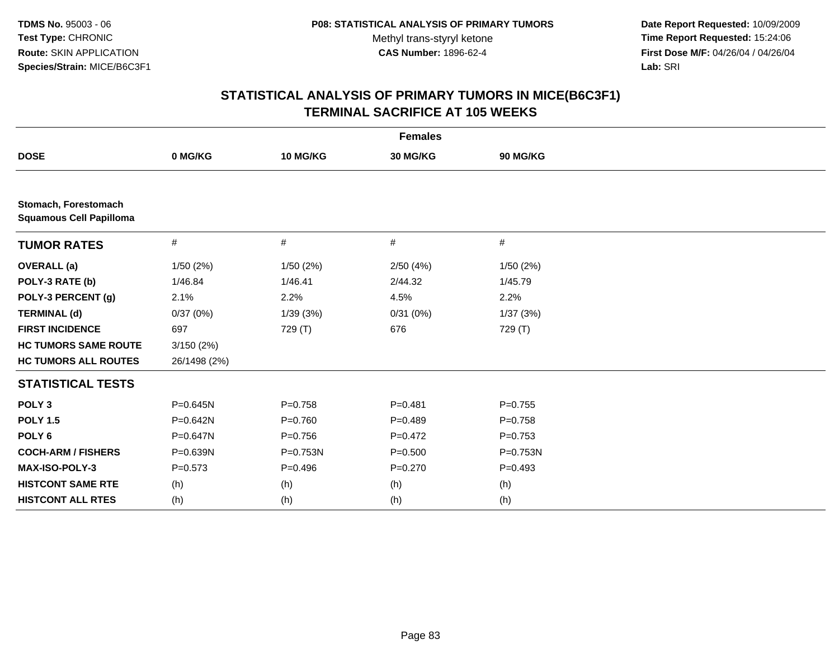**Date Report Requested:** 10/09/2009 **Time Report Requested:** 15:24:06 **First Dose M/F:** 04/26/04 / 04/26/04 Lab: SRI **Lab:** SRI

| <b>Females</b>                                         |              |           |             |             |  |  |
|--------------------------------------------------------|--------------|-----------|-------------|-------------|--|--|
| <b>DOSE</b>                                            | 0 MG/KG      | 10 MG/KG  | 30 MG/KG    | 90 MG/KG    |  |  |
|                                                        |              |           |             |             |  |  |
| Stomach, Forestomach<br><b>Squamous Cell Papilloma</b> |              |           |             |             |  |  |
| <b>TUMOR RATES</b>                                     | #            | #         | #           | #           |  |  |
| <b>OVERALL</b> (a)                                     | 1/50(2%)     | 1/50(2%)  | 2/50(4%)    | 1/50(2%)    |  |  |
| POLY-3 RATE (b)                                        | 1/46.84      | 1/46.41   | 2/44.32     | 1/45.79     |  |  |
| POLY-3 PERCENT (g)                                     | 2.1%         | 2.2%      | 4.5%        | 2.2%        |  |  |
| <b>TERMINAL (d)</b>                                    | 0/37(0%)     | 1/39(3%)  | 0/31(0%)    | 1/37(3%)    |  |  |
| <b>FIRST INCIDENCE</b>                                 | 697          | 729 (T)   | 676         | 729 (T)     |  |  |
| <b>HC TUMORS SAME ROUTE</b>                            | 3/150(2%)    |           |             |             |  |  |
| <b>HC TUMORS ALL ROUTES</b>                            | 26/1498 (2%) |           |             |             |  |  |
| <b>STATISTICAL TESTS</b>                               |              |           |             |             |  |  |
| POLY <sub>3</sub>                                      | $P = 0.645N$ | $P=0.758$ | $P = 0.481$ | $P=0.755$   |  |  |
| <b>POLY 1.5</b>                                        | $P = 0.642N$ | $P=0.760$ | $P=0.489$   | $P = 0.758$ |  |  |
| POLY <sub>6</sub>                                      | P=0.647N     | $P=0.756$ | $P=0.472$   | $P=0.753$   |  |  |
| <b>COCH-ARM / FISHERS</b>                              | P=0.639N     | P=0.753N  | $P = 0.500$ | P=0.753N    |  |  |
| MAX-ISO-POLY-3                                         | $P = 0.573$  | $P=0.496$ | $P=0.270$   | $P=0.493$   |  |  |
| <b>HISTCONT SAME RTE</b>                               | (h)          | (h)       | (h)         | (h)         |  |  |
| <b>HISTCONT ALL RTES</b>                               | (h)          | (h)       | (h)         | (h)         |  |  |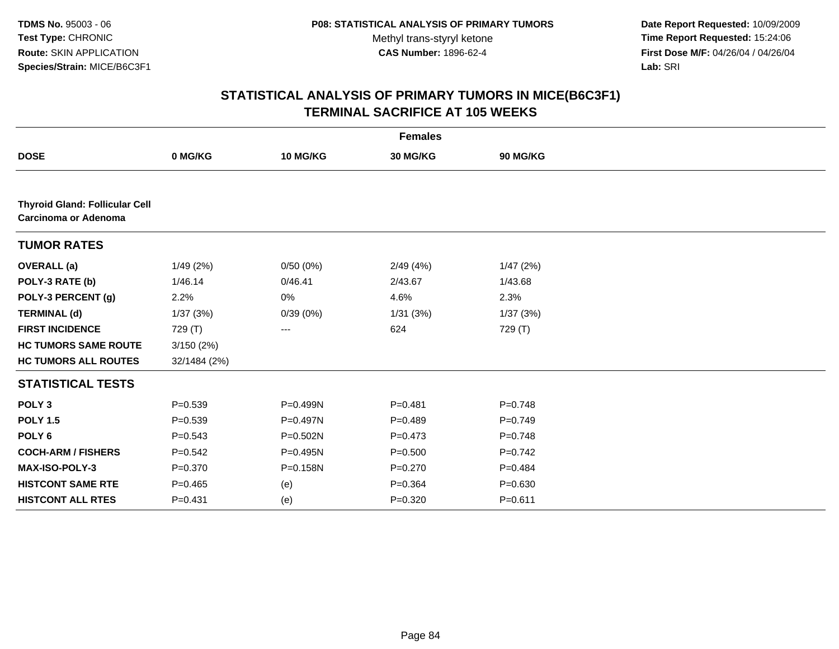**Date Report Requested:** 10/09/2009 **Time Report Requested:** 15:24:06 **First Dose M/F:** 04/26/04 / 04/26/04 Lab: SRI **Lab:** SRI

| <b>Females</b>                                                |              |          |             |             |  |  |
|---------------------------------------------------------------|--------------|----------|-------------|-------------|--|--|
| <b>DOSE</b>                                                   | 0 MG/KG      | 10 MG/KG | 30 MG/KG    | 90 MG/KG    |  |  |
|                                                               |              |          |             |             |  |  |
| <b>Thyroid Gland: Follicular Cell</b><br>Carcinoma or Adenoma |              |          |             |             |  |  |
| <b>TUMOR RATES</b>                                            |              |          |             |             |  |  |
| <b>OVERALL</b> (a)                                            | 1/49(2%)     | 0/50(0%) | 2/49(4%)    | 1/47(2%)    |  |  |
| POLY-3 RATE (b)                                               | 1/46.14      | 0/46.41  | 2/43.67     | 1/43.68     |  |  |
| POLY-3 PERCENT (g)                                            | 2.2%         | 0%       | 4.6%        | 2.3%        |  |  |
| <b>TERMINAL (d)</b>                                           | 1/37(3%)     | 0/39(0%) | 1/31(3%)    | 1/37(3%)    |  |  |
| <b>FIRST INCIDENCE</b>                                        | 729 (T)      | ---      | 624         | 729 (T)     |  |  |
| <b>HC TUMORS SAME ROUTE</b>                                   | 3/150(2%)    |          |             |             |  |  |
| <b>HC TUMORS ALL ROUTES</b>                                   | 32/1484 (2%) |          |             |             |  |  |
| <b>STATISTICAL TESTS</b>                                      |              |          |             |             |  |  |
| POLY <sub>3</sub>                                             | $P = 0.539$  | P=0.499N | $P = 0.481$ | $P=0.748$   |  |  |
| <b>POLY 1.5</b>                                               | $P = 0.539$  | P=0.497N | $P=0.489$   | $P=0.749$   |  |  |
| POLY <sub>6</sub>                                             | $P = 0.543$  | P=0.502N | $P = 0.473$ | $P=0.748$   |  |  |
| <b>COCH-ARM / FISHERS</b>                                     | $P = 0.542$  | P=0.495N | $P = 0.500$ | $P=0.742$   |  |  |
| MAX-ISO-POLY-3                                                | $P = 0.370$  | P=0.158N | $P = 0.270$ | $P=0.484$   |  |  |
| <b>HISTCONT SAME RTE</b>                                      | $P=0.465$    | (e)      | $P = 0.364$ | $P = 0.630$ |  |  |
| <b>HISTCONT ALL RTES</b>                                      | $P = 0.431$  | (e)      | $P = 0.320$ | $P = 0.611$ |  |  |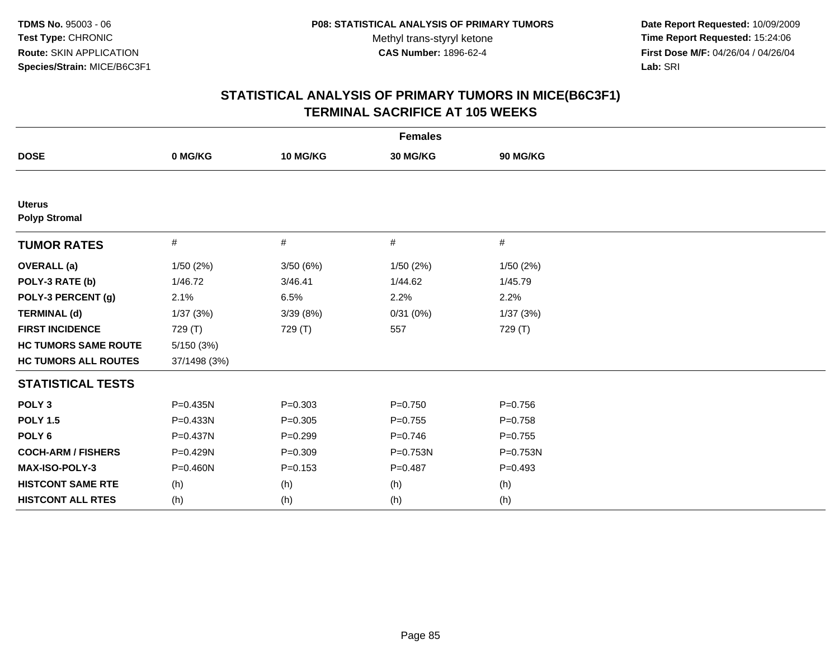**Date Report Requested:** 10/09/2009 **Time Report Requested:** 15:24:06 **First Dose M/F:** 04/26/04 / 04/26/04 Lab: SRI **Lab:** SRI

| <b>Females</b>                        |              |             |             |           |  |
|---------------------------------------|--------------|-------------|-------------|-----------|--|
| <b>DOSE</b>                           | 0 MG/KG      | 10 MG/KG    | 30 MG/KG    | 90 MG/KG  |  |
|                                       |              |             |             |           |  |
| <b>Uterus</b><br><b>Polyp Stromal</b> |              |             |             |           |  |
| <b>TUMOR RATES</b>                    | $\#$         | $\#$        | #           | #         |  |
| <b>OVERALL</b> (a)                    | 1/50(2%)     | 3/50(6%)    | 1/50(2%)    | 1/50(2%)  |  |
| POLY-3 RATE (b)                       | 1/46.72      | 3/46.41     | 1/44.62     | 1/45.79   |  |
| POLY-3 PERCENT (g)                    | 2.1%         | 6.5%        | 2.2%        | 2.2%      |  |
| <b>TERMINAL (d)</b>                   | 1/37(3%)     | 3/39(8%)    | 0/31(0%)    | 1/37(3%)  |  |
| <b>FIRST INCIDENCE</b>                | 729 (T)      | 729 (T)     | 557         | 729 (T)   |  |
| <b>HC TUMORS SAME ROUTE</b>           | 5/150(3%)    |             |             |           |  |
| <b>HC TUMORS ALL ROUTES</b>           | 37/1498 (3%) |             |             |           |  |
| <b>STATISTICAL TESTS</b>              |              |             |             |           |  |
| POLY <sub>3</sub>                     | $P = 0.435N$ | $P = 0.303$ | $P = 0.750$ | $P=0.756$ |  |
| <b>POLY 1.5</b>                       | $P = 0.433N$ | $P=0.305$   | $P=0.755$   | $P=0.758$ |  |
| POLY <sub>6</sub>                     | P=0.437N     | $P=0.299$   | $P=0.746$   | $P=0.755$ |  |
| <b>COCH-ARM / FISHERS</b>             | P=0.429N     | $P = 0.309$ | P=0.753N    | P=0.753N  |  |
| MAX-ISO-POLY-3                        | $P = 0.460N$ | $P = 0.153$ | $P = 0.487$ | $P=0.493$ |  |
| <b>HISTCONT SAME RTE</b>              | (h)          | (h)         | (h)         | (h)       |  |
| <b>HISTCONT ALL RTES</b>              | (h)          | (h)         | (h)         | (h)       |  |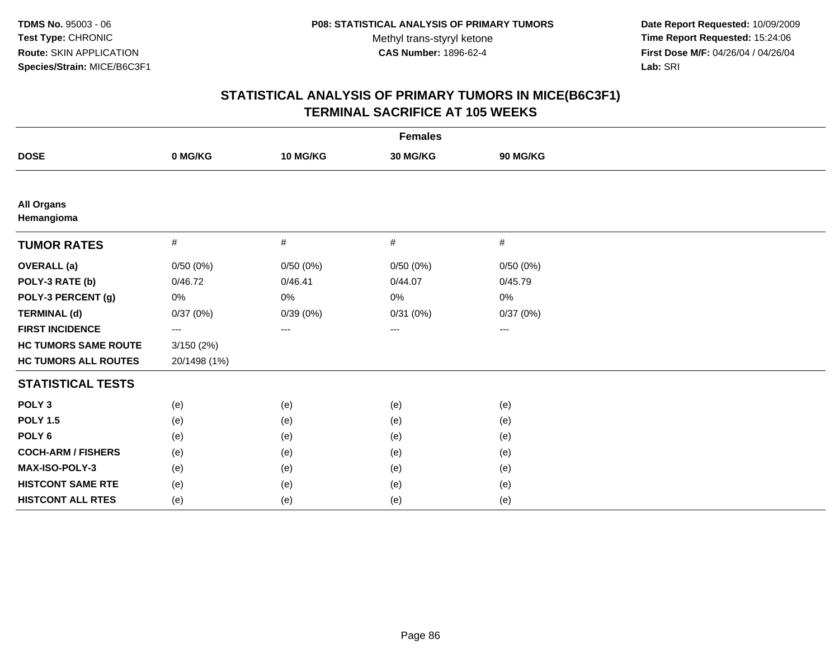**Date Report Requested:** 10/09/2009 **Time Report Requested:** 15:24:06 **First Dose M/F:** 04/26/04 / 04/26/04 Lab: SRI **Lab:** SRI

| <b>Females</b>                  |              |          |          |          |  |
|---------------------------------|--------------|----------|----------|----------|--|
| <b>DOSE</b>                     | 0 MG/KG      | 10 MG/KG | 30 MG/KG | 90 MG/KG |  |
|                                 |              |          |          |          |  |
| <b>All Organs</b><br>Hemangioma |              |          |          |          |  |
| <b>TUMOR RATES</b>              | #            | #        | #        | #        |  |
| <b>OVERALL</b> (a)              | 0/50(0%)     | 0/50(0%) | 0/50(0%) | 0/50(0%) |  |
| POLY-3 RATE (b)                 | 0/46.72      | 0/46.41  | 0/44.07  | 0/45.79  |  |
| POLY-3 PERCENT (g)              | 0%           | 0%       | 0%       | $0\%$    |  |
| <b>TERMINAL (d)</b>             | 0/37(0%)     | 0/39(0%) | 0/31(0%) | 0/37(0%) |  |
| <b>FIRST INCIDENCE</b>          | ---          | ---      | ---      | ---      |  |
| <b>HC TUMORS SAME ROUTE</b>     | 3/150(2%)    |          |          |          |  |
| <b>HC TUMORS ALL ROUTES</b>     | 20/1498 (1%) |          |          |          |  |
| <b>STATISTICAL TESTS</b>        |              |          |          |          |  |
| POLY <sub>3</sub>               | (e)          | (e)      | (e)      | (e)      |  |
| <b>POLY 1.5</b>                 | (e)          | (e)      | (e)      | (e)      |  |
| POLY <sub>6</sub>               | (e)          | (e)      | (e)      | (e)      |  |
| <b>COCH-ARM / FISHERS</b>       | (e)          | (e)      | (e)      | (e)      |  |
| MAX-ISO-POLY-3                  | (e)          | (e)      | (e)      | (e)      |  |
| <b>HISTCONT SAME RTE</b>        | (e)          | (e)      | (e)      | (e)      |  |
| <b>HISTCONT ALL RTES</b>        | (e)          | (e)      | (e)      | (e)      |  |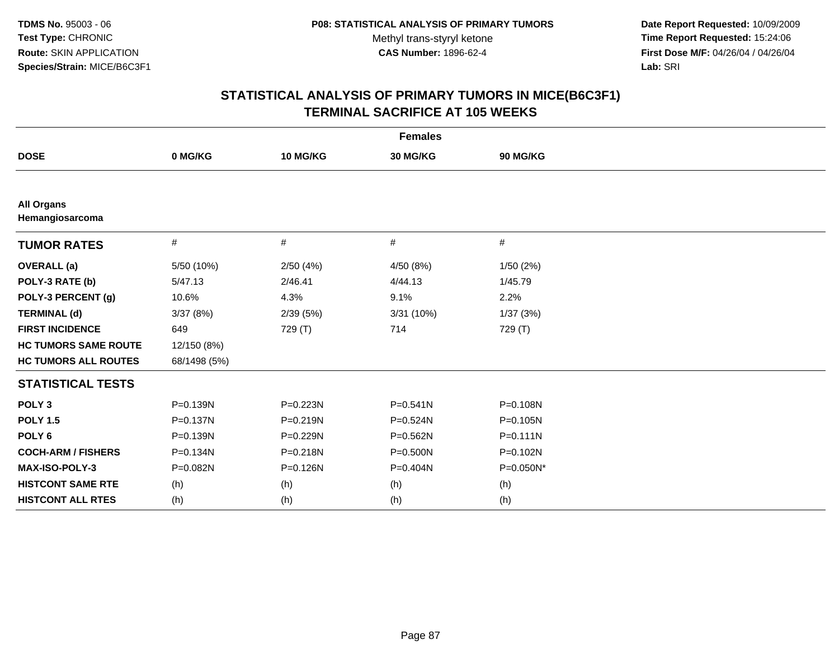**Date Report Requested:** 10/09/2009 **Time Report Requested:** 15:24:06 **First Dose M/F:** 04/26/04 / 04/26/04 Lab: SRI **Lab:** SRI

| <b>Females</b>                       |              |              |              |              |  |
|--------------------------------------|--------------|--------------|--------------|--------------|--|
| <b>DOSE</b>                          | 0 MG/KG      | 10 MG/KG     | 30 MG/KG     | 90 MG/KG     |  |
|                                      |              |              |              |              |  |
| <b>All Organs</b><br>Hemangiosarcoma |              |              |              |              |  |
| <b>TUMOR RATES</b>                   | #            | #            | #            | #            |  |
| <b>OVERALL</b> (a)                   | 5/50 (10%)   | 2/50(4%)     | 4/50 (8%)    | 1/50(2%)     |  |
| POLY-3 RATE (b)                      | 5/47.13      | 2/46.41      | 4/44.13      | 1/45.79      |  |
| POLY-3 PERCENT (g)                   | 10.6%        | 4.3%         | 9.1%         | 2.2%         |  |
| <b>TERMINAL (d)</b>                  | 3/37(8%)     | 2/39(5%)     | 3/31 (10%)   | 1/37(3%)     |  |
| <b>FIRST INCIDENCE</b>               | 649          | 729 (T)      | 714          | 729 (T)      |  |
| <b>HC TUMORS SAME ROUTE</b>          | 12/150 (8%)  |              |              |              |  |
| <b>HC TUMORS ALL ROUTES</b>          | 68/1498 (5%) |              |              |              |  |
| <b>STATISTICAL TESTS</b>             |              |              |              |              |  |
| POLY <sub>3</sub>                    | P=0.139N     | P=0.223N     | $P = 0.541N$ | P=0.108N     |  |
| <b>POLY 1.5</b>                      | $P = 0.137N$ | $P = 0.219N$ | P=0.524N     | $P = 0.105N$ |  |
| POLY <sub>6</sub>                    | $P = 0.139N$ | P=0.229N     | P=0.562N     | $P = 0.111N$ |  |
| <b>COCH-ARM / FISHERS</b>            | P=0.134N     | P=0.218N     | P=0.500N     | P=0.102N     |  |
| MAX-ISO-POLY-3                       | P=0.082N     | P=0.126N     | P=0.404N     | P=0.050N*    |  |
| <b>HISTCONT SAME RTE</b>             | (h)          | (h)          | (h)          | (h)          |  |
| <b>HISTCONT ALL RTES</b>             | (h)          | (h)          | (h)          | (h)          |  |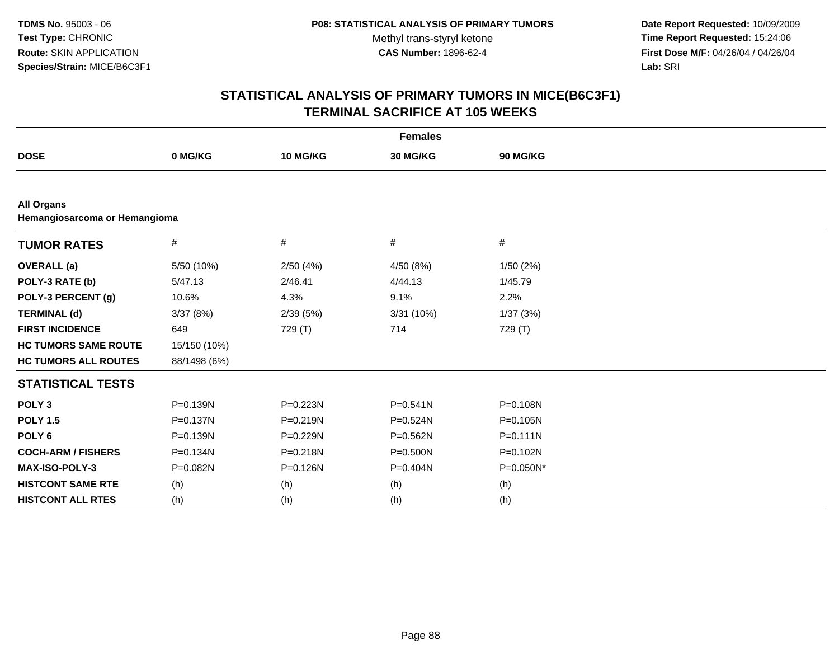**Date Report Requested:** 10/09/2009 **Time Report Requested:** 15:24:06 **First Dose M/F:** 04/26/04 / 04/26/04 Lab: SRI **Lab:** SRI

| <b>Females</b>                                     |              |              |              |              |  |
|----------------------------------------------------|--------------|--------------|--------------|--------------|--|
| <b>DOSE</b>                                        | 0 MG/KG      | 10 MG/KG     | 30 MG/KG     | 90 MG/KG     |  |
|                                                    |              |              |              |              |  |
| <b>All Organs</b><br>Hemangiosarcoma or Hemangioma |              |              |              |              |  |
| <b>TUMOR RATES</b>                                 | $\#$         | #            | #            | $\#$         |  |
| <b>OVERALL (a)</b>                                 | 5/50 (10%)   | 2/50(4%)     | 4/50 (8%)    | 1/50(2%)     |  |
| POLY-3 RATE (b)                                    | 5/47.13      | 2/46.41      | 4/44.13      | 1/45.79      |  |
| POLY-3 PERCENT (g)                                 | 10.6%        | 4.3%         | 9.1%         | 2.2%         |  |
| <b>TERMINAL (d)</b>                                | 3/37(8%)     | 2/39(5%)     | 3/31 (10%)   | 1/37(3%)     |  |
| <b>FIRST INCIDENCE</b>                             | 649          | 729 (T)      | 714          | 729 (T)      |  |
| <b>HC TUMORS SAME ROUTE</b>                        | 15/150 (10%) |              |              |              |  |
| <b>HC TUMORS ALL ROUTES</b>                        | 88/1498 (6%) |              |              |              |  |
| <b>STATISTICAL TESTS</b>                           |              |              |              |              |  |
| POLY <sub>3</sub>                                  | $P = 0.139N$ | P=0.223N     | $P = 0.541N$ | P=0.108N     |  |
| <b>POLY 1.5</b>                                    | $P = 0.137N$ | $P = 0.219N$ | P=0.524N     | $P = 0.105N$ |  |
| POLY <sub>6</sub>                                  | P=0.139N     | P=0.229N     | P=0.562N     | $P = 0.111N$ |  |
| <b>COCH-ARM / FISHERS</b>                          | $P = 0.134N$ | P=0.218N     | P=0.500N     | P=0.102N     |  |
| <b>MAX-ISO-POLY-3</b>                              | P=0.082N     | P=0.126N     | P=0.404N     | P=0.050N*    |  |
| <b>HISTCONT SAME RTE</b>                           | (h)          | (h)          | (h)          | (h)          |  |
| <b>HISTCONT ALL RTES</b>                           | (h)          | (h)          | (h)          | (h)          |  |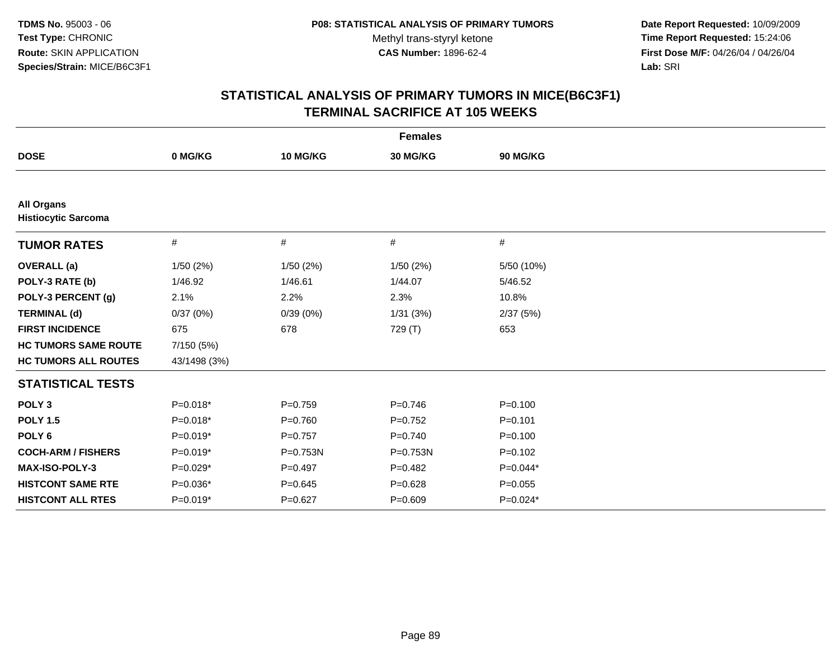**Date Report Requested:** 10/09/2009 **Time Report Requested:** 15:24:06 **First Dose M/F:** 04/26/04 / 04/26/04 Lab: SRI **Lab:** SRI

|                                                 | <b>Females</b> |             |             |             |  |
|-------------------------------------------------|----------------|-------------|-------------|-------------|--|
| <b>DOSE</b>                                     | 0 MG/KG        | 10 MG/KG    | 30 MG/KG    | 90 MG/KG    |  |
|                                                 |                |             |             |             |  |
| <b>All Organs</b><br><b>Histiocytic Sarcoma</b> |                |             |             |             |  |
| <b>TUMOR RATES</b>                              | #              | #           | #           | #           |  |
| <b>OVERALL</b> (a)                              | 1/50(2%)       | 1/50(2%)    | 1/50(2%)    | 5/50 (10%)  |  |
| POLY-3 RATE (b)                                 | 1/46.92        | 1/46.61     | 1/44.07     | 5/46.52     |  |
| POLY-3 PERCENT (g)                              | 2.1%           | 2.2%        | 2.3%        | 10.8%       |  |
| <b>TERMINAL (d)</b>                             | 0/37(0%)       | 0/39(0%)    | 1/31(3%)    | 2/37(5%)    |  |
| <b>FIRST INCIDENCE</b>                          | 675            | 678         | 729 (T)     | 653         |  |
| <b>HC TUMORS SAME ROUTE</b>                     | 7/150 (5%)     |             |             |             |  |
| <b>HC TUMORS ALL ROUTES</b>                     | 43/1498 (3%)   |             |             |             |  |
| <b>STATISTICAL TESTS</b>                        |                |             |             |             |  |
| POLY <sub>3</sub>                               | $P=0.018*$     | $P=0.759$   | $P=0.746$   | $P = 0.100$ |  |
| <b>POLY 1.5</b>                                 | $P=0.018*$     | $P = 0.760$ | $P=0.752$   | $P = 0.101$ |  |
| POLY <sub>6</sub>                               | $P=0.019*$     | $P = 0.757$ | $P=0.740$   | $P = 0.100$ |  |
| <b>COCH-ARM / FISHERS</b>                       | $P=0.019*$     | P=0.753N    | P=0.753N    | $P = 0.102$ |  |
| <b>MAX-ISO-POLY-3</b>                           | $P=0.029*$     | $P = 0.497$ | $P=0.482$   | $P=0.044*$  |  |
| <b>HISTCONT SAME RTE</b>                        | P=0.036*       | $P = 0.645$ | $P = 0.628$ | $P = 0.055$ |  |
| <b>HISTCONT ALL RTES</b>                        | $P=0.019*$     | $P=0.627$   | $P = 0.609$ | $P=0.024*$  |  |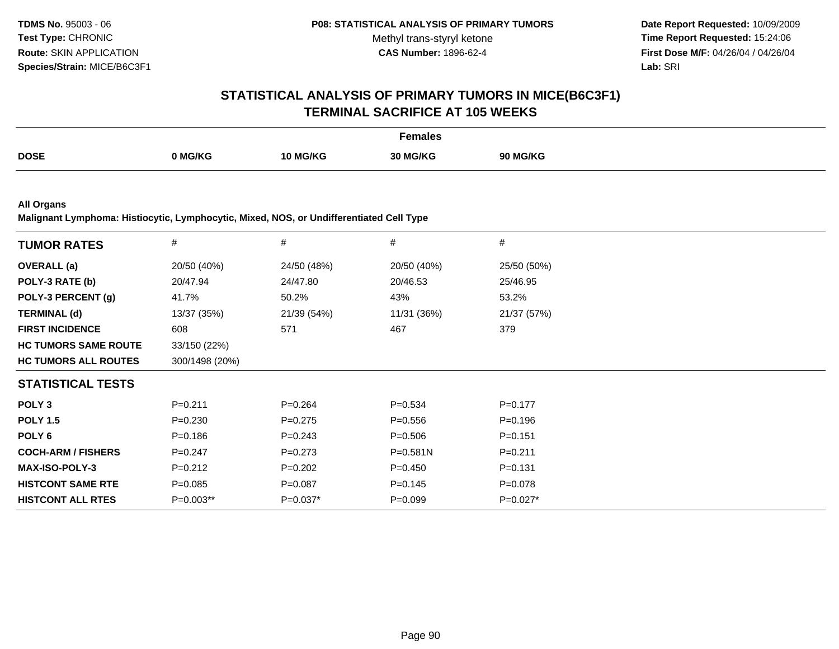**Date Report Requested:** 10/09/2009 **Time Report Requested:** 15:24:06 **First Dose M/F:** 04/26/04 / 04/26/04 Lab: SRI **Lab:** SRI

## **STATISTICAL ANALYSIS OF PRIMARY TUMORS IN MICE(B6C3F1)TERMINAL SACRIFICE AT 105 WEEKS**

|             |       |                 | <sup>=</sup> emales |             |
|-------------|-------|-----------------|---------------------|-------------|
| <b>DOSE</b> | MG/KG | <b>10 MG/KG</b> | <b>30 MG/KL-</b>    | <b>G/KG</b> |
|             |       |                 |                     |             |

**All Organs**

**Malignant Lymphoma: Histiocytic, Lymphocytic, Mixed, NOS, or Undifferentiated Cell Type**

| <b>TUMOR RATES</b>          | $\#$           | #           | #            | #           |
|-----------------------------|----------------|-------------|--------------|-------------|
| <b>OVERALL</b> (a)          | 20/50 (40%)    | 24/50 (48%) | 20/50 (40%)  | 25/50 (50%) |
| POLY-3 RATE (b)             | 20/47.94       | 24/47.80    | 20/46.53     | 25/46.95    |
| POLY-3 PERCENT (g)          | 41.7%          | 50.2%       | 43%          | 53.2%       |
| <b>TERMINAL (d)</b>         | 13/37 (35%)    | 21/39 (54%) | 11/31 (36%)  | 21/37 (57%) |
| <b>FIRST INCIDENCE</b>      | 608            | 571         | 467          | 379         |
| <b>HC TUMORS SAME ROUTE</b> | 33/150 (22%)   |             |              |             |
| <b>HC TUMORS ALL ROUTES</b> | 300/1498 (20%) |             |              |             |
| <b>STATISTICAL TESTS</b>    |                |             |              |             |
| POLY <sub>3</sub>           | $P = 0.211$    | $P = 0.264$ | $P = 0.534$  | $P=0.177$   |
| <b>POLY 1.5</b>             | $P = 0.230$    | $P=0.275$   | $P = 0.556$  | $P = 0.196$ |
| POLY 6                      | $P = 0.186$    | $P = 0.243$ | $P = 0.506$  | $P = 0.151$ |
| <b>COCH-ARM / FISHERS</b>   | $P=0.247$      | $P=0.273$   | $P = 0.581N$ | $P = 0.211$ |
| <b>MAX-ISO-POLY-3</b>       | $P=0.212$      | $P=0.202$   | $P=0.450$    | $P = 0.131$ |
| <b>HISTCONT SAME RTE</b>    | $P = 0.085$    | $P=0.087$   | $P = 0.145$  | $P=0.078$   |
| <b>HISTCONT ALL RTES</b>    | P=0.003**      | $P=0.037*$  | $P = 0.099$  | $P=0.027*$  |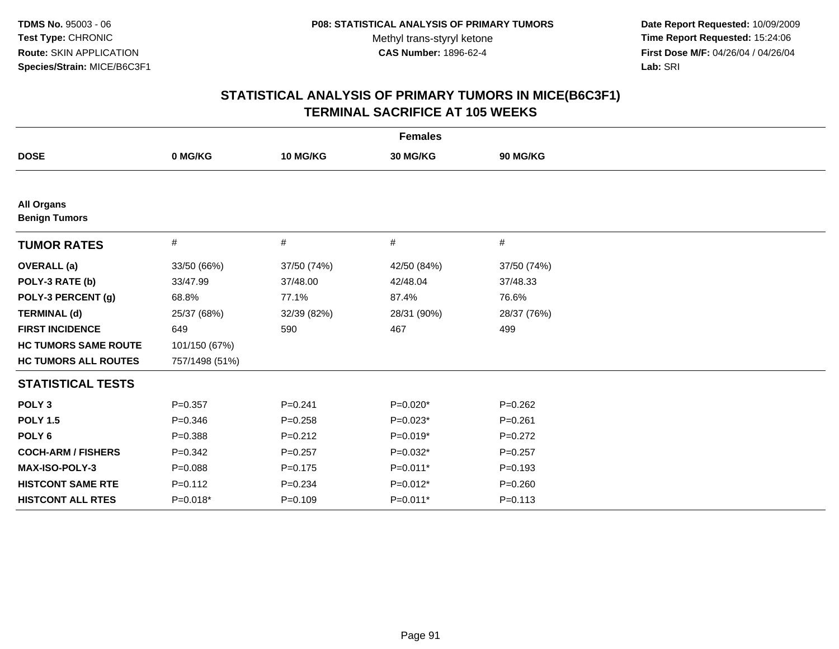**Date Report Requested:** 10/09/2009 **Time Report Requested:** 15:24:06 **First Dose M/F:** 04/26/04 / 04/26/04 Lab: SRI **Lab:** SRI

| <b>Females</b>                            |                |             |             |             |
|-------------------------------------------|----------------|-------------|-------------|-------------|
| <b>DOSE</b>                               | 0 MG/KG        | 10 MG/KG    | 30 MG/KG    | 90 MG/KG    |
|                                           |                |             |             |             |
| <b>All Organs</b><br><b>Benign Tumors</b> |                |             |             |             |
| <b>TUMOR RATES</b>                        | #              | $\#$        | #           | #           |
| <b>OVERALL</b> (a)                        | 33/50 (66%)    | 37/50 (74%) | 42/50 (84%) | 37/50 (74%) |
| POLY-3 RATE (b)                           | 33/47.99       | 37/48.00    | 42/48.04    | 37/48.33    |
| POLY-3 PERCENT (g)                        | 68.8%          | 77.1%       | 87.4%       | 76.6%       |
| <b>TERMINAL (d)</b>                       | 25/37 (68%)    | 32/39 (82%) | 28/31 (90%) | 28/37 (76%) |
| <b>FIRST INCIDENCE</b>                    | 649            | 590         | 467         | 499         |
| <b>HC TUMORS SAME ROUTE</b>               | 101/150 (67%)  |             |             |             |
| <b>HC TUMORS ALL ROUTES</b>               | 757/1498 (51%) |             |             |             |
| <b>STATISTICAL TESTS</b>                  |                |             |             |             |
| POLY <sub>3</sub>                         | $P = 0.357$    | $P = 0.241$ | $P=0.020*$  | $P=0.262$   |
| <b>POLY 1.5</b>                           | $P = 0.346$    | $P = 0.258$ | $P=0.023*$  | $P = 0.261$ |
| POLY <sub>6</sub>                         | $P = 0.388$    | $P=0.212$   | $P=0.019*$  | $P=0.272$   |
| <b>COCH-ARM / FISHERS</b>                 | $P = 0.342$    | $P = 0.257$ | $P=0.032*$  | $P=0.257$   |
| MAX-ISO-POLY-3                            | $P = 0.088$    | $P = 0.175$ | $P=0.011*$  | $P=0.193$   |
| <b>HISTCONT SAME RTE</b>                  | $P=0.112$      | $P = 0.234$ | $P=0.012*$  | $P = 0.260$ |
| <b>HISTCONT ALL RTES</b>                  | $P=0.018*$     | $P=0.109$   | P=0.011*    | $P = 0.113$ |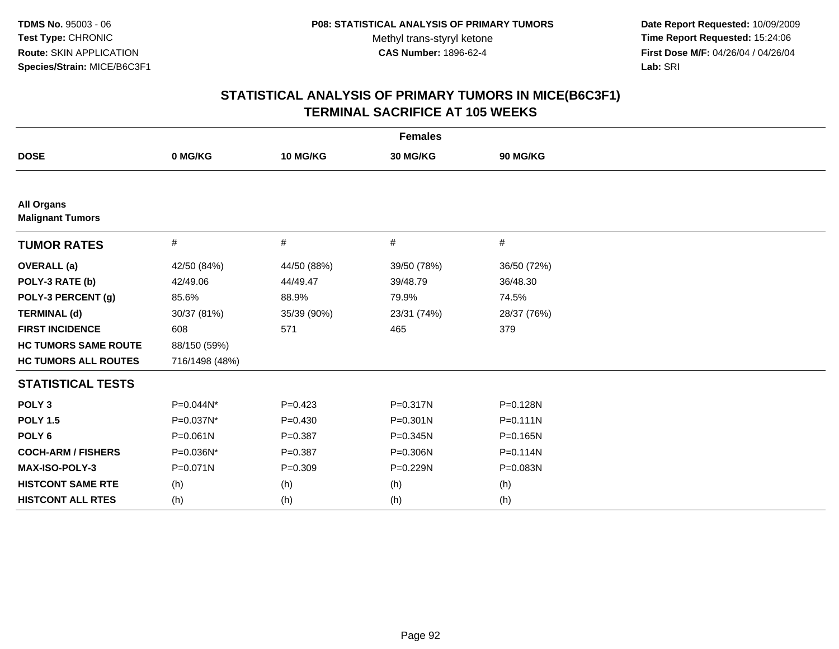**Date Report Requested:** 10/09/2009 **Time Report Requested:** 15:24:06 **First Dose M/F:** 04/26/04 / 04/26/04 Lab: SRI **Lab:** SRI

| <b>Females</b>                               |                |             |              |              |
|----------------------------------------------|----------------|-------------|--------------|--------------|
| <b>DOSE</b>                                  | 0 MG/KG        | 10 MG/KG    | 30 MG/KG     | 90 MG/KG     |
|                                              |                |             |              |              |
| <b>All Organs</b><br><b>Malignant Tumors</b> |                |             |              |              |
| <b>TUMOR RATES</b>                           | #              | #           | $\#$         | #            |
| <b>OVERALL (a)</b>                           | 42/50 (84%)    | 44/50 (88%) | 39/50 (78%)  | 36/50 (72%)  |
| POLY-3 RATE (b)                              | 42/49.06       | 44/49.47    | 39/48.79     | 36/48.30     |
| POLY-3 PERCENT (g)                           | 85.6%          | 88.9%       | 79.9%        | 74.5%        |
| <b>TERMINAL (d)</b>                          | 30/37 (81%)    | 35/39 (90%) | 23/31 (74%)  | 28/37 (76%)  |
| <b>FIRST INCIDENCE</b>                       | 608            | 571         | 465          | 379          |
| <b>HC TUMORS SAME ROUTE</b>                  | 88/150 (59%)   |             |              |              |
| <b>HC TUMORS ALL ROUTES</b>                  | 716/1498 (48%) |             |              |              |
| <b>STATISTICAL TESTS</b>                     |                |             |              |              |
| POLY <sub>3</sub>                            | P=0.044N*      | $P = 0.423$ | $P = 0.317N$ | P=0.128N     |
| <b>POLY 1.5</b>                              | P=0.037N*      | $P = 0.430$ | $P = 0.301N$ | $P = 0.111N$ |
| POLY <sub>6</sub>                            | $P = 0.061N$   | $P = 0.387$ | $P = 0.345N$ | P=0.165N     |
| <b>COCH-ARM / FISHERS</b>                    | P=0.036N*      | $P = 0.387$ | P=0.306N     | $P = 0.114N$ |
| <b>MAX-ISO-POLY-3</b>                        | P=0.071N       | $P=0.309$   | P=0.229N     | P=0.083N     |
| <b>HISTCONT SAME RTE</b>                     | (h)            | (h)         | (h)          | (h)          |
| <b>HISTCONT ALL RTES</b>                     | (h)            | (h)         | (h)          | (h)          |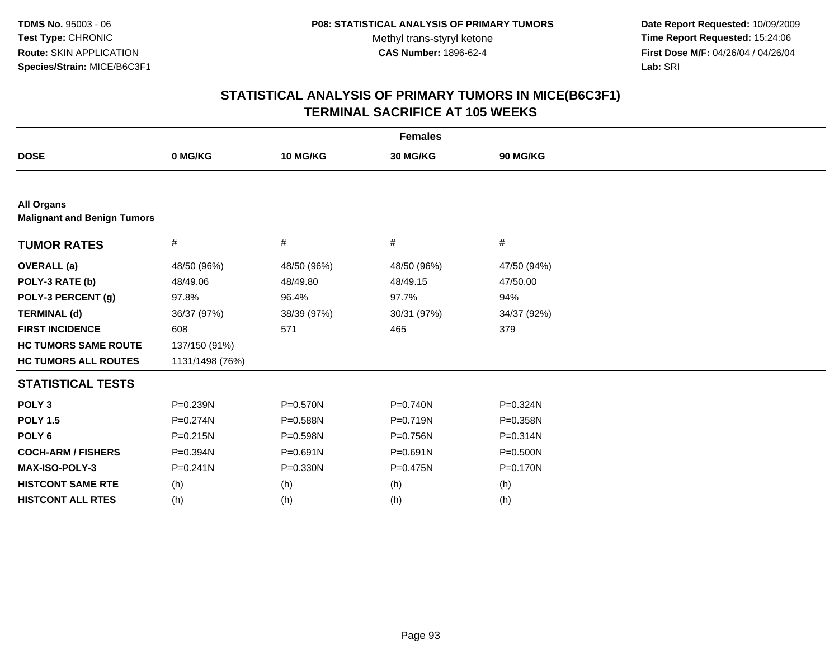**Date Report Requested:** 10/09/2009 **Time Report Requested:** 15:24:06 **First Dose M/F:** 04/26/04 / 04/26/04 Lab: SRI **Lab:** SRI

| <b>Females</b>                                          |                 |              |             |              |  |  |
|---------------------------------------------------------|-----------------|--------------|-------------|--------------|--|--|
| <b>DOSE</b>                                             | 0 MG/KG         | 10 MG/KG     | 30 MG/KG    | 90 MG/KG     |  |  |
|                                                         |                 |              |             |              |  |  |
| <b>All Organs</b><br><b>Malignant and Benign Tumors</b> |                 |              |             |              |  |  |
| <b>TUMOR RATES</b>                                      | #               | #            | #           | #            |  |  |
| <b>OVERALL</b> (a)                                      | 48/50 (96%)     | 48/50 (96%)  | 48/50 (96%) | 47/50 (94%)  |  |  |
| POLY-3 RATE (b)                                         | 48/49.06        | 48/49.80     | 48/49.15    | 47/50.00     |  |  |
| POLY-3 PERCENT (g)                                      | 97.8%           | 96.4%        | 97.7%       | 94%          |  |  |
| <b>TERMINAL (d)</b>                                     | 36/37 (97%)     | 38/39 (97%)  | 30/31 (97%) | 34/37 (92%)  |  |  |
| <b>FIRST INCIDENCE</b>                                  | 608             | 571          | 465         | 379          |  |  |
| <b>HC TUMORS SAME ROUTE</b>                             | 137/150 (91%)   |              |             |              |  |  |
| <b>HC TUMORS ALL ROUTES</b>                             | 1131/1498 (76%) |              |             |              |  |  |
| <b>STATISTICAL TESTS</b>                                |                 |              |             |              |  |  |
| POLY <sub>3</sub>                                       | P=0.239N        | P=0.570N     | P=0.740N    | P=0.324N     |  |  |
| <b>POLY 1.5</b>                                         | $P = 0.274N$    | P=0.588N     | P=0.719N    | P=0.358N     |  |  |
| POLY <sub>6</sub>                                       | $P = 0.215N$    | P=0.598N     | P=0.756N    | $P = 0.314N$ |  |  |
| <b>COCH-ARM / FISHERS</b>                               | P=0.394N        | $P = 0.691N$ | P=0.691N    | P=0.500N     |  |  |
| MAX-ISO-POLY-3                                          | $P = 0.241N$    | $P = 0.330N$ | P=0.475N    | P=0.170N     |  |  |
| <b>HISTCONT SAME RTE</b>                                | (h)             | (h)          | (h)         | (h)          |  |  |
| <b>HISTCONT ALL RTES</b>                                | (h)             | (h)          | (h)         | (h)          |  |  |